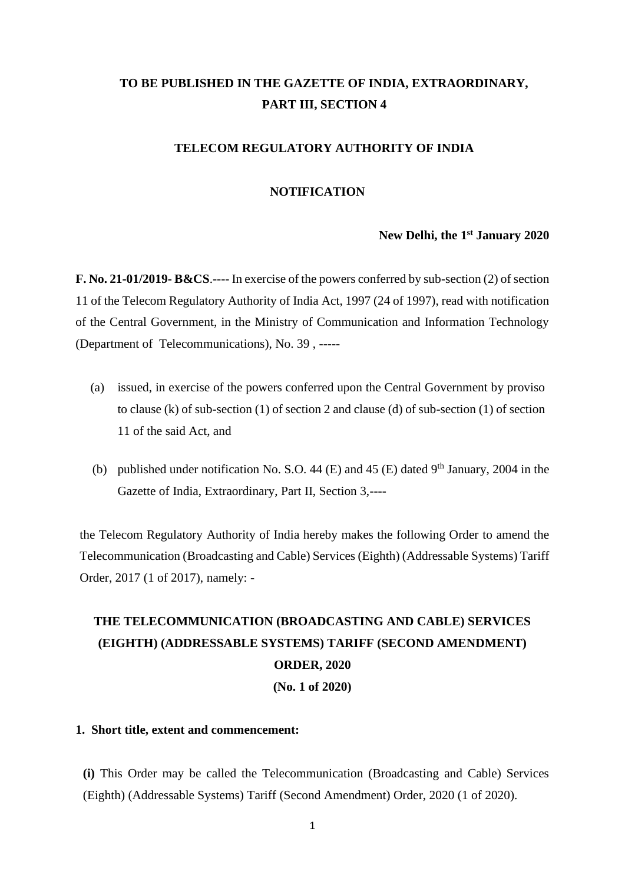# **TO BE PUBLISHED IN THE GAZETTE OF INDIA, EXTRAORDINARY, PART III, SECTION 4**

# **TELECOM REGULATORY AUTHORITY OF INDIA**

# **NOTIFICATION**

# **New Delhi, the 1 st January 2020**

**F. No. 21-01/2019- B&CS**.---- In exercise of the powers conferred by sub-section (2) of section 11 of the Telecom Regulatory Authority of India Act, 1997 (24 of 1997), read with notification of the Central Government, in the Ministry of Communication and Information Technology (Department of Telecommunications), No. 39 , -----

- (a) issued, in exercise of the powers conferred upon the Central Government by proviso to clause (k) of sub-section (1) of section 2 and clause (d) of sub-section (1) of section 11 of the said Act, and
- (b) published under notification No. S.O. 44 (E) and 45 (E) dated 9<sup>th</sup> January, 2004 in the Gazette of India, Extraordinary, Part II, Section 3,----

the Telecom Regulatory Authority of India hereby makes the following Order to amend the Telecommunication (Broadcasting and Cable) Services (Eighth) (Addressable Systems) Tariff Order, 2017 (1 of 2017), namely: -

# **THE TELECOMMUNICATION (BROADCASTING AND CABLE) SERVICES (EIGHTH) (ADDRESSABLE SYSTEMS) TARIFF (SECOND AMENDMENT) ORDER, 2020 (No. 1 of 2020)**

# **1. Short title, extent and commencement:**

**(i)** This Order may be called the Telecommunication (Broadcasting and Cable) Services (Eighth) (Addressable Systems) Tariff (Second Amendment) Order, 2020 (1 of 2020).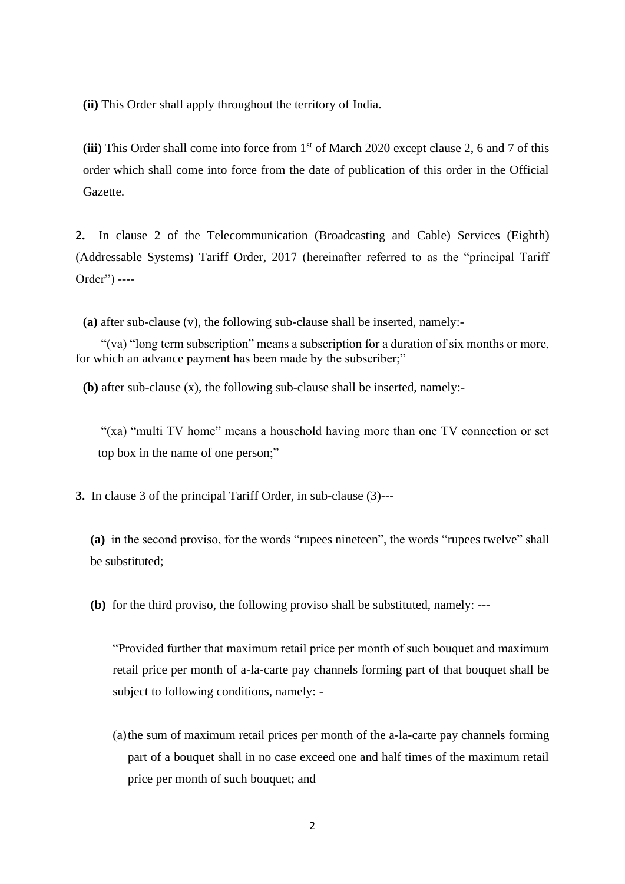**(ii)** This Order shall apply throughout the territory of India.

**(iii)** This Order shall come into force from 1st of March 2020 except clause 2, 6 and 7 of this order which shall come into force from the date of publication of this order in the Official Gazette.

**2.** In clause 2 of the Telecommunication (Broadcasting and Cable) Services (Eighth) (Addressable Systems) Tariff Order, 2017 (hereinafter referred to as the "principal Tariff Order") ----

**(a)** after sub-clause (v), the following sub-clause shall be inserted, namely:-

"(va) "long term subscription" means a subscription for a duration of six months or more, for which an advance payment has been made by the subscriber;"

**(b)** after sub-clause (x), the following sub-clause shall be inserted, namely:-

"(xa) "multi TV home" means a household having more than one TV connection or set top box in the name of one person;"

**3.** In clause 3 of the principal Tariff Order, in sub-clause (3)---

**(a)** in the second proviso, for the words "rupees nineteen", the words "rupees twelve" shall be substituted;

**(b)** for the third proviso, the following proviso shall be substituted, namely: ---

"Provided further that maximum retail price per month of such bouquet and maximum retail price per month of a-la-carte pay channels forming part of that bouquet shall be subject to following conditions, namely: -

(a)the sum of maximum retail prices per month of the a-la-carte pay channels forming part of a bouquet shall in no case exceed one and half times of the maximum retail price per month of such bouquet; and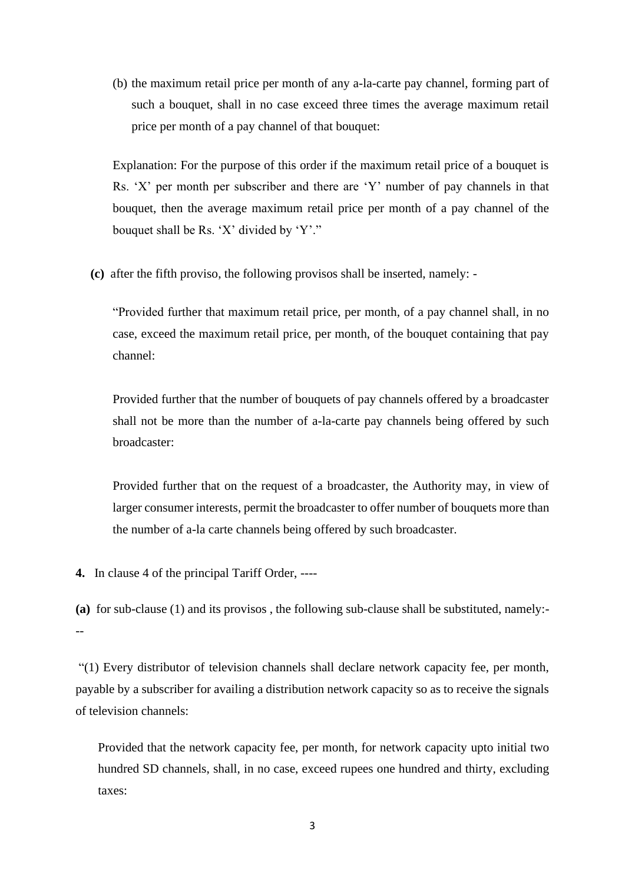(b) the maximum retail price per month of any a-la-carte pay channel, forming part of such a bouquet, shall in no case exceed three times the average maximum retail price per month of a pay channel of that bouquet:

Explanation: For the purpose of this order if the maximum retail price of a bouquet is Rs. 'X' per month per subscriber and there are 'Y' number of pay channels in that bouquet, then the average maximum retail price per month of a pay channel of the bouquet shall be Rs. 'X' divided by 'Y'."

**(c)** after the fifth proviso, the following provisos shall be inserted, namely: -

"Provided further that maximum retail price, per month, of a pay channel shall, in no case, exceed the maximum retail price, per month, of the bouquet containing that pay channel:

Provided further that the number of bouquets of pay channels offered by a broadcaster shall not be more than the number of a-la-carte pay channels being offered by such broadcaster:

Provided further that on the request of a broadcaster, the Authority may, in view of larger consumer interests, permit the broadcaster to offer number of bouquets more than the number of a-la carte channels being offered by such broadcaster.

**4.** In clause 4 of the principal Tariff Order, ----

**(a)** for sub-clause (1) and its provisos , the following sub-clause shall be substituted, namely:- --

"(1) Every distributor of television channels shall declare network capacity fee, per month, payable by a subscriber for availing a distribution network capacity so as to receive the signals of television channels:

Provided that the network capacity fee, per month, for network capacity upto initial two hundred SD channels, shall, in no case, exceed rupees one hundred and thirty, excluding taxes: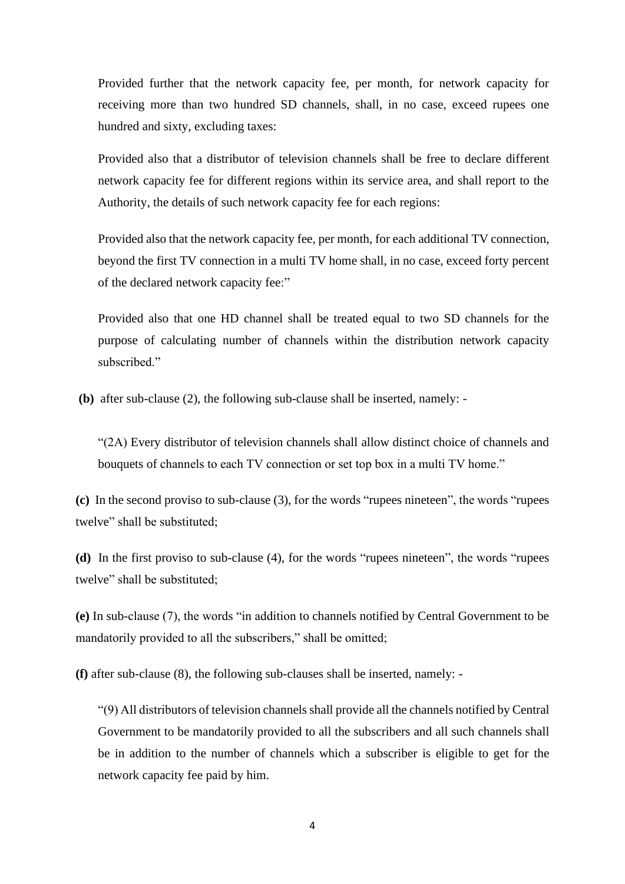Provided further that the network capacity fee, per month, for network capacity for receiving more than two hundred SD channels, shall, in no case, exceed rupees one hundred and sixty, excluding taxes:

Provided also that a distributor of television channels shall be free to declare different network capacity fee for different regions within its service area, and shall report to the Authority, the details of such network capacity fee for each regions:

Provided also that the network capacity fee, per month, for each additional TV connection, beyond the first TV connection in a multi TV home shall, in no case, exceed forty percent of the declared network capacity fee:"

Provided also that one HD channel shall be treated equal to two SD channels for the purpose of calculating number of channels within the distribution network capacity subscribed."

**(b)** after sub-clause (2), the following sub-clause shall be inserted, namely: -

"(2A) Every distributor of television channels shall allow distinct choice of channels and bouquets of channels to each TV connection or set top box in a multi TV home."

**(c)** In the second proviso to sub-clause (3), for the words "rupees nineteen", the words "rupees twelve" shall be substituted;

**(d)** In the first proviso to sub-clause (4), for the words "rupees nineteen", the words "rupees twelve" shall be substituted;

**(e)** In sub-clause (7), the words "in addition to channels notified by Central Government to be mandatorily provided to all the subscribers," shall be omitted;

**(f)** after sub-clause (8), the following sub-clauses shall be inserted, namely: -

"(9) All distributors of television channels shall provide all the channels notified by Central Government to be mandatorily provided to all the subscribers and all such channels shall be in addition to the number of channels which a subscriber is eligible to get for the network capacity fee paid by him.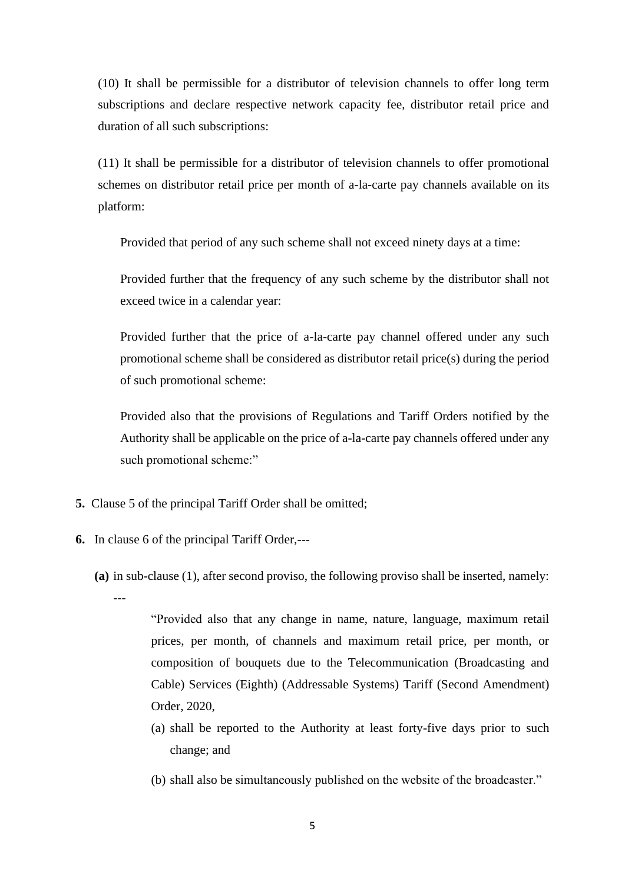(10) It shall be permissible for a distributor of television channels to offer long term subscriptions and declare respective network capacity fee, distributor retail price and duration of all such subscriptions:

(11) It shall be permissible for a distributor of television channels to offer promotional schemes on distributor retail price per month of a-la-carte pay channels available on its platform:

Provided that period of any such scheme shall not exceed ninety days at a time:

Provided further that the frequency of any such scheme by the distributor shall not exceed twice in a calendar year:

Provided further that the price of a-la-carte pay channel offered under any such promotional scheme shall be considered as distributor retail price(s) during the period of such promotional scheme:

Provided also that the provisions of Regulations and Tariff Orders notified by the Authority shall be applicable on the price of a-la-carte pay channels offered under any such promotional scheme:"

- **5.** Clause 5 of the principal Tariff Order shall be omitted;
- **6.** In clause 6 of the principal Tariff Order,---
	- **(a)** in sub-clause (1), after second proviso, the following proviso shall be inserted, namely:

---

"Provided also that any change in name, nature, language, maximum retail prices, per month, of channels and maximum retail price, per month, or composition of bouquets due to the Telecommunication (Broadcasting and Cable) Services (Eighth) (Addressable Systems) Tariff (Second Amendment) Order, 2020,

- (a) shall be reported to the Authority at least forty-five days prior to such change; and
- (b) shall also be simultaneously published on the website of the broadcaster."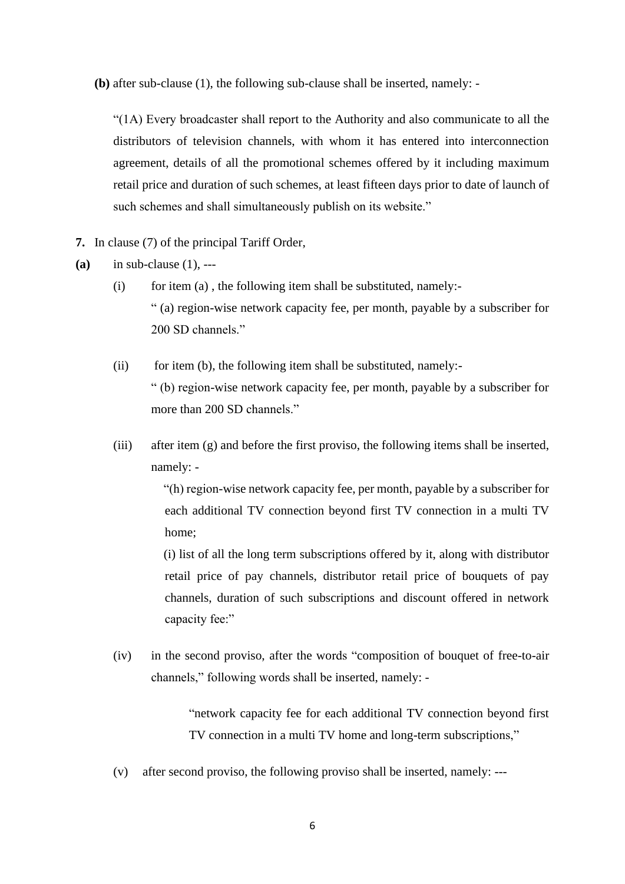**(b)** after sub-clause (1), the following sub-clause shall be inserted, namely: -

"(1A) Every broadcaster shall report to the Authority and also communicate to all the distributors of television channels, with whom it has entered into interconnection agreement, details of all the promotional schemes offered by it including maximum retail price and duration of such schemes, at least fifteen days prior to date of launch of such schemes and shall simultaneously publish on its website."

**7.** In clause (7) of the principal Tariff Order,

**(a)** in sub-clause (1), ---

- (i) for item (a), the following item shall be substituted, namely:-" (a) region-wise network capacity fee, per month, payable by a subscriber for 200 SD channels."
- $(iii)$  for item (b), the following item shall be substituted, namely:-" (b) region-wise network capacity fee, per month, payable by a subscriber for more than 200 SD channels."
- (iii) after item (g) and before the first proviso, the following items shall be inserted, namely: -

"(h) region-wise network capacity fee, per month, payable by a subscriber for each additional TV connection beyond first TV connection in a multi TV home;

(i) list of all the long term subscriptions offered by it, along with distributor retail price of pay channels, distributor retail price of bouquets of pay channels, duration of such subscriptions and discount offered in network capacity fee:"

(iv) in the second proviso, after the words "composition of bouquet of free-to-air channels," following words shall be inserted, namely: -

> "network capacity fee for each additional TV connection beyond first TV connection in a multi TV home and long-term subscriptions,"

(v) after second proviso, the following proviso shall be inserted, namely: ---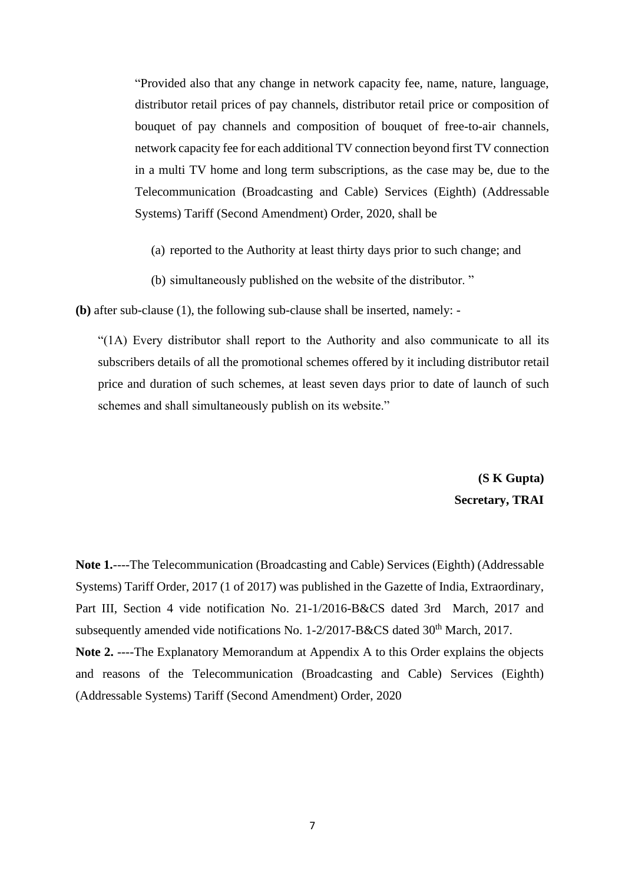"Provided also that any change in network capacity fee, name, nature, language, distributor retail prices of pay channels, distributor retail price or composition of bouquet of pay channels and composition of bouquet of free-to-air channels, network capacity fee for each additional TV connection beyond first TV connection in a multi TV home and long term subscriptions, as the case may be, due to the Telecommunication (Broadcasting and Cable) Services (Eighth) (Addressable Systems) Tariff (Second Amendment) Order, 2020, shall be

- (a) reported to the Authority at least thirty days prior to such change; and
- (b) simultaneously published on the website of the distributor. "

**(b)** after sub-clause (1), the following sub-clause shall be inserted, namely: -

"(1A) Every distributor shall report to the Authority and also communicate to all its subscribers details of all the promotional schemes offered by it including distributor retail price and duration of such schemes, at least seven days prior to date of launch of such schemes and shall simultaneously publish on its website."

> **(S K Gupta) Secretary, TRAI**

**Note 1.**----The Telecommunication (Broadcasting and Cable) Services (Eighth) (Addressable Systems) Tariff Order, 2017 (1 of 2017) was published in the Gazette of India, Extraordinary, Part III, Section 4 vide notification No. 21-1/2016-B&CS dated 3rd March, 2017 and subsequently amended vide notifications No.  $1-2/2017-B\&CS$  dated  $30<sup>th</sup>$  March, 2017. **Note 2.** ----The Explanatory Memorandum at Appendix A to this Order explains the objects and reasons of the Telecommunication (Broadcasting and Cable) Services (Eighth) (Addressable Systems) Tariff (Second Amendment) Order, 2020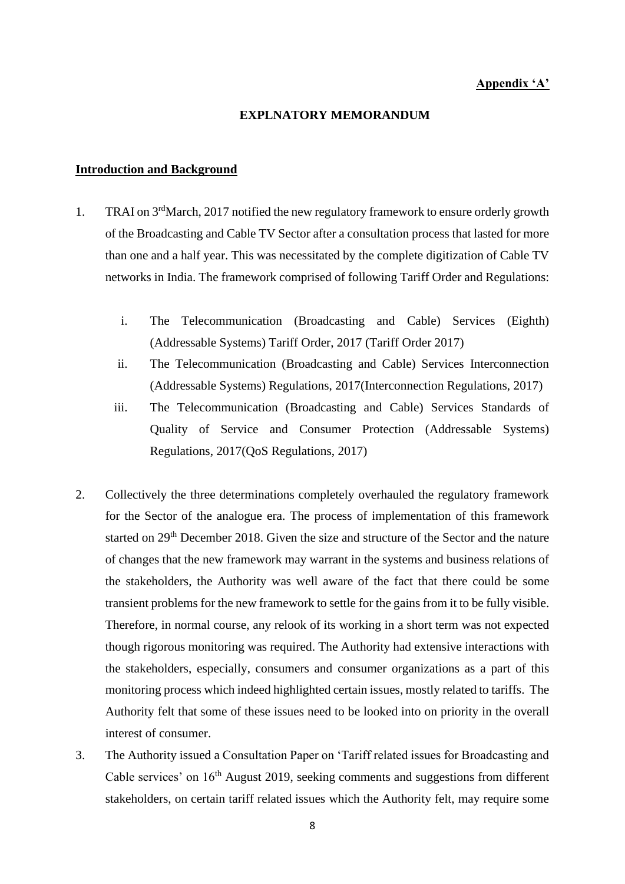# **Appendix 'A'**

#### **EXPLNATORY MEMORANDUM**

# **Introduction and Background**

- 1. TRAI on 3<sup>rd</sup>March, 2017 notified the new regulatory framework to ensure orderly growth of the Broadcasting and Cable TV Sector after a consultation process that lasted for more than one and a half year. This was necessitated by the complete digitization of Cable TV networks in India. The framework comprised of following Tariff Order and Regulations:
	- i. The Telecommunication (Broadcasting and Cable) Services (Eighth) (Addressable Systems) Tariff Order, 2017 (Tariff Order 2017)
	- ii. The Telecommunication (Broadcasting and Cable) Services Interconnection (Addressable Systems) Regulations, 2017(Interconnection Regulations, 2017)
	- iii. The Telecommunication (Broadcasting and Cable) Services Standards of Quality of Service and Consumer Protection (Addressable Systems) Regulations, 2017(QoS Regulations, 2017)
- 2. Collectively the three determinations completely overhauled the regulatory framework for the Sector of the analogue era. The process of implementation of this framework started on 29<sup>th</sup> December 2018. Given the size and structure of the Sector and the nature of changes that the new framework may warrant in the systems and business relations of the stakeholders, the Authority was well aware of the fact that there could be some transient problems for the new framework to settle for the gains from it to be fully visible. Therefore, in normal course, any relook of its working in a short term was not expected though rigorous monitoring was required. The Authority had extensive interactions with the stakeholders, especially, consumers and consumer organizations as a part of this monitoring process which indeed highlighted certain issues, mostly related to tariffs. The Authority felt that some of these issues need to be looked into on priority in the overall interest of consumer.
- 3. The Authority issued a Consultation Paper on 'Tariff related issues for Broadcasting and Cable services' on 16<sup>th</sup> August 2019, seeking comments and suggestions from different stakeholders, on certain tariff related issues which the Authority felt, may require some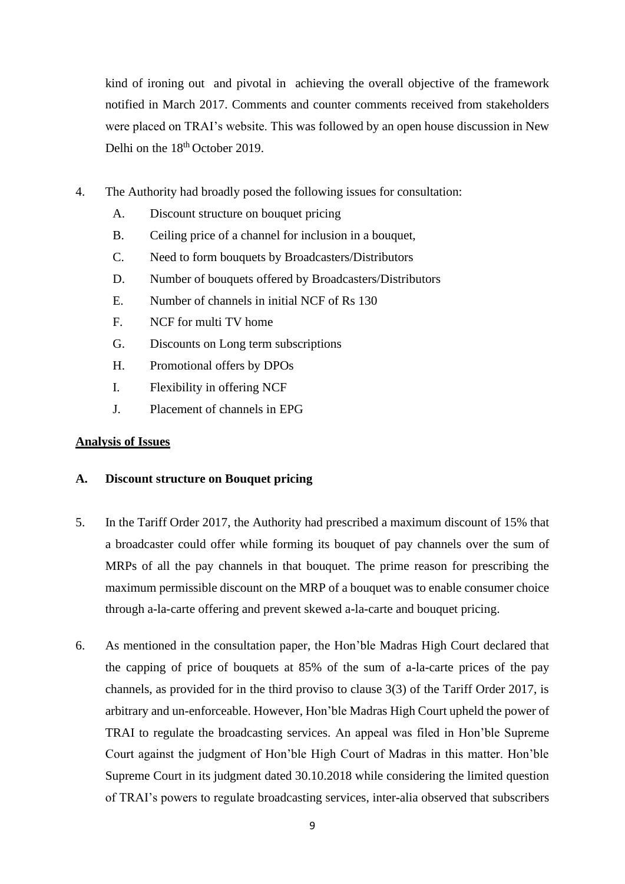kind of ironing out and pivotal in achieving the overall objective of the framework notified in March 2017. Comments and counter comments received from stakeholders were placed on TRAI's website. This was followed by an open house discussion in New Delhi on the 18<sup>th</sup> October 2019.

- 4. The Authority had broadly posed the following issues for consultation:
	- A. Discount structure on bouquet pricing
	- B. Ceiling price of a channel for inclusion in a bouquet,
	- C. Need to form bouquets by Broadcasters/Distributors
	- D. Number of bouquets offered by Broadcasters/Distributors
	- E. Number of channels in initial NCF of Rs 130
	- F. NCF for multi TV home
	- G. Discounts on Long term subscriptions
	- H. Promotional offers by DPOs
	- I. Flexibility in offering NCF
	- J. Placement of channels in EPG

# **Analysis of Issues**

# **A. Discount structure on Bouquet pricing**

- 5. In the Tariff Order 2017, the Authority had prescribed a maximum discount of 15% that a broadcaster could offer while forming its bouquet of pay channels over the sum of MRPs of all the pay channels in that bouquet. The prime reason for prescribing the maximum permissible discount on the MRP of a bouquet was to enable consumer choice through a-la-carte offering and prevent skewed a-la-carte and bouquet pricing.
- 6. As mentioned in the consultation paper, the Hon'ble Madras High Court declared that the capping of price of bouquets at 85% of the sum of a-la-carte prices of the pay channels, as provided for in the third proviso to clause 3(3) of the Tariff Order 2017, is arbitrary and un-enforceable. However, Hon'ble Madras High Court upheld the power of TRAI to regulate the broadcasting services. An appeal was filed in Hon'ble Supreme Court against the judgment of Hon'ble High Court of Madras in this matter. Hon'ble Supreme Court in its judgment dated 30.10.2018 while considering the limited question of TRAI's powers to regulate broadcasting services, inter-alia observed that subscribers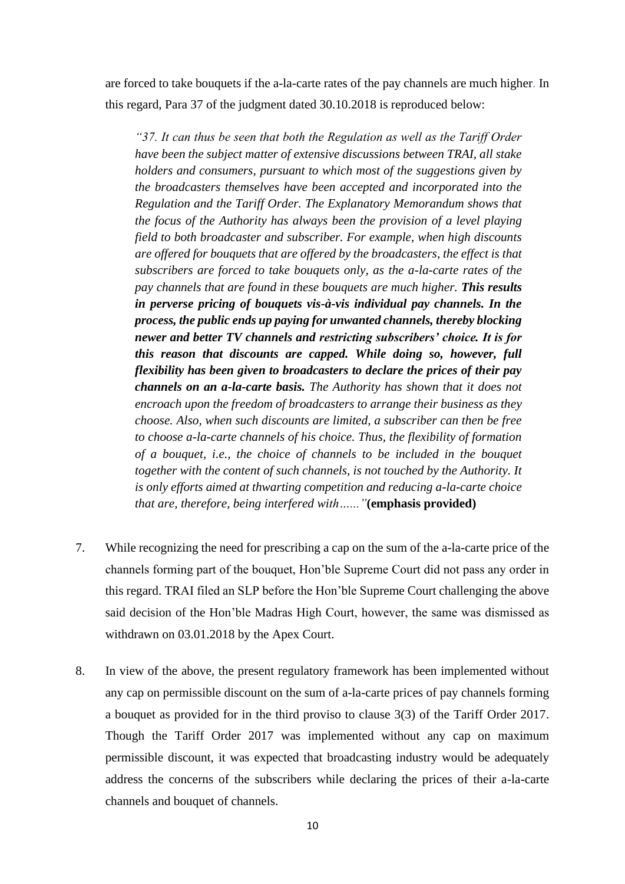are forced to take bouquets if the a-la-carte rates of the pay channels are much higher. In this regard, Para 37 of the judgment dated 30.10.2018 is reproduced below:

*"37. It can thus be seen that both the Regulation as well as the Tariff Order have been the subject matter of extensive discussions between TRAI, all stake holders and consumers, pursuant to which most of the suggestions given by the broadcasters themselves have been accepted and incorporated into the Regulation and the Tariff Order. The Explanatory Memorandum shows that the focus of the Authority has always been the provision of a level playing field to both broadcaster and subscriber. For example, when high discounts are offered for bouquets that are offered by the broadcasters, the effect is that subscribers are forced to take bouquets only, as the a-la-carte rates of the pay channels that are found in these bouquets are much higher. This results in perverse pricing of bouquets vis-à-vis individual pay channels. In the process, the public ends up paying for unwanted channels, thereby blocking newer and better TV channels and restricting subscribers' choice. It is for this reason that discounts are capped. While doing so, however, full flexibility has been given to broadcasters to declare the prices of their pay channels on an a-la-carte basis. The Authority has shown that it does not encroach upon the freedom of broadcasters to arrange their business as they choose. Also, when such discounts are limited, a subscriber can then be free to choose a-la-carte channels of his choice. Thus, the flexibility of formation of a bouquet, i.e., the choice of channels to be included in the bouquet together with the content of such channels, is not touched by the Authority. It is only efforts aimed at thwarting competition and reducing a-la-carte choice that are, therefore, being interfered with…..."***(emphasis provided)**

- 7. While recognizing the need for prescribing a cap on the sum of the a-la-carte price of the channels forming part of the bouquet, Hon'ble Supreme Court did not pass any order in this regard. TRAI filed an SLP before the Hon'ble Supreme Court challenging the above said decision of the Hon'ble Madras High Court, however, the same was dismissed as withdrawn on 03.01.2018 by the Apex Court.
- 8. In view of the above, the present regulatory framework has been implemented without any cap on permissible discount on the sum of a-la-carte prices of pay channels forming a bouquet as provided for in the third proviso to clause 3(3) of the Tariff Order 2017. Though the Tariff Order 2017 was implemented without any cap on maximum permissible discount, it was expected that broadcasting industry would be adequately address the concerns of the subscribers while declaring the prices of their a-la-carte channels and bouquet of channels.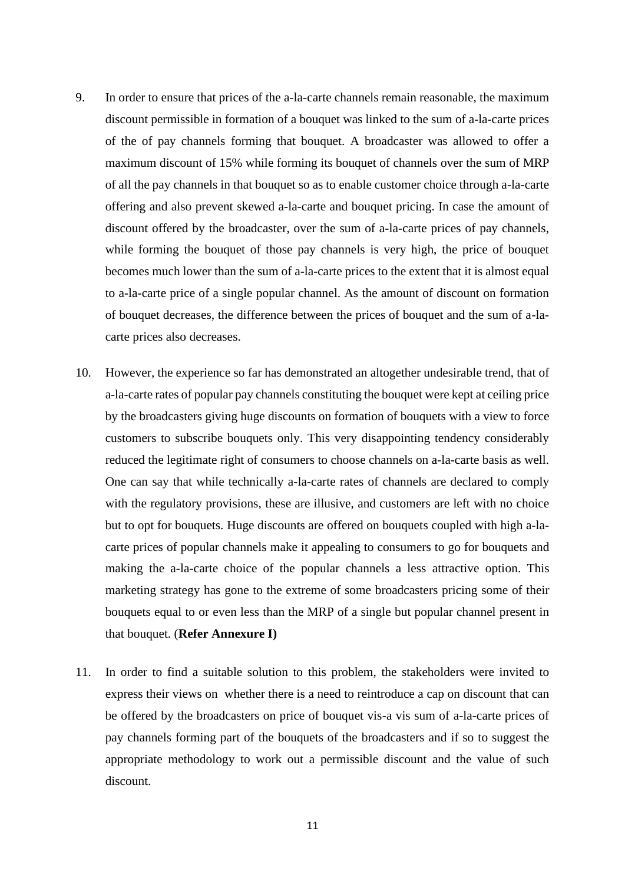- 9. In order to ensure that prices of the a-la-carte channels remain reasonable, the maximum discount permissible in formation of a bouquet was linked to the sum of a-la-carte prices of the of pay channels forming that bouquet. A broadcaster was allowed to offer a maximum discount of 15% while forming its bouquet of channels over the sum of MRP of all the pay channels in that bouquet so as to enable customer choice through a-la-carte offering and also prevent skewed a-la-carte and bouquet pricing. In case the amount of discount offered by the broadcaster, over the sum of a-la-carte prices of pay channels, while forming the bouquet of those pay channels is very high, the price of bouquet becomes much lower than the sum of a-la-carte prices to the extent that it is almost equal to a-la-carte price of a single popular channel. As the amount of discount on formation of bouquet decreases, the difference between the prices of bouquet and the sum of a-lacarte prices also decreases.
- 10. However, the experience so far has demonstrated an altogether undesirable trend, that of a-la-carte rates of popular pay channels constituting the bouquet were kept at ceiling price by the broadcasters giving huge discounts on formation of bouquets with a view to force customers to subscribe bouquets only. This very disappointing tendency considerably reduced the legitimate right of consumers to choose channels on a-la-carte basis as well. One can say that while technically a-la-carte rates of channels are declared to comply with the regulatory provisions, these are illusive, and customers are left with no choice but to opt for bouquets. Huge discounts are offered on bouquets coupled with high a-lacarte prices of popular channels make it appealing to consumers to go for bouquets and making the a-la-carte choice of the popular channels a less attractive option. This marketing strategy has gone to the extreme of some broadcasters pricing some of their bouquets equal to or even less than the MRP of a single but popular channel present in that bouquet. (**Refer Annexure I)**
- 11. In order to find a suitable solution to this problem, the stakeholders were invited to express their views on whether there is a need to reintroduce a cap on discount that can be offered by the broadcasters on price of bouquet vis-a vis sum of a-la-carte prices of pay channels forming part of the bouquets of the broadcasters and if so to suggest the appropriate methodology to work out a permissible discount and the value of such discount.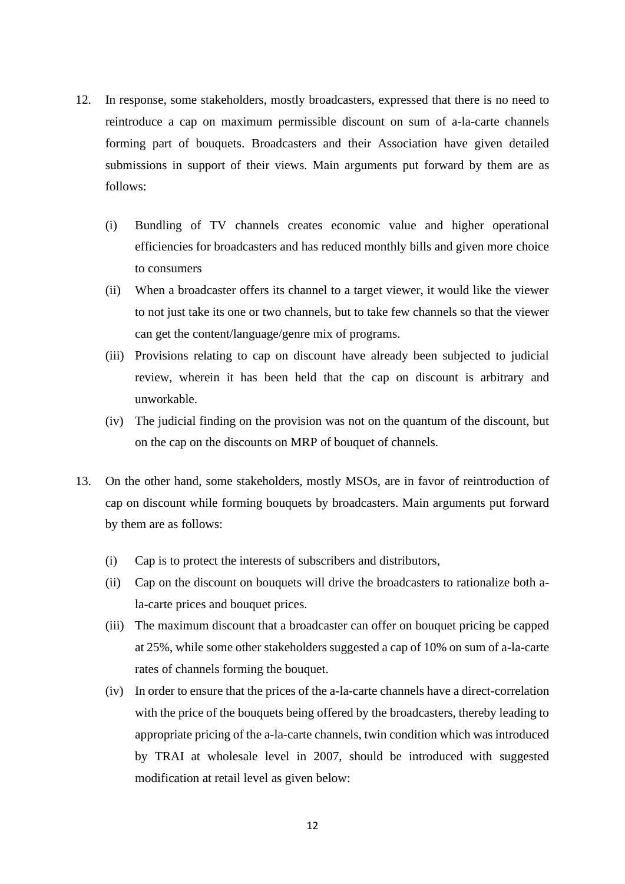- 12. In response, some stakeholders, mostly broadcasters, expressed that there is no need to reintroduce a cap on maximum permissible discount on sum of a-la-carte channels forming part of bouquets. Broadcasters and their Association have given detailed submissions in support of their views. Main arguments put forward by them are as follows:
	- (i) Bundling of TV channels creates economic value and higher operational efficiencies for broadcasters and has reduced monthly bills and given more choice to consumers
	- (ii) When a broadcaster offers its channel to a target viewer, it would like the viewer to not just take its one or two channels, but to take few channels so that the viewer can get the content/language/genre mix of programs.
	- (iii) Provisions relating to cap on discount have already been subjected to judicial review, wherein it has been held that the cap on discount is arbitrary and unworkable.
	- (iv) The judicial finding on the provision was not on the quantum of the discount, but on the cap on the discounts on MRP of bouquet of channels.
- 13. On the other hand, some stakeholders, mostly MSOs, are in favor of reintroduction of cap on discount while forming bouquets by broadcasters. Main arguments put forward by them are as follows:
	- (i) Cap is to protect the interests of subscribers and distributors,
	- (ii) Cap on the discount on bouquets will drive the broadcasters to rationalize both ala-carte prices and bouquet prices.
	- (iii) The maximum discount that a broadcaster can offer on bouquet pricing be capped at 25%, while some other stakeholders suggested a cap of 10% on sum of a-la-carte rates of channels forming the bouquet.
	- (iv) In order to ensure that the prices of the a-la-carte channels have a direct-correlation with the price of the bouquets being offered by the broadcasters, thereby leading to appropriate pricing of the a-la-carte channels, twin condition which was introduced by TRAI at wholesale level in 2007, should be introduced with suggested modification at retail level as given below: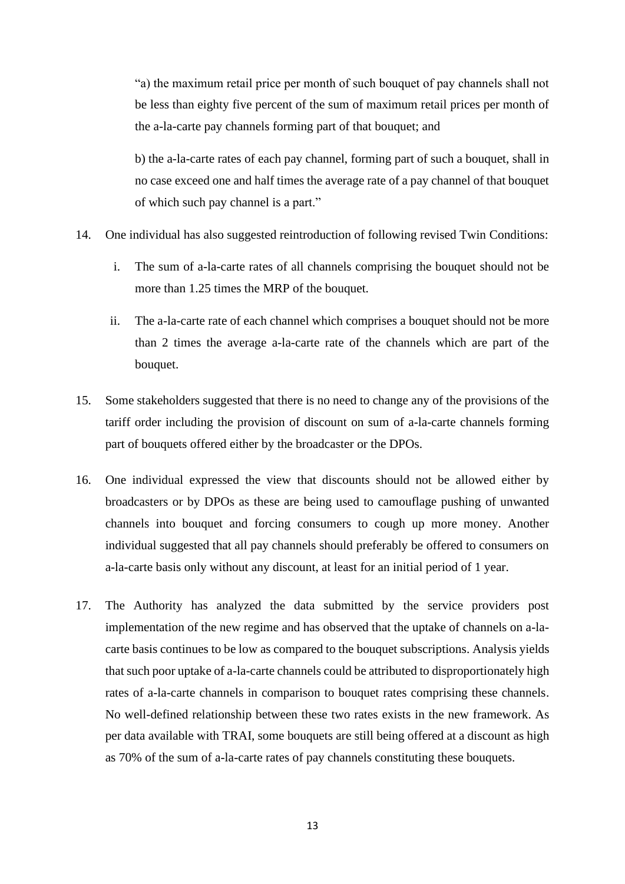"a) the maximum retail price per month of such bouquet of pay channels shall not be less than eighty five percent of the sum of maximum retail prices per month of the a-la-carte pay channels forming part of that bouquet; and

b) the a-la-carte rates of each pay channel, forming part of such a bouquet, shall in no case exceed one and half times the average rate of a pay channel of that bouquet of which such pay channel is a part."

- 14. One individual has also suggested reintroduction of following revised Twin Conditions:
	- i. The sum of a-la-carte rates of all channels comprising the bouquet should not be more than 1.25 times the MRP of the bouquet.
	- ii. The a-la-carte rate of each channel which comprises a bouquet should not be more than 2 times the average a-la-carte rate of the channels which are part of the bouquet.
- 15. Some stakeholders suggested that there is no need to change any of the provisions of the tariff order including the provision of discount on sum of a-la-carte channels forming part of bouquets offered either by the broadcaster or the DPOs.
- 16. One individual expressed the view that discounts should not be allowed either by broadcasters or by DPOs as these are being used to camouflage pushing of unwanted channels into bouquet and forcing consumers to cough up more money. Another individual suggested that all pay channels should preferably be offered to consumers on a-la-carte basis only without any discount, at least for an initial period of 1 year.
- 17. The Authority has analyzed the data submitted by the service providers post implementation of the new regime and has observed that the uptake of channels on a-lacarte basis continues to be low as compared to the bouquet subscriptions. Analysis yields that such poor uptake of a-la-carte channels could be attributed to disproportionately high rates of a-la-carte channels in comparison to bouquet rates comprising these channels. No well-defined relationship between these two rates exists in the new framework. As per data available with TRAI, some bouquets are still being offered at a discount as high as 70% of the sum of a-la-carte rates of pay channels constituting these bouquets.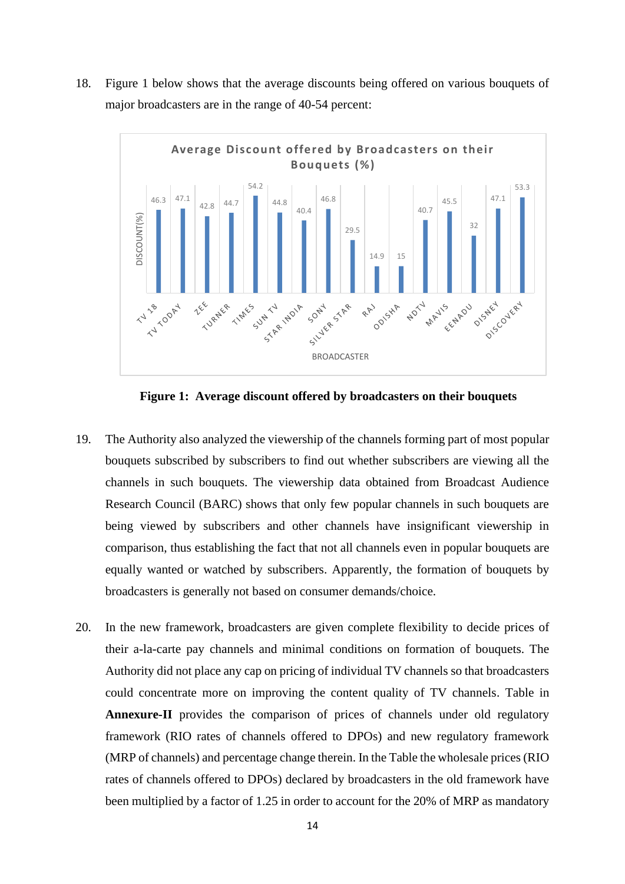18. Figure 1 below shows that the average discounts being offered on various bouquets of major broadcasters are in the range of 40-54 percent:



**Figure 1: Average discount offered by broadcasters on their bouquets**

- 19. The Authority also analyzed the viewership of the channels forming part of most popular bouquets subscribed by subscribers to find out whether subscribers are viewing all the channels in such bouquets. The viewership data obtained from Broadcast Audience Research Council (BARC) shows that only few popular channels in such bouquets are being viewed by subscribers and other channels have insignificant viewership in comparison, thus establishing the fact that not all channels even in popular bouquets are equally wanted or watched by subscribers. Apparently, the formation of bouquets by broadcasters is generally not based on consumer demands/choice.
- 20. In the new framework, broadcasters are given complete flexibility to decide prices of their a-la-carte pay channels and minimal conditions on formation of bouquets. The Authority did not place any cap on pricing of individual TV channels so that broadcasters could concentrate more on improving the content quality of TV channels. Table in **Annexure-II** provides the comparison of prices of channels under old regulatory framework (RIO rates of channels offered to DPOs) and new regulatory framework (MRP of channels) and percentage change therein. In the Table the wholesale prices(RIO rates of channels offered to DPOs) declared by broadcasters in the old framework have been multiplied by a factor of 1.25 in order to account for the 20% of MRP as mandatory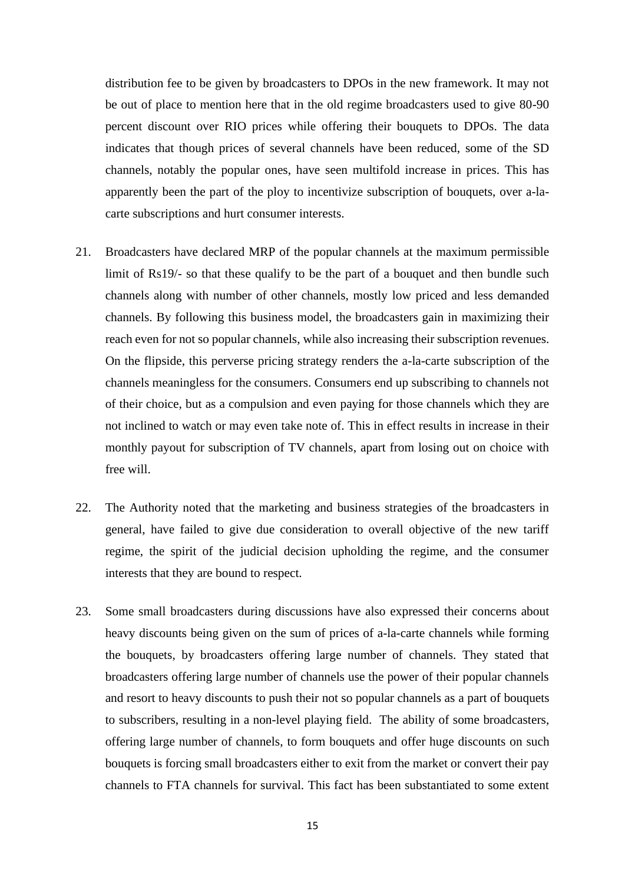distribution fee to be given by broadcasters to DPOs in the new framework. It may not be out of place to mention here that in the old regime broadcasters used to give 80-90 percent discount over RIO prices while offering their bouquets to DPOs. The data indicates that though prices of several channels have been reduced, some of the SD channels, notably the popular ones, have seen multifold increase in prices. This has apparently been the part of the ploy to incentivize subscription of bouquets, over a-lacarte subscriptions and hurt consumer interests.

- 21. Broadcasters have declared MRP of the popular channels at the maximum permissible limit of Rs19/- so that these qualify to be the part of a bouquet and then bundle such channels along with number of other channels, mostly low priced and less demanded channels. By following this business model, the broadcasters gain in maximizing their reach even for not so popular channels, while also increasing their subscription revenues. On the flipside, this perverse pricing strategy renders the a-la-carte subscription of the channels meaningless for the consumers. Consumers end up subscribing to channels not of their choice, but as a compulsion and even paying for those channels which they are not inclined to watch or may even take note of. This in effect results in increase in their monthly payout for subscription of TV channels, apart from losing out on choice with free will.
- 22. The Authority noted that the marketing and business strategies of the broadcasters in general, have failed to give due consideration to overall objective of the new tariff regime, the spirit of the judicial decision upholding the regime, and the consumer interests that they are bound to respect.
- 23. Some small broadcasters during discussions have also expressed their concerns about heavy discounts being given on the sum of prices of a-la-carte channels while forming the bouquets, by broadcasters offering large number of channels. They stated that broadcasters offering large number of channels use the power of their popular channels and resort to heavy discounts to push their not so popular channels as a part of bouquets to subscribers, resulting in a non-level playing field. The ability of some broadcasters, offering large number of channels, to form bouquets and offer huge discounts on such bouquets is forcing small broadcasters either to exit from the market or convert their pay channels to FTA channels for survival. This fact has been substantiated to some extent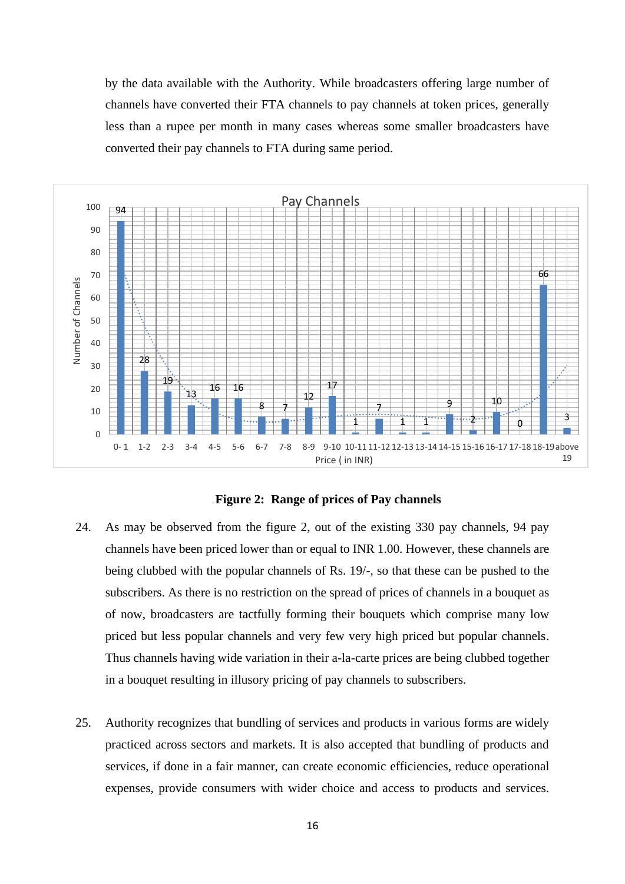by the data available with the Authority. While broadcasters offering large number of channels have converted their FTA channels to pay channels at token prices, generally less than a rupee per month in many cases whereas some smaller broadcasters have converted their pay channels to FTA during same period.



**Figure 2: Range of prices of Pay channels** 

- 24. As may be observed from the figure 2, out of the existing 330 pay channels, 94 pay channels have been priced lower than or equal to INR 1.00. However, these channels are being clubbed with the popular channels of Rs. 19/-, so that these can be pushed to the subscribers. As there is no restriction on the spread of prices of channels in a bouquet as of now, broadcasters are tactfully forming their bouquets which comprise many low priced but less popular channels and very few very high priced but popular channels. Thus channels having wide variation in their a-la-carte prices are being clubbed together in a bouquet resulting in illusory pricing of pay channels to subscribers.
- 25. Authority recognizes that bundling of services and products in various forms are widely practiced across sectors and markets. It is also accepted that bundling of products and services, if done in a fair manner, can create economic efficiencies, reduce operational expenses, provide consumers with wider choice and access to products and services.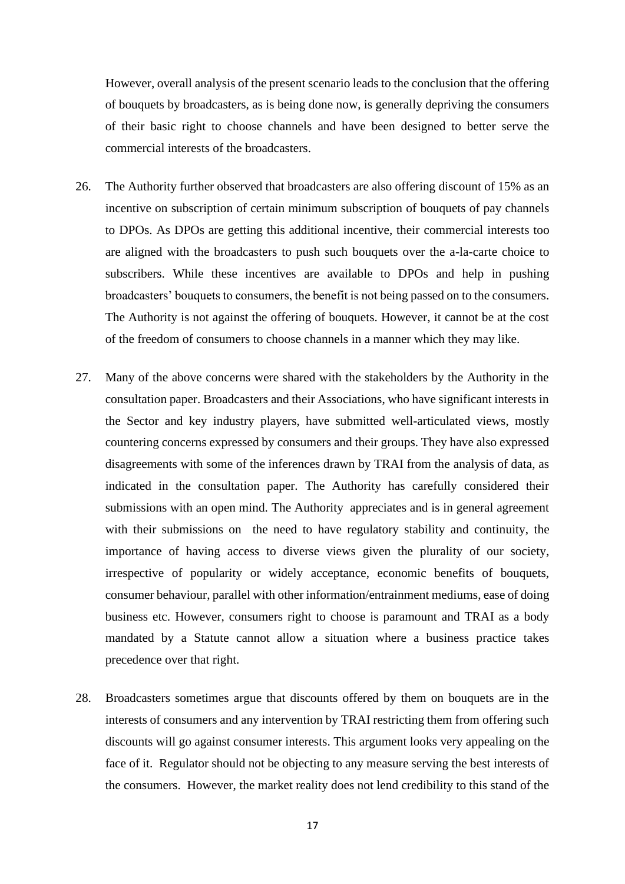However, overall analysis of the present scenario leads to the conclusion that the offering of bouquets by broadcasters, as is being done now, is generally depriving the consumers of their basic right to choose channels and have been designed to better serve the commercial interests of the broadcasters.

- 26. The Authority further observed that broadcasters are also offering discount of 15% as an incentive on subscription of certain minimum subscription of bouquets of pay channels to DPOs. As DPOs are getting this additional incentive, their commercial interests too are aligned with the broadcasters to push such bouquets over the a-la-carte choice to subscribers. While these incentives are available to DPOs and help in pushing broadcasters' bouquets to consumers, the benefit is not being passed on to the consumers. The Authority is not against the offering of bouquets. However, it cannot be at the cost of the freedom of consumers to choose channels in a manner which they may like.
- 27. Many of the above concerns were shared with the stakeholders by the Authority in the consultation paper. Broadcasters and their Associations, who have significant interests in the Sector and key industry players, have submitted well-articulated views, mostly countering concerns expressed by consumers and their groups. They have also expressed disagreements with some of the inferences drawn by TRAI from the analysis of data, as indicated in the consultation paper. The Authority has carefully considered their submissions with an open mind. The Authority appreciates and is in general agreement with their submissions on the need to have regulatory stability and continuity, the importance of having access to diverse views given the plurality of our society, irrespective of popularity or widely acceptance, economic benefits of bouquets, consumer behaviour, parallel with other information/entrainment mediums, ease of doing business etc. However, consumers right to choose is paramount and TRAI as a body mandated by a Statute cannot allow a situation where a business practice takes precedence over that right.
- 28. Broadcasters sometimes argue that discounts offered by them on bouquets are in the interests of consumers and any intervention by TRAI restricting them from offering such discounts will go against consumer interests. This argument looks very appealing on the face of it. Regulator should not be objecting to any measure serving the best interests of the consumers. However, the market reality does not lend credibility to this stand of the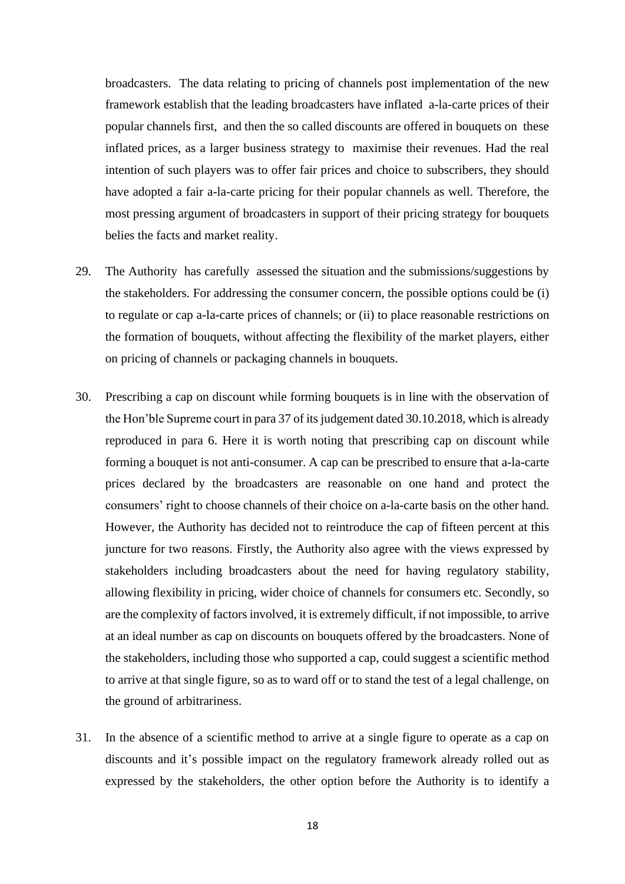broadcasters. The data relating to pricing of channels post implementation of the new framework establish that the leading broadcasters have inflated a-la-carte prices of their popular channels first, and then the so called discounts are offered in bouquets on these inflated prices, as a larger business strategy to maximise their revenues. Had the real intention of such players was to offer fair prices and choice to subscribers, they should have adopted a fair a-la-carte pricing for their popular channels as well. Therefore, the most pressing argument of broadcasters in support of their pricing strategy for bouquets belies the facts and market reality.

- 29. The Authority has carefully assessed the situation and the submissions/suggestions by the stakeholders. For addressing the consumer concern, the possible options could be (i) to regulate or cap a-la-carte prices of channels; or (ii) to place reasonable restrictions on the formation of bouquets, without affecting the flexibility of the market players, either on pricing of channels or packaging channels in bouquets.
- 30. Prescribing a cap on discount while forming bouquets is in line with the observation of the Hon'ble Supreme court in para 37 of its judgement dated 30.10.2018, which is already reproduced in para 6. Here it is worth noting that prescribing cap on discount while forming a bouquet is not anti-consumer. A cap can be prescribed to ensure that a-la-carte prices declared by the broadcasters are reasonable on one hand and protect the consumers' right to choose channels of their choice on a-la-carte basis on the other hand. However, the Authority has decided not to reintroduce the cap of fifteen percent at this juncture for two reasons. Firstly, the Authority also agree with the views expressed by stakeholders including broadcasters about the need for having regulatory stability, allowing flexibility in pricing, wider choice of channels for consumers etc. Secondly, so are the complexity of factors involved, it is extremely difficult, if not impossible, to arrive at an ideal number as cap on discounts on bouquets offered by the broadcasters. None of the stakeholders, including those who supported a cap, could suggest a scientific method to arrive at that single figure, so as to ward off or to stand the test of a legal challenge, on the ground of arbitrariness.
- 31. In the absence of a scientific method to arrive at a single figure to operate as a cap on discounts and it's possible impact on the regulatory framework already rolled out as expressed by the stakeholders, the other option before the Authority is to identify a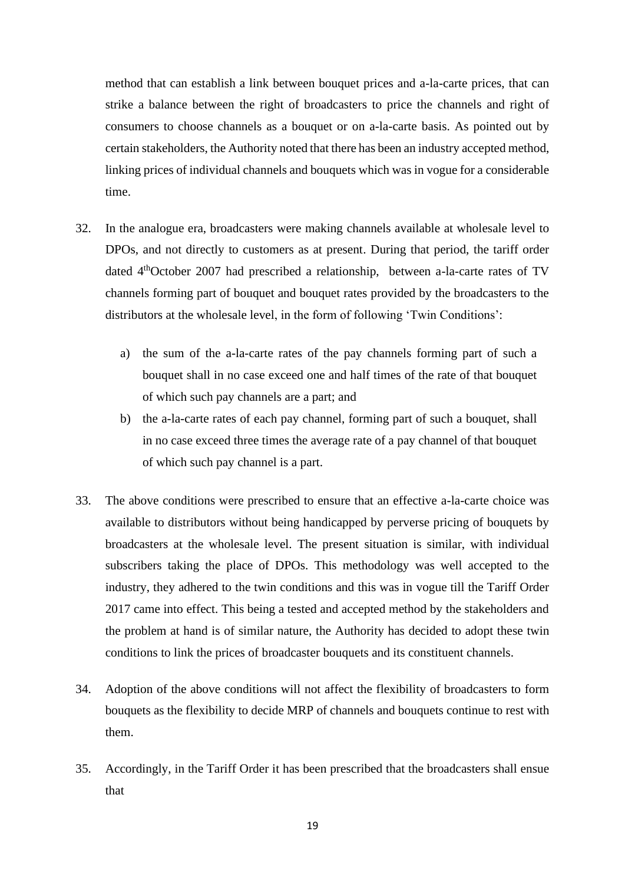method that can establish a link between bouquet prices and a-la-carte prices, that can strike a balance between the right of broadcasters to price the channels and right of consumers to choose channels as a bouquet or on a-la-carte basis. As pointed out by certain stakeholders, the Authority noted that there has been an industry accepted method, linking prices of individual channels and bouquets which was in vogue for a considerable time.

- 32. In the analogue era, broadcasters were making channels available at wholesale level to DPOs, and not directly to customers as at present. During that period, the tariff order dated 4<sup>th</sup>October 2007 had prescribed a relationship, between a-la-carte rates of TV channels forming part of bouquet and bouquet rates provided by the broadcasters to the distributors at the wholesale level, in the form of following 'Twin Conditions':
	- a) the sum of the a-la-carte rates of the pay channels forming part of such a bouquet shall in no case exceed one and half times of the rate of that bouquet of which such pay channels are a part; and
	- b) the a-la-carte rates of each pay channel, forming part of such a bouquet, shall in no case exceed three times the average rate of a pay channel of that bouquet of which such pay channel is a part.
- 33. The above conditions were prescribed to ensure that an effective a-la-carte choice was available to distributors without being handicapped by perverse pricing of bouquets by broadcasters at the wholesale level. The present situation is similar, with individual subscribers taking the place of DPOs. This methodology was well accepted to the industry, they adhered to the twin conditions and this was in vogue till the Tariff Order 2017 came into effect. This being a tested and accepted method by the stakeholders and the problem at hand is of similar nature, the Authority has decided to adopt these twin conditions to link the prices of broadcaster bouquets and its constituent channels.
- 34. Adoption of the above conditions will not affect the flexibility of broadcasters to form bouquets as the flexibility to decide MRP of channels and bouquets continue to rest with them.
- 35. Accordingly, in the Tariff Order it has been prescribed that the broadcasters shall ensue that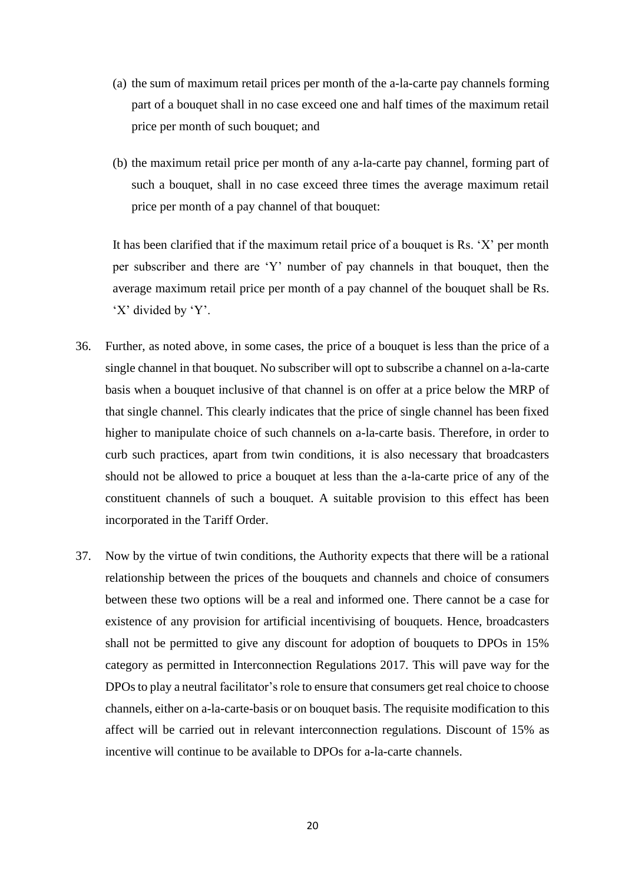- (a) the sum of maximum retail prices per month of the a-la-carte pay channels forming part of a bouquet shall in no case exceed one and half times of the maximum retail price per month of such bouquet; and
- (b) the maximum retail price per month of any a-la-carte pay channel, forming part of such a bouquet, shall in no case exceed three times the average maximum retail price per month of a pay channel of that bouquet:

It has been clarified that if the maximum retail price of a bouquet is Rs. 'X' per month per subscriber and there are 'Y' number of pay channels in that bouquet, then the average maximum retail price per month of a pay channel of the bouquet shall be Rs. 'X' divided by 'Y'.

- 36. Further, as noted above, in some cases, the price of a bouquet is less than the price of a single channel in that bouquet. No subscriber will opt to subscribe a channel on a-la-carte basis when a bouquet inclusive of that channel is on offer at a price below the MRP of that single channel. This clearly indicates that the price of single channel has been fixed higher to manipulate choice of such channels on a-la-carte basis. Therefore, in order to curb such practices, apart from twin conditions, it is also necessary that broadcasters should not be allowed to price a bouquet at less than the a-la-carte price of any of the constituent channels of such a bouquet. A suitable provision to this effect has been incorporated in the Tariff Order.
- 37. Now by the virtue of twin conditions, the Authority expects that there will be a rational relationship between the prices of the bouquets and channels and choice of consumers between these two options will be a real and informed one. There cannot be a case for existence of any provision for artificial incentivising of bouquets. Hence, broadcasters shall not be permitted to give any discount for adoption of bouquets to DPOs in 15% category as permitted in Interconnection Regulations 2017. This will pave way for the DPOs to play a neutral facilitator's role to ensure that consumers get real choice to choose channels, either on a-la-carte-basis or on bouquet basis. The requisite modification to this affect will be carried out in relevant interconnection regulations. Discount of 15% as incentive will continue to be available to DPOs for a-la-carte channels.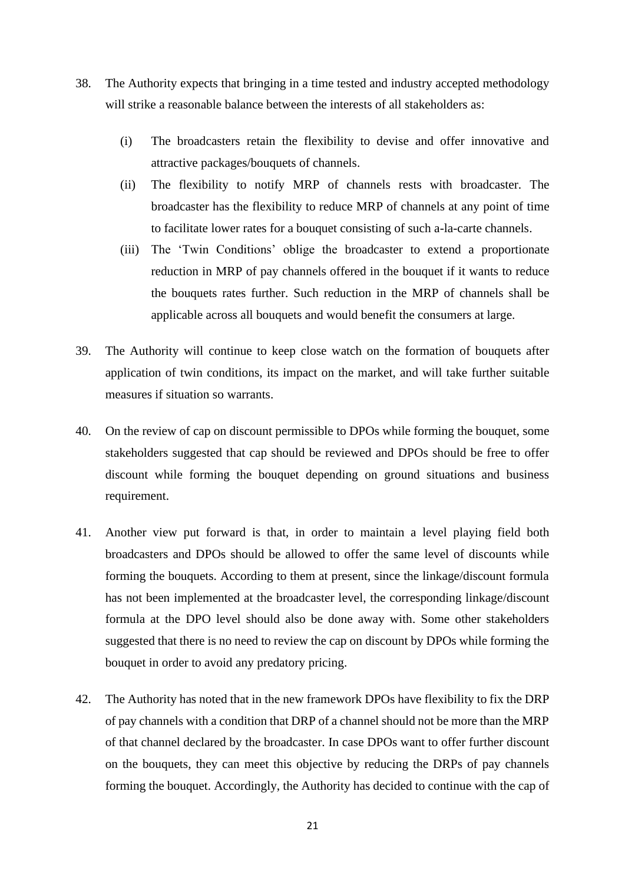- 38. The Authority expects that bringing in a time tested and industry accepted methodology will strike a reasonable balance between the interests of all stakeholders as:
	- (i) The broadcasters retain the flexibility to devise and offer innovative and attractive packages/bouquets of channels.
	- (ii) The flexibility to notify MRP of channels rests with broadcaster. The broadcaster has the flexibility to reduce MRP of channels at any point of time to facilitate lower rates for a bouquet consisting of such a-la-carte channels.
	- (iii) The 'Twin Conditions' oblige the broadcaster to extend a proportionate reduction in MRP of pay channels offered in the bouquet if it wants to reduce the bouquets rates further. Such reduction in the MRP of channels shall be applicable across all bouquets and would benefit the consumers at large.
- 39. The Authority will continue to keep close watch on the formation of bouquets after application of twin conditions, its impact on the market, and will take further suitable measures if situation so warrants.
- 40. On the review of cap on discount permissible to DPOs while forming the bouquet, some stakeholders suggested that cap should be reviewed and DPOs should be free to offer discount while forming the bouquet depending on ground situations and business requirement.
- 41. Another view put forward is that, in order to maintain a level playing field both broadcasters and DPOs should be allowed to offer the same level of discounts while forming the bouquets. According to them at present, since the linkage/discount formula has not been implemented at the broadcaster level, the corresponding linkage/discount formula at the DPO level should also be done away with. Some other stakeholders suggested that there is no need to review the cap on discount by DPOs while forming the bouquet in order to avoid any predatory pricing.
- 42. The Authority has noted that in the new framework DPOs have flexibility to fix the DRP of pay channels with a condition that DRP of a channel should not be more than the MRP of that channel declared by the broadcaster. In case DPOs want to offer further discount on the bouquets, they can meet this objective by reducing the DRPs of pay channels forming the bouquet. Accordingly, the Authority has decided to continue with the cap of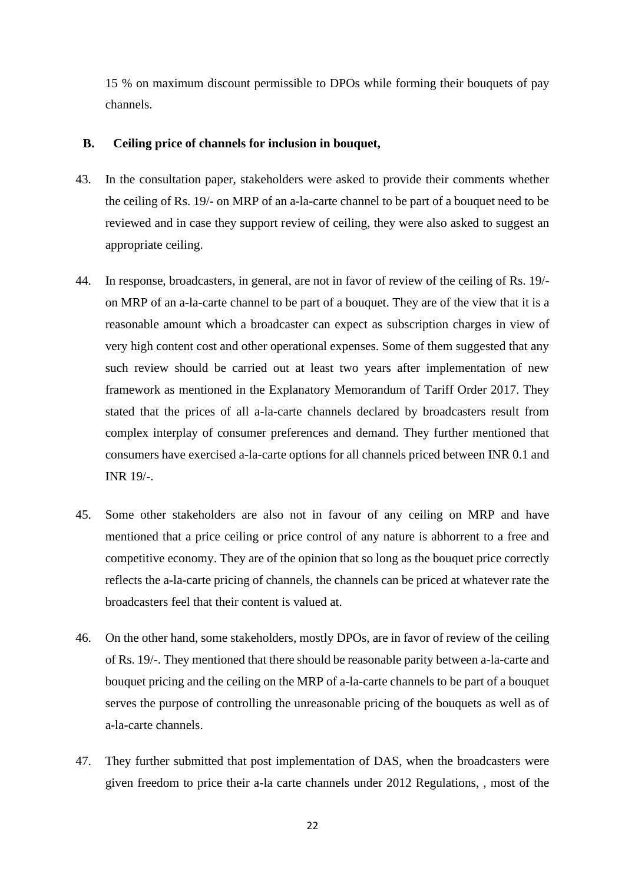15 % on maximum discount permissible to DPOs while forming their bouquets of pay channels.

#### **B. Ceiling price of channels for inclusion in bouquet,**

- 43. In the consultation paper, stakeholders were asked to provide their comments whether the ceiling of Rs. 19/- on MRP of an a-la-carte channel to be part of a bouquet need to be reviewed and in case they support review of ceiling, they were also asked to suggest an appropriate ceiling.
- 44. In response, broadcasters, in general, are not in favor of review of the ceiling of Rs. 19/ on MRP of an a-la-carte channel to be part of a bouquet. They are of the view that it is a reasonable amount which a broadcaster can expect as subscription charges in view of very high content cost and other operational expenses. Some of them suggested that any such review should be carried out at least two years after implementation of new framework as mentioned in the Explanatory Memorandum of Tariff Order 2017. They stated that the prices of all a-la-carte channels declared by broadcasters result from complex interplay of consumer preferences and demand. They further mentioned that consumers have exercised a-la-carte options for all channels priced between INR 0.1 and INR 19/-.
- 45. Some other stakeholders are also not in favour of any ceiling on MRP and have mentioned that a price ceiling or price control of any nature is abhorrent to a free and competitive economy. They are of the opinion that so long as the bouquet price correctly reflects the a-la-carte pricing of channels, the channels can be priced at whatever rate the broadcasters feel that their content is valued at.
- 46. On the other hand, some stakeholders, mostly DPOs, are in favor of review of the ceiling of Rs. 19/-. They mentioned that there should be reasonable parity between a-la-carte and bouquet pricing and the ceiling on the MRP of a-la-carte channels to be part of a bouquet serves the purpose of controlling the unreasonable pricing of the bouquets as well as of a-la-carte channels.
- 47. They further submitted that post implementation of DAS, when the broadcasters were given freedom to price their a-la carte channels under 2012 Regulations, , most of the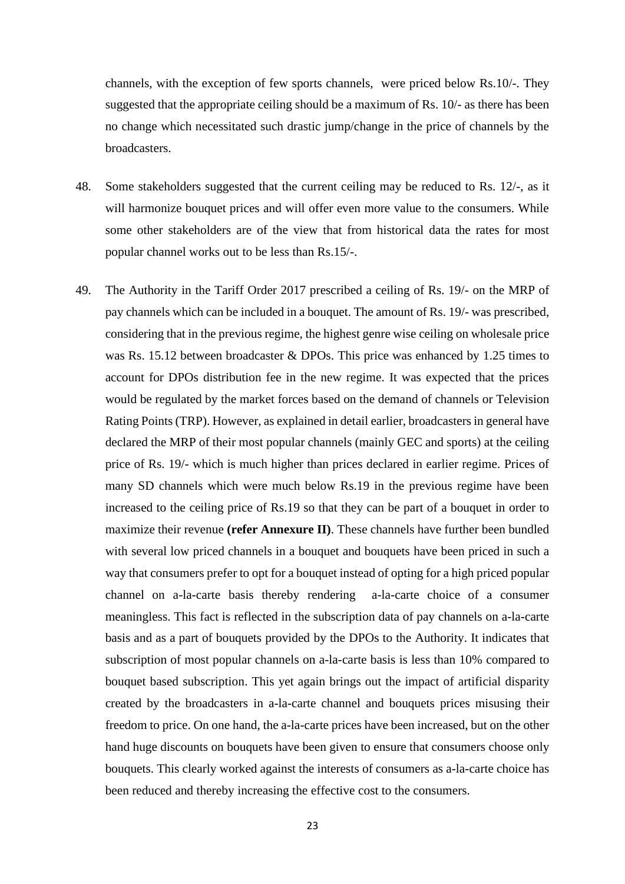channels, with the exception of few sports channels, were priced below Rs.10/-. They suggested that the appropriate ceiling should be a maximum of Rs. 10/- as there has been no change which necessitated such drastic jump/change in the price of channels by the broadcasters.

- 48. Some stakeholders suggested that the current ceiling may be reduced to Rs. 12/-, as it will harmonize bouquet prices and will offer even more value to the consumers. While some other stakeholders are of the view that from historical data the rates for most popular channel works out to be less than Rs.15/-.
- 49. The Authority in the Tariff Order 2017 prescribed a ceiling of Rs. 19/- on the MRP of pay channels which can be included in a bouquet. The amount of Rs. 19/- was prescribed, considering that in the previous regime, the highest genre wise ceiling on wholesale price was Rs. 15.12 between broadcaster & DPOs. This price was enhanced by 1.25 times to account for DPOs distribution fee in the new regime. It was expected that the prices would be regulated by the market forces based on the demand of channels or Television Rating Points (TRP). However, as explained in detail earlier, broadcastersin general have declared the MRP of their most popular channels (mainly GEC and sports) at the ceiling price of Rs. 19/- which is much higher than prices declared in earlier regime. Prices of many SD channels which were much below Rs.19 in the previous regime have been increased to the ceiling price of Rs.19 so that they can be part of a bouquet in order to maximize their revenue **(refer Annexure II)**. These channels have further been bundled with several low priced channels in a bouquet and bouquets have been priced in such a way that consumers prefer to opt for a bouquet instead of opting for a high priced popular channel on a-la-carte basis thereby rendering a-la-carte choice of a consumer meaningless. This fact is reflected in the subscription data of pay channels on a-la-carte basis and as a part of bouquets provided by the DPOs to the Authority. It indicates that subscription of most popular channels on a-la-carte basis is less than 10% compared to bouquet based subscription. This yet again brings out the impact of artificial disparity created by the broadcasters in a-la-carte channel and bouquets prices misusing their freedom to price. On one hand, the a-la-carte prices have been increased, but on the other hand huge discounts on bouquets have been given to ensure that consumers choose only bouquets. This clearly worked against the interests of consumers as a-la-carte choice has been reduced and thereby increasing the effective cost to the consumers.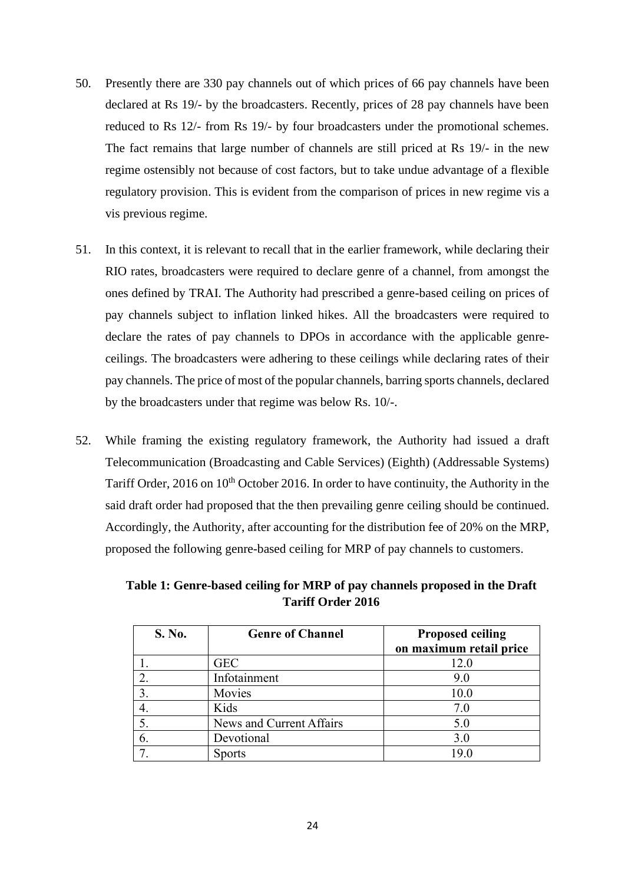- 50. Presently there are 330 pay channels out of which prices of 66 pay channels have been declared at Rs 19/- by the broadcasters. Recently, prices of 28 pay channels have been reduced to Rs 12/- from Rs 19/- by four broadcasters under the promotional schemes. The fact remains that large number of channels are still priced at Rs 19/- in the new regime ostensibly not because of cost factors, but to take undue advantage of a flexible regulatory provision. This is evident from the comparison of prices in new regime vis a vis previous regime.
- 51. In this context, it is relevant to recall that in the earlier framework, while declaring their RIO rates, broadcasters were required to declare genre of a channel, from amongst the ones defined by TRAI. The Authority had prescribed a genre-based ceiling on prices of pay channels subject to inflation linked hikes. All the broadcasters were required to declare the rates of pay channels to DPOs in accordance with the applicable genreceilings. The broadcasters were adhering to these ceilings while declaring rates of their pay channels. The price of most of the popular channels, barring sports channels, declared by the broadcasters under that regime was below Rs. 10/-.
- 52. While framing the existing regulatory framework, the Authority had issued a draft Telecommunication (Broadcasting and Cable Services) (Eighth) (Addressable Systems) Tariff Order, 2016 on 10<sup>th</sup> October 2016. In order to have continuity, the Authority in the said draft order had proposed that the then prevailing genre ceiling should be continued. Accordingly, the Authority, after accounting for the distribution fee of 20% on the MRP, proposed the following genre-based ceiling for MRP of pay channels to customers.

**Table 1: Genre-based ceiling for MRP of pay channels proposed in the Draft Tariff Order 2016**

| S. No. | <b>Genre of Channel</b>  | <b>Proposed ceiling</b><br>on maximum retail price |
|--------|--------------------------|----------------------------------------------------|
|        | <b>GEC</b>               | 12.0                                               |
|        | Infotainment             | 9.0                                                |
|        | Movies                   | 10.0                                               |
|        | Kids                     | 7.0                                                |
|        | News and Current Affairs | 5.0                                                |
|        | Devotional               | 3.0                                                |
|        | <b>Sports</b>            | 19.0                                               |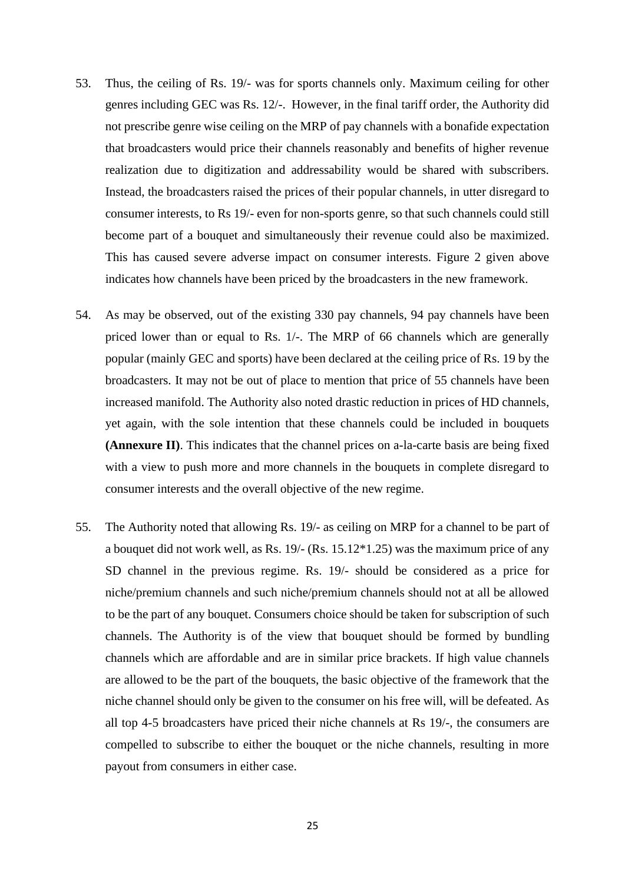- 53. Thus, the ceiling of Rs. 19/- was for sports channels only. Maximum ceiling for other genres including GEC was Rs. 12/-. However, in the final tariff order, the Authority did not prescribe genre wise ceiling on the MRP of pay channels with a bonafide expectation that broadcasters would price their channels reasonably and benefits of higher revenue realization due to digitization and addressability would be shared with subscribers. Instead, the broadcasters raised the prices of their popular channels, in utter disregard to consumer interests, to Rs 19/- even for non-sports genre, so that such channels could still become part of a bouquet and simultaneously their revenue could also be maximized. This has caused severe adverse impact on consumer interests. Figure 2 given above indicates how channels have been priced by the broadcasters in the new framework.
- 54. As may be observed, out of the existing 330 pay channels, 94 pay channels have been priced lower than or equal to Rs. 1/-. The MRP of 66 channels which are generally popular (mainly GEC and sports) have been declared at the ceiling price of Rs. 19 by the broadcasters. It may not be out of place to mention that price of 55 channels have been increased manifold. The Authority also noted drastic reduction in prices of HD channels, yet again, with the sole intention that these channels could be included in bouquets **(Annexure II)**. This indicates that the channel prices on a-la-carte basis are being fixed with a view to push more and more channels in the bouquets in complete disregard to consumer interests and the overall objective of the new regime.
- 55. The Authority noted that allowing Rs. 19/- as ceiling on MRP for a channel to be part of a bouquet did not work well, as Rs. 19/- (Rs. 15.12\*1.25) was the maximum price of any SD channel in the previous regime. Rs. 19/- should be considered as a price for niche/premium channels and such niche/premium channels should not at all be allowed to be the part of any bouquet. Consumers choice should be taken for subscription of such channels. The Authority is of the view that bouquet should be formed by bundling channels which are affordable and are in similar price brackets. If high value channels are allowed to be the part of the bouquets, the basic objective of the framework that the niche channel should only be given to the consumer on his free will, will be defeated. As all top 4-5 broadcasters have priced their niche channels at Rs 19/-, the consumers are compelled to subscribe to either the bouquet or the niche channels, resulting in more payout from consumers in either case.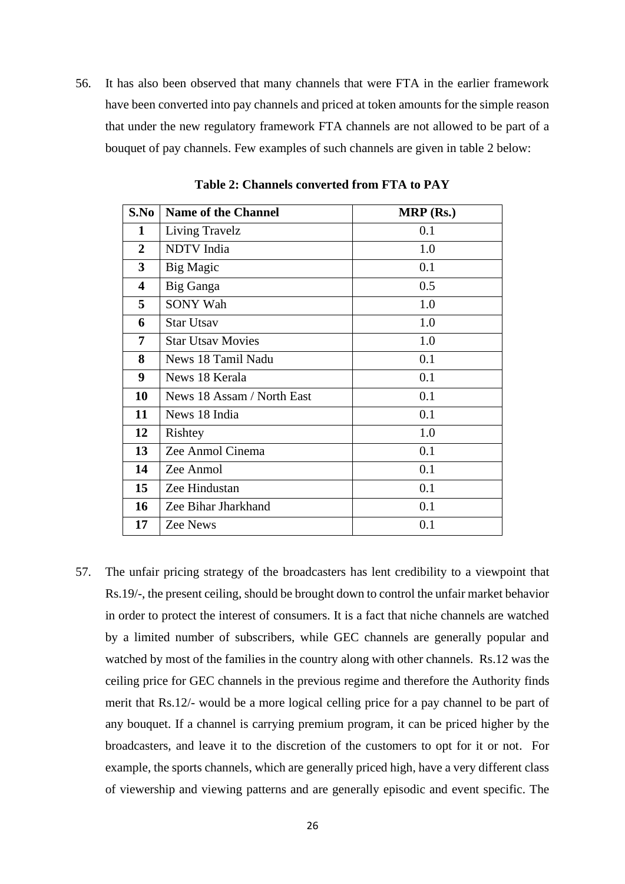56. It has also been observed that many channels that were FTA in the earlier framework have been converted into pay channels and priced at token amounts for the simple reason that under the new regulatory framework FTA channels are not allowed to be part of a bouquet of pay channels. Few examples of such channels are given in table 2 below:

| S.No                    | <b>Name of the Channel</b> | $MRP$ (Rs.) |  |  |
|-------------------------|----------------------------|-------------|--|--|
| 1                       | Living Travelz             | 0.1         |  |  |
| $\overline{2}$          | <b>NDTV</b> India          | 1.0         |  |  |
| $\mathbf{3}$            | Big Magic                  | 0.1         |  |  |
| $\overline{\mathbf{4}}$ | Big Ganga                  | 0.5         |  |  |
| 5                       | <b>SONY Wah</b>            | 1.0         |  |  |
| 6                       | <b>Star Utsav</b>          | 1.0         |  |  |
| $\overline{7}$          | <b>Star Utsay Movies</b>   | 1.0         |  |  |
| 8                       | News 18 Tamil Nadu         | 0.1         |  |  |
| 9                       | News 18 Kerala             | 0.1         |  |  |
| 10                      | News 18 Assam / North East | 0.1         |  |  |
| 11                      | News 18 India              | 0.1         |  |  |
| 12                      | Rishtey                    | 1.0         |  |  |
| 13                      | Zee Anmol Cinema           | 0.1         |  |  |
| 14                      | Zee Anmol                  | 0.1         |  |  |
| 15                      | Zee Hindustan              | 0.1         |  |  |
| 16                      | Zee Bihar Jharkhand        | 0.1         |  |  |
| 17                      | Zee News                   | 0.1         |  |  |

**Table 2: Channels converted from FTA to PAY**

57. The unfair pricing strategy of the broadcasters has lent credibility to a viewpoint that Rs.19/-, the present ceiling, should be brought down to control the unfair market behavior in order to protect the interest of consumers. It is a fact that niche channels are watched by a limited number of subscribers, while GEC channels are generally popular and watched by most of the families in the country along with other channels. Rs.12 was the ceiling price for GEC channels in the previous regime and therefore the Authority finds merit that Rs.12/- would be a more logical celling price for a pay channel to be part of any bouquet. If a channel is carrying premium program, it can be priced higher by the broadcasters, and leave it to the discretion of the customers to opt for it or not. For example, the sports channels, which are generally priced high, have a very different class of viewership and viewing patterns and are generally episodic and event specific. The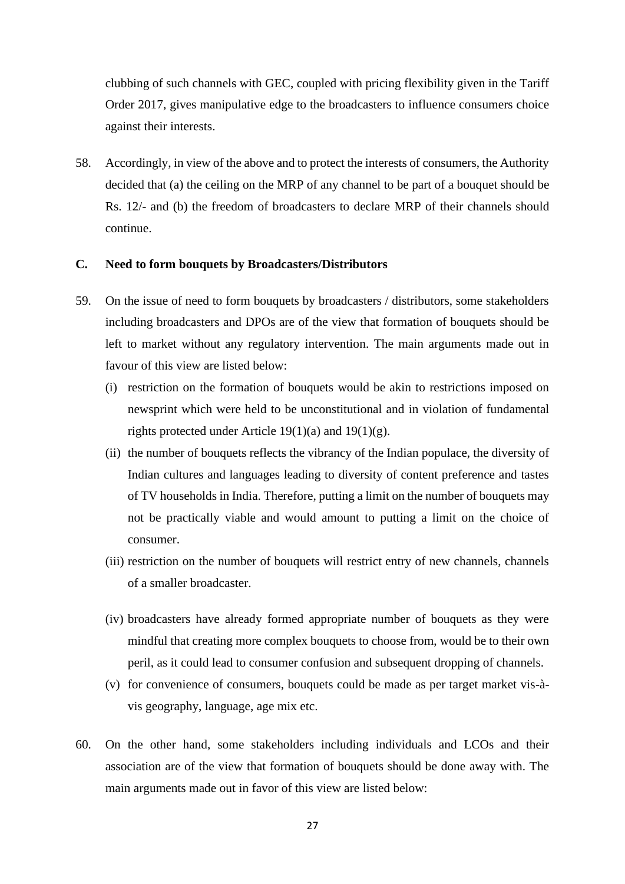clubbing of such channels with GEC, coupled with pricing flexibility given in the Tariff Order 2017, gives manipulative edge to the broadcasters to influence consumers choice against their interests.

58. Accordingly, in view of the above and to protect the interests of consumers, the Authority decided that (a) the ceiling on the MRP of any channel to be part of a bouquet should be Rs. 12/- and (b) the freedom of broadcasters to declare MRP of their channels should continue.

# **C. Need to form bouquets by Broadcasters/Distributors**

- 59. On the issue of need to form bouquets by broadcasters / distributors, some stakeholders including broadcasters and DPOs are of the view that formation of bouquets should be left to market without any regulatory intervention. The main arguments made out in favour of this view are listed below:
	- (i) restriction on the formation of bouquets would be akin to restrictions imposed on newsprint which were held to be unconstitutional and in violation of fundamental rights protected under Article 19(1)(a) and 19(1)(g).
	- (ii) the number of bouquets reflects the vibrancy of the Indian populace, the diversity of Indian cultures and languages leading to diversity of content preference and tastes of TV households in India. Therefore, putting a limit on the number of bouquets may not be practically viable and would amount to putting a limit on the choice of consumer.
	- (iii) restriction on the number of bouquets will restrict entry of new channels, channels of a smaller broadcaster.
	- (iv) broadcasters have already formed appropriate number of bouquets as they were mindful that creating more complex bouquets to choose from, would be to their own peril, as it could lead to consumer confusion and subsequent dropping of channels.
	- (v) for convenience of consumers, bouquets could be made as per target market vis-àvis geography, language, age mix etc.
- 60. On the other hand, some stakeholders including individuals and LCOs and their association are of the view that formation of bouquets should be done away with. The main arguments made out in favor of this view are listed below: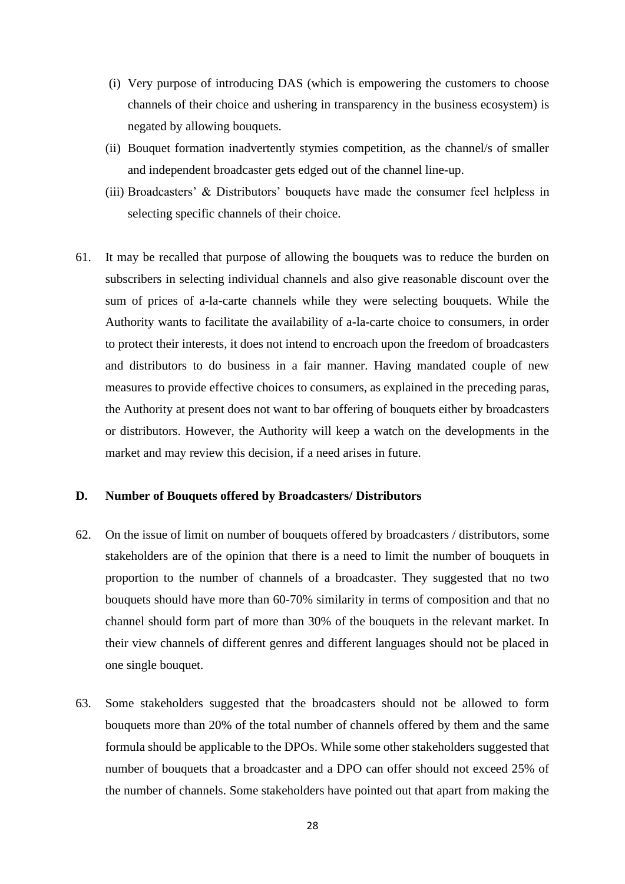- (i) Very purpose of introducing DAS (which is empowering the customers to choose channels of their choice and ushering in transparency in the business ecosystem) is negated by allowing bouquets.
- (ii) Bouquet formation inadvertently stymies competition, as the channel/s of smaller and independent broadcaster gets edged out of the channel line-up.
- (iii) Broadcasters' & Distributors' bouquets have made the consumer feel helpless in selecting specific channels of their choice.
- 61. It may be recalled that purpose of allowing the bouquets was to reduce the burden on subscribers in selecting individual channels and also give reasonable discount over the sum of prices of a-la-carte channels while they were selecting bouquets. While the Authority wants to facilitate the availability of a-la-carte choice to consumers, in order to protect their interests, it does not intend to encroach upon the freedom of broadcasters and distributors to do business in a fair manner. Having mandated couple of new measures to provide effective choices to consumers, as explained in the preceding paras, the Authority at present does not want to bar offering of bouquets either by broadcasters or distributors. However, the Authority will keep a watch on the developments in the market and may review this decision, if a need arises in future.

#### **D. Number of Bouquets offered by Broadcasters/ Distributors**

- 62. On the issue of limit on number of bouquets offered by broadcasters / distributors, some stakeholders are of the opinion that there is a need to limit the number of bouquets in proportion to the number of channels of a broadcaster. They suggested that no two bouquets should have more than 60-70% similarity in terms of composition and that no channel should form part of more than 30% of the bouquets in the relevant market. In their view channels of different genres and different languages should not be placed in one single bouquet.
- 63. Some stakeholders suggested that the broadcasters should not be allowed to form bouquets more than 20% of the total number of channels offered by them and the same formula should be applicable to the DPOs. While some other stakeholders suggested that number of bouquets that a broadcaster and a DPO can offer should not exceed 25% of the number of channels. Some stakeholders have pointed out that apart from making the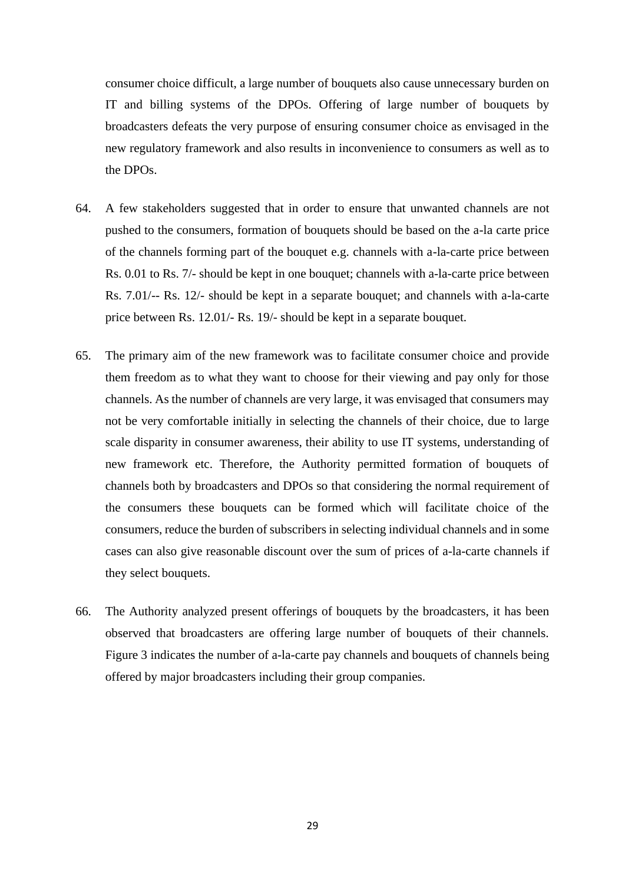consumer choice difficult, a large number of bouquets also cause unnecessary burden on IT and billing systems of the DPOs. Offering of large number of bouquets by broadcasters defeats the very purpose of ensuring consumer choice as envisaged in the new regulatory framework and also results in inconvenience to consumers as well as to the DPOs.

- 64. A few stakeholders suggested that in order to ensure that unwanted channels are not pushed to the consumers, formation of bouquets should be based on the a-la carte price of the channels forming part of the bouquet e.g. channels with a-la-carte price between Rs. 0.01 to Rs. 7/- should be kept in one bouquet; channels with a-la-carte price between Rs. 7.01/-- Rs. 12/- should be kept in a separate bouquet; and channels with a-la-carte price between Rs. 12.01/- Rs. 19/- should be kept in a separate bouquet.
- 65. The primary aim of the new framework was to facilitate consumer choice and provide them freedom as to what they want to choose for their viewing and pay only for those channels. As the number of channels are very large, it was envisaged that consumers may not be very comfortable initially in selecting the channels of their choice, due to large scale disparity in consumer awareness, their ability to use IT systems, understanding of new framework etc. Therefore, the Authority permitted formation of bouquets of channels both by broadcasters and DPOs so that considering the normal requirement of the consumers these bouquets can be formed which will facilitate choice of the consumers, reduce the burden of subscribers in selecting individual channels and in some cases can also give reasonable discount over the sum of prices of a-la-carte channels if they select bouquets.
- 66. The Authority analyzed present offerings of bouquets by the broadcasters, it has been observed that broadcasters are offering large number of bouquets of their channels. Figure 3 indicates the number of a-la-carte pay channels and bouquets of channels being offered by major broadcasters including their group companies.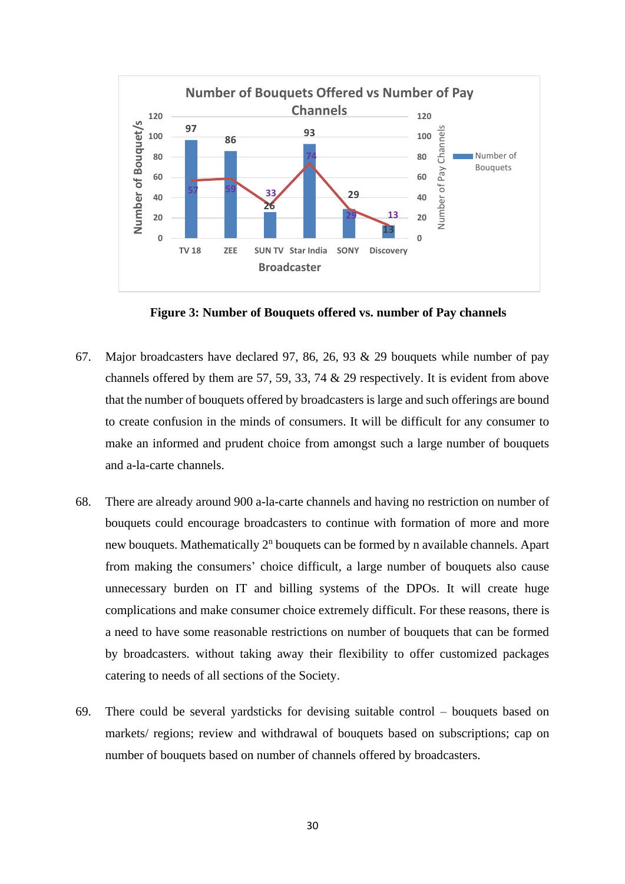

**Figure 3: Number of Bouquets offered vs. number of Pay channels**

- 67. Major broadcasters have declared 97, 86, 26, 93 & 29 bouquets while number of pay channels offered by them are 57, 59, 33, 74 & 29 respectively. It is evident from above that the number of bouquets offered by broadcasters is large and such offerings are bound to create confusion in the minds of consumers. It will be difficult for any consumer to make an informed and prudent choice from amongst such a large number of bouquets and a-la-carte channels.
- 68. There are already around 900 a-la-carte channels and having no restriction on number of bouquets could encourage broadcasters to continue with formation of more and more new bouquets. Mathematically 2<sup>n</sup> bouquets can be formed by n available channels. Apart from making the consumers' choice difficult, a large number of bouquets also cause unnecessary burden on IT and billing systems of the DPOs. It will create huge complications and make consumer choice extremely difficult. For these reasons, there is a need to have some reasonable restrictions on number of bouquets that can be formed by broadcasters. without taking away their flexibility to offer customized packages catering to needs of all sections of the Society.
- 69. There could be several yardsticks for devising suitable control bouquets based on markets/ regions; review and withdrawal of bouquets based on subscriptions; cap on number of bouquets based on number of channels offered by broadcasters.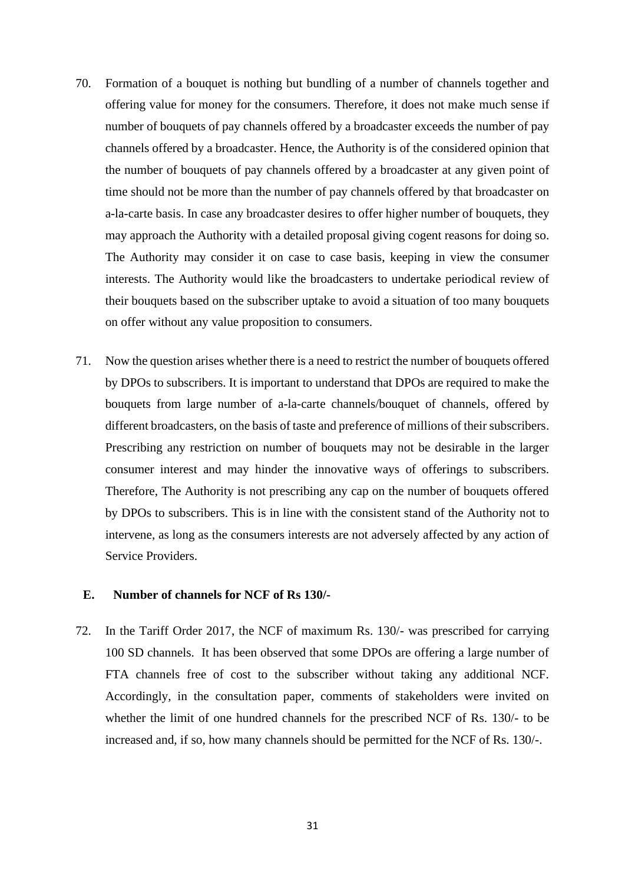- 70. Formation of a bouquet is nothing but bundling of a number of channels together and offering value for money for the consumers. Therefore, it does not make much sense if number of bouquets of pay channels offered by a broadcaster exceeds the number of pay channels offered by a broadcaster. Hence, the Authority is of the considered opinion that the number of bouquets of pay channels offered by a broadcaster at any given point of time should not be more than the number of pay channels offered by that broadcaster on a-la-carte basis. In case any broadcaster desires to offer higher number of bouquets, they may approach the Authority with a detailed proposal giving cogent reasons for doing so. The Authority may consider it on case to case basis, keeping in view the consumer interests. The Authority would like the broadcasters to undertake periodical review of their bouquets based on the subscriber uptake to avoid a situation of too many bouquets on offer without any value proposition to consumers.
- 71. Now the question arises whether there is a need to restrict the number of bouquets offered by DPOs to subscribers. It is important to understand that DPOs are required to make the bouquets from large number of a-la-carte channels/bouquet of channels, offered by different broadcasters, on the basis of taste and preference of millions of their subscribers. Prescribing any restriction on number of bouquets may not be desirable in the larger consumer interest and may hinder the innovative ways of offerings to subscribers. Therefore, The Authority is not prescribing any cap on the number of bouquets offered by DPOs to subscribers. This is in line with the consistent stand of the Authority not to intervene, as long as the consumers interests are not adversely affected by any action of Service Providers.

# **E. Number of channels for NCF of Rs 130/-**

72. In the Tariff Order 2017, the NCF of maximum Rs. 130/- was prescribed for carrying 100 SD channels. It has been observed that some DPOs are offering a large number of FTA channels free of cost to the subscriber without taking any additional NCF. Accordingly, in the consultation paper, comments of stakeholders were invited on whether the limit of one hundred channels for the prescribed NCF of Rs. 130/- to be increased and, if so, how many channels should be permitted for the NCF of Rs. 130/-.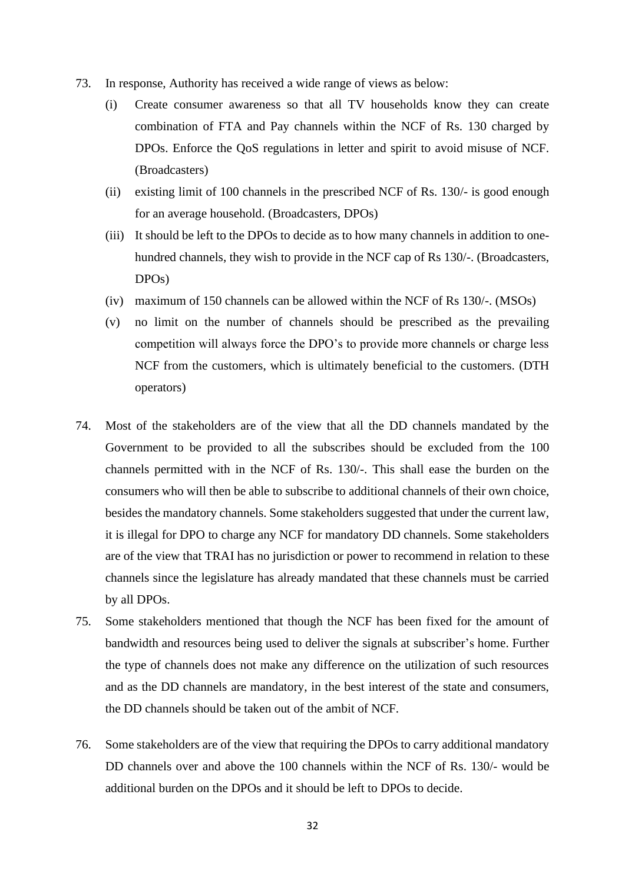- 73. In response, Authority has received a wide range of views as below:
	- (i) Create consumer awareness so that all TV households know they can create combination of FTA and Pay channels within the NCF of Rs. 130 charged by DPOs. Enforce the QoS regulations in letter and spirit to avoid misuse of NCF. (Broadcasters)
	- (ii) existing limit of 100 channels in the prescribed NCF of Rs. 130/- is good enough for an average household. (Broadcasters, DPOs)
	- (iii) It should be left to the DPOs to decide as to how many channels in addition to onehundred channels, they wish to provide in the NCF cap of Rs 130/-. (Broadcasters, DPOs)
	- (iv) maximum of 150 channels can be allowed within the NCF of Rs 130/-. (MSOs)
	- (v) no limit on the number of channels should be prescribed as the prevailing competition will always force the DPO's to provide more channels or charge less NCF from the customers, which is ultimately beneficial to the customers. (DTH operators)
- 74. Most of the stakeholders are of the view that all the DD channels mandated by the Government to be provided to all the subscribes should be excluded from the 100 channels permitted with in the NCF of Rs. 130/-. This shall ease the burden on the consumers who will then be able to subscribe to additional channels of their own choice, besides the mandatory channels. Some stakeholders suggested that under the current law, it is illegal for DPO to charge any NCF for mandatory DD channels. Some stakeholders are of the view that TRAI has no jurisdiction or power to recommend in relation to these channels since the legislature has already mandated that these channels must be carried by all DPOs.
- 75. Some stakeholders mentioned that though the NCF has been fixed for the amount of bandwidth and resources being used to deliver the signals at subscriber's home. Further the type of channels does not make any difference on the utilization of such resources and as the DD channels are mandatory, in the best interest of the state and consumers, the DD channels should be taken out of the ambit of NCF.
- 76. Some stakeholders are of the view that requiring the DPOs to carry additional mandatory DD channels over and above the 100 channels within the NCF of Rs. 130/- would be additional burden on the DPOs and it should be left to DPOs to decide.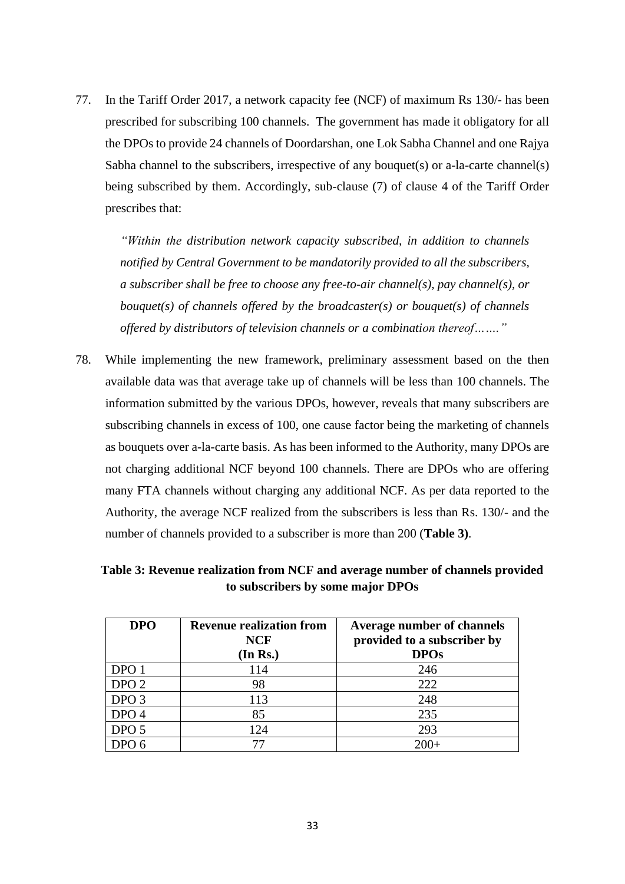77. In the Tariff Order 2017, a network capacity fee (NCF) of maximum Rs 130/- has been prescribed for subscribing 100 channels. The government has made it obligatory for all the DPOs to provide 24 channels of Doordarshan, one Lok Sabha Channel and one Rajya Sabha channel to the subscribers, irrespective of any bouquet(s) or a-la-carte channel(s) being subscribed by them. Accordingly, sub-clause (7) of clause 4 of the Tariff Order prescribes that:

*"Within the distribution network capacity subscribed, in addition to channels notified by Central Government to be mandatorily provided to all the subscribers, a subscriber shall be free to choose any free-to-air channel(s), pay channel(s), or bouquet(s) of channels offered by the broadcaster(s) or bouquet(s) of channels offered by distributors of television channels or a combination thereof……."*

78. While implementing the new framework, preliminary assessment based on the then available data was that average take up of channels will be less than 100 channels. The information submitted by the various DPOs, however, reveals that many subscribers are subscribing channels in excess of 100, one cause factor being the marketing of channels as bouquets over a-la-carte basis. As has been informed to the Authority, many DPOs are not charging additional NCF beyond 100 channels. There are DPOs who are offering many FTA channels without charging any additional NCF. As per data reported to the Authority, the average NCF realized from the subscribers is less than Rs. 130/- and the number of channels provided to a subscriber is more than 200 (**Table 3)**.

**Table 3: Revenue realization from NCF and average number of channels provided to subscribers by some major DPOs**

| <b>DPO</b>       | <b>Revenue realization from</b><br><b>NCF</b><br>(In Rs.) | <b>Average number of channels</b><br>provided to a subscriber by<br><b>DPOs</b> |
|------------------|-----------------------------------------------------------|---------------------------------------------------------------------------------|
| DPO <sub>1</sub> | 114                                                       | 246                                                                             |
| DPO <sub>2</sub> | 98                                                        | 222                                                                             |
| DPO <sub>3</sub> | 113                                                       | 248                                                                             |
| DPO <sub>4</sub> | 85                                                        | 235                                                                             |
| DPO <sub>5</sub> | 124                                                       | 293                                                                             |
|                  |                                                           | $200 -$                                                                         |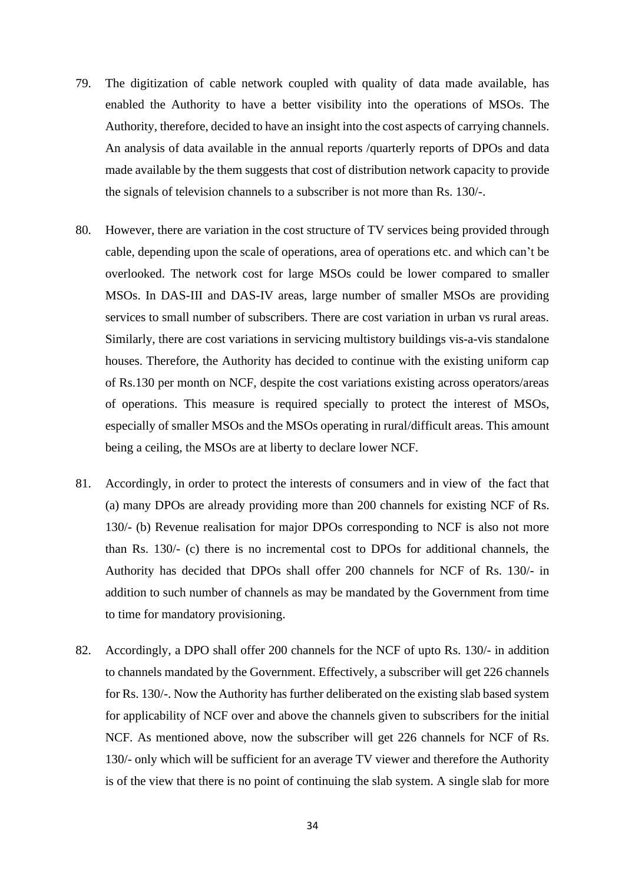- 79. The digitization of cable network coupled with quality of data made available, has enabled the Authority to have a better visibility into the operations of MSOs. The Authority, therefore, decided to have an insight into the cost aspects of carrying channels. An analysis of data available in the annual reports /quarterly reports of DPOs and data made available by the them suggests that cost of distribution network capacity to provide the signals of television channels to a subscriber is not more than Rs. 130/-.
- 80. However, there are variation in the cost structure of TV services being provided through cable, depending upon the scale of operations, area of operations etc. and which can't be overlooked. The network cost for large MSOs could be lower compared to smaller MSOs. In DAS-III and DAS-IV areas, large number of smaller MSOs are providing services to small number of subscribers. There are cost variation in urban vs rural areas. Similarly, there are cost variations in servicing multistory buildings vis-a-vis standalone houses. Therefore, the Authority has decided to continue with the existing uniform cap of Rs.130 per month on NCF, despite the cost variations existing across operators/areas of operations. This measure is required specially to protect the interest of MSOs, especially of smaller MSOs and the MSOs operating in rural/difficult areas. This amount being a ceiling, the MSOs are at liberty to declare lower NCF.
- 81. Accordingly, in order to protect the interests of consumers and in view of the fact that (a) many DPOs are already providing more than 200 channels for existing NCF of Rs. 130/- (b) Revenue realisation for major DPOs corresponding to NCF is also not more than Rs. 130/- (c) there is no incremental cost to DPOs for additional channels, the Authority has decided that DPOs shall offer 200 channels for NCF of Rs. 130/- in addition to such number of channels as may be mandated by the Government from time to time for mandatory provisioning.
- 82. Accordingly, a DPO shall offer 200 channels for the NCF of upto Rs. 130/- in addition to channels mandated by the Government. Effectively, a subscriber will get 226 channels for Rs. 130/-. Now the Authority has further deliberated on the existing slab based system for applicability of NCF over and above the channels given to subscribers for the initial NCF. As mentioned above, now the subscriber will get 226 channels for NCF of Rs. 130/- only which will be sufficient for an average TV viewer and therefore the Authority is of the view that there is no point of continuing the slab system. A single slab for more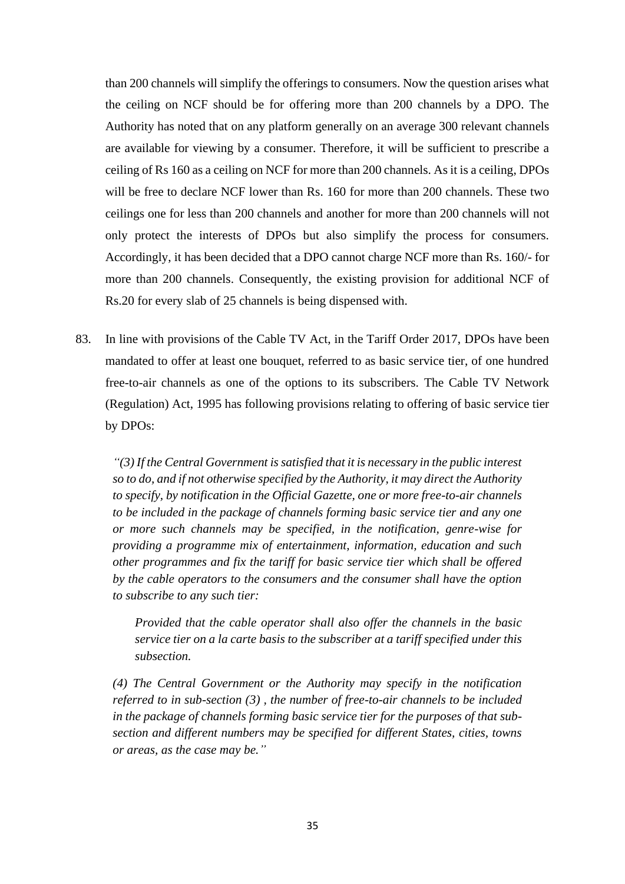than 200 channels will simplify the offerings to consumers. Now the question arises what the ceiling on NCF should be for offering more than 200 channels by a DPO. The Authority has noted that on any platform generally on an average 300 relevant channels are available for viewing by a consumer. Therefore, it will be sufficient to prescribe a ceiling of Rs 160 as a ceiling on NCF for more than 200 channels. As it is a ceiling, DPOs will be free to declare NCF lower than Rs. 160 for more than 200 channels. These two ceilings one for less than 200 channels and another for more than 200 channels will not only protect the interests of DPOs but also simplify the process for consumers. Accordingly, it has been decided that a DPO cannot charge NCF more than Rs. 160/- for more than 200 channels. Consequently, the existing provision for additional NCF of Rs.20 for every slab of 25 channels is being dispensed with.

83. In line with provisions of the Cable TV Act, in the Tariff Order 2017, DPOs have been mandated to offer at least one bouquet, referred to as basic service tier, of one hundred free-to-air channels as one of the options to its subscribers. The Cable TV Network (Regulation) Act, 1995 has following provisions relating to offering of basic service tier by DPOs:

*"(3) If the Central Government is satisfied that it is necessary in the public interest so to do, and if not otherwise specified by the Authority, it may direct the Authority to specify, by notification in the Official Gazette, one or more free-to-air channels to be included in the package of channels forming basic service tier and any one or more such channels may be specified, in the notification, genre-wise for providing a programme mix of entertainment, information, education and such other programmes and fix the tariff for basic service tier which shall be offered by the cable operators to the consumers and the consumer shall have the option to subscribe to any such tier:* 

*Provided that the cable operator shall also offer the channels in the basic service tier on a la carte basis to the subscriber at a tariff specified under this subsection.* 

*(4) The Central Government or the Authority may specify in the notification referred to in sub-section (3) , the number of free-to-air channels to be included in the package of channels forming basic service tier for the purposes of that subsection and different numbers may be specified for different States, cities, towns or areas, as the case may be."*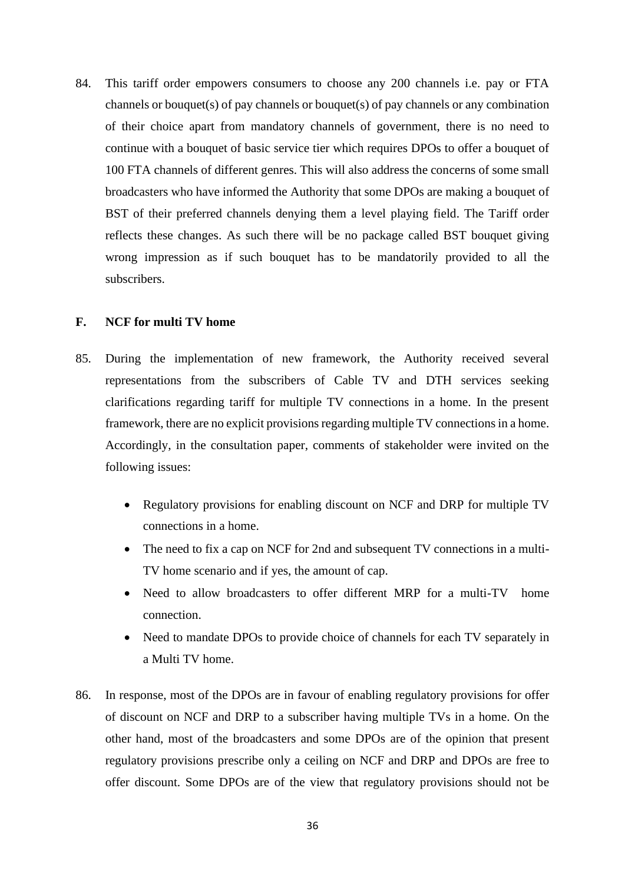84. This tariff order empowers consumers to choose any 200 channels i.e. pay or FTA channels or bouquet(s) of pay channels or bouquet(s) of pay channels or any combination of their choice apart from mandatory channels of government, there is no need to continue with a bouquet of basic service tier which requires DPOs to offer a bouquet of 100 FTA channels of different genres. This will also address the concerns of some small broadcasters who have informed the Authority that some DPOs are making a bouquet of BST of their preferred channels denying them a level playing field. The Tariff order reflects these changes. As such there will be no package called BST bouquet giving wrong impression as if such bouquet has to be mandatorily provided to all the subscribers.

# **F. NCF for multi TV home**

- 85. During the implementation of new framework, the Authority received several representations from the subscribers of Cable TV and DTH services seeking clarifications regarding tariff for multiple TV connections in a home. In the present framework, there are no explicit provisions regarding multiple TV connections in a home. Accordingly, in the consultation paper, comments of stakeholder were invited on the following issues:
	- Regulatory provisions for enabling discount on NCF and DRP for multiple TV connections in a home.
	- The need to fix a cap on NCF for 2nd and subsequent TV connections in a multi-TV home scenario and if yes, the amount of cap.
	- Need to allow broadcasters to offer different MRP for a multi-TV home connection.
	- Need to mandate DPOs to provide choice of channels for each TV separately in a Multi TV home.
- 86. In response, most of the DPOs are in favour of enabling regulatory provisions for offer of discount on NCF and DRP to a subscriber having multiple TVs in a home. On the other hand, most of the broadcasters and some DPOs are of the opinion that present regulatory provisions prescribe only a ceiling on NCF and DRP and DPOs are free to offer discount. Some DPOs are of the view that regulatory provisions should not be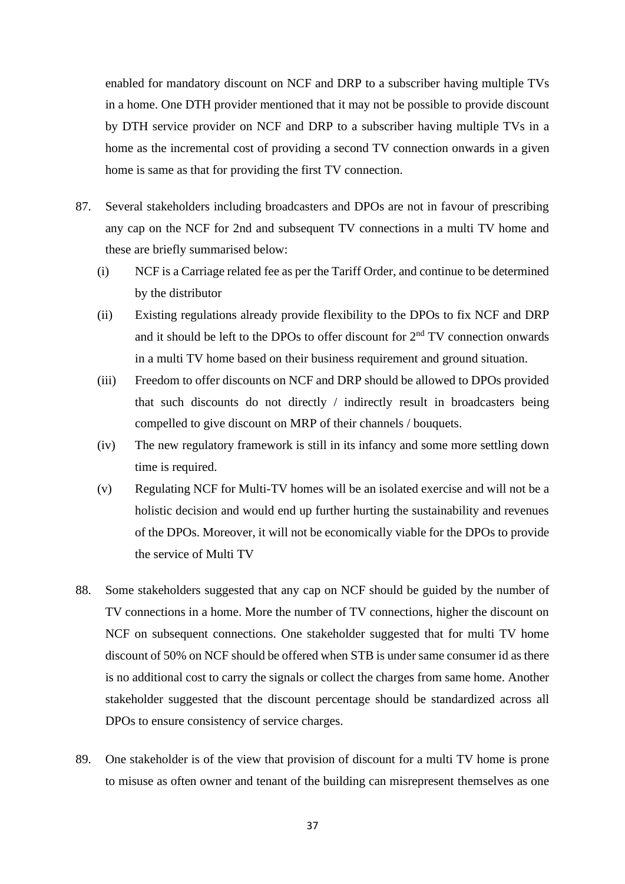enabled for mandatory discount on NCF and DRP to a subscriber having multiple TVs in a home. One DTH provider mentioned that it may not be possible to provide discount by DTH service provider on NCF and DRP to a subscriber having multiple TVs in a home as the incremental cost of providing a second TV connection onwards in a given home is same as that for providing the first TV connection.

- 87. Several stakeholders including broadcasters and DPOs are not in favour of prescribing any cap on the NCF for 2nd and subsequent TV connections in a multi TV home and these are briefly summarised below:
	- (i) NCF is a Carriage related fee as per the Tariff Order, and continue to be determined by the distributor
	- (ii) Existing regulations already provide flexibility to the DPOs to fix NCF and DRP and it should be left to the DPOs to offer discount for  $2<sup>nd</sup> TV$  connection onwards in a multi TV home based on their business requirement and ground situation.
	- (iii) Freedom to offer discounts on NCF and DRP should be allowed to DPOs provided that such discounts do not directly / indirectly result in broadcasters being compelled to give discount on MRP of their channels / bouquets.
	- (iv) The new regulatory framework is still in its infancy and some more settling down time is required.
	- (v) Regulating NCF for Multi-TV homes will be an isolated exercise and will not be a holistic decision and would end up further hurting the sustainability and revenues of the DPOs. Moreover, it will not be economically viable for the DPOs to provide the service of Multi TV
- 88. Some stakeholders suggested that any cap on NCF should be guided by the number of TV connections in a home. More the number of TV connections, higher the discount on NCF on subsequent connections. One stakeholder suggested that for multi TV home discount of 50% on NCF should be offered when STB is under same consumer id as there is no additional cost to carry the signals or collect the charges from same home. Another stakeholder suggested that the discount percentage should be standardized across all DPOs to ensure consistency of service charges.
- 89. One stakeholder is of the view that provision of discount for a multi TV home is prone to misuse as often owner and tenant of the building can misrepresent themselves as one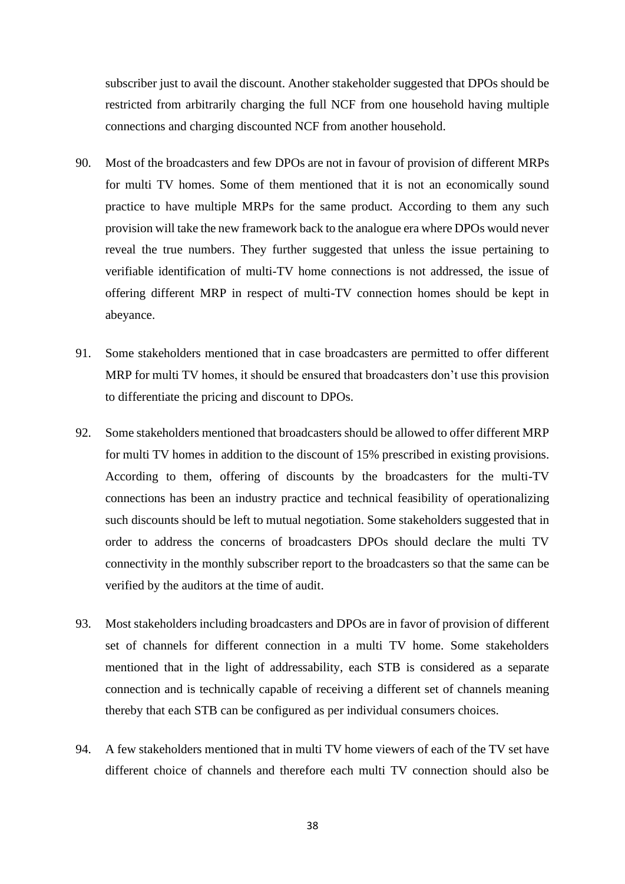subscriber just to avail the discount. Another stakeholder suggested that DPOs should be restricted from arbitrarily charging the full NCF from one household having multiple connections and charging discounted NCF from another household.

- 90. Most of the broadcasters and few DPOs are not in favour of provision of different MRPs for multi TV homes. Some of them mentioned that it is not an economically sound practice to have multiple MRPs for the same product. According to them any such provision will take the new framework back to the analogue era where DPOs would never reveal the true numbers. They further suggested that unless the issue pertaining to verifiable identification of multi-TV home connections is not addressed, the issue of offering different MRP in respect of multi-TV connection homes should be kept in abeyance.
- 91. Some stakeholders mentioned that in case broadcasters are permitted to offer different MRP for multi TV homes, it should be ensured that broadcasters don't use this provision to differentiate the pricing and discount to DPOs.
- 92. Some stakeholders mentioned that broadcasters should be allowed to offer different MRP for multi TV homes in addition to the discount of 15% prescribed in existing provisions. According to them, offering of discounts by the broadcasters for the multi-TV connections has been an industry practice and technical feasibility of operationalizing such discounts should be left to mutual negotiation. Some stakeholders suggested that in order to address the concerns of broadcasters DPOs should declare the multi TV connectivity in the monthly subscriber report to the broadcasters so that the same can be verified by the auditors at the time of audit.
- 93. Most stakeholders including broadcasters and DPOs are in favor of provision of different set of channels for different connection in a multi TV home. Some stakeholders mentioned that in the light of addressability, each STB is considered as a separate connection and is technically capable of receiving a different set of channels meaning thereby that each STB can be configured as per individual consumers choices.
- 94. A few stakeholders mentioned that in multi TV home viewers of each of the TV set have different choice of channels and therefore each multi TV connection should also be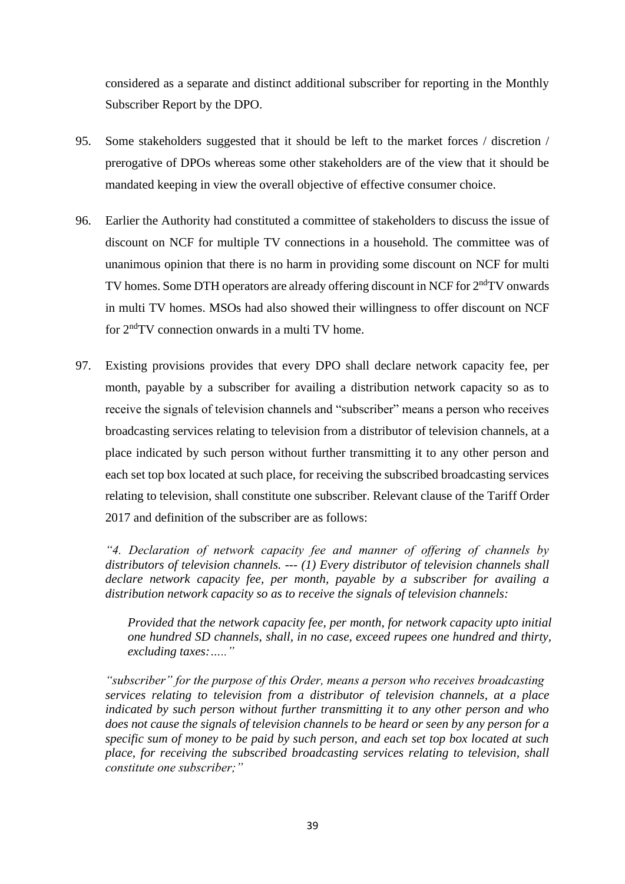considered as a separate and distinct additional subscriber for reporting in the Monthly Subscriber Report by the DPO.

- 95. Some stakeholders suggested that it should be left to the market forces / discretion / prerogative of DPOs whereas some other stakeholders are of the view that it should be mandated keeping in view the overall objective of effective consumer choice.
- 96. Earlier the Authority had constituted a committee of stakeholders to discuss the issue of discount on NCF for multiple TV connections in a household. The committee was of unanimous opinion that there is no harm in providing some discount on NCF for multi TV homes. Some DTH operators are already offering discount in NCF for 2<sup>nd</sup>TV onwards in multi TV homes. MSOs had also showed their willingness to offer discount on NCF for 2ndTV connection onwards in a multi TV home.
- 97. Existing provisions provides that every DPO shall declare network capacity fee, per month, payable by a subscriber for availing a distribution network capacity so as to receive the signals of television channels and "subscriber" means a person who receives broadcasting services relating to television from a distributor of television channels, at a place indicated by such person without further transmitting it to any other person and each set top box located at such place, for receiving the subscribed broadcasting services relating to television, shall constitute one subscriber. Relevant clause of the Tariff Order 2017 and definition of the subscriber are as follows:

*"4. Declaration of network capacity fee and manner of offering of channels by distributors of television channels. --- (1) Every distributor of television channels shall declare network capacity fee, per month, payable by a subscriber for availing a distribution network capacity so as to receive the signals of television channels:*

*Provided that the network capacity fee, per month, for network capacity upto initial one hundred SD channels, shall, in no case, exceed rupees one hundred and thirty, excluding taxes:….."*

*"subscriber" for the purpose of this Order, means a person who receives broadcasting services relating to television from a distributor of television channels, at a place indicated by such person without further transmitting it to any other person and who does not cause the signals of television channels to be heard or seen by any person for a specific sum of money to be paid by such person, and each set top box located at such place, for receiving the subscribed broadcasting services relating to television, shall constitute one subscriber;"*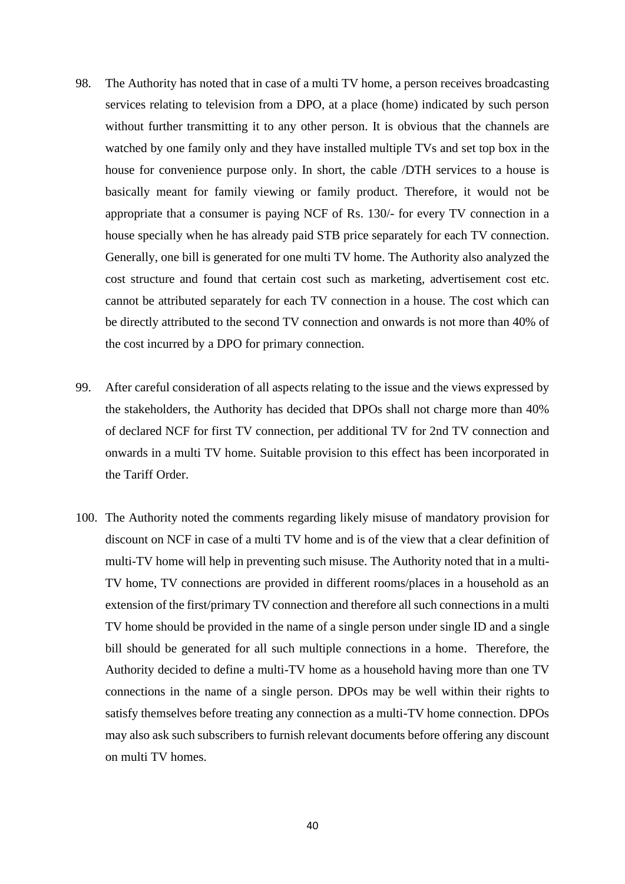- 98. The Authority has noted that in case of a multi TV home, a person receives broadcasting services relating to television from a DPO, at a place (home) indicated by such person without further transmitting it to any other person. It is obvious that the channels are watched by one family only and they have installed multiple TVs and set top box in the house for convenience purpose only. In short, the cable /DTH services to a house is basically meant for family viewing or family product. Therefore, it would not be appropriate that a consumer is paying NCF of Rs. 130/- for every TV connection in a house specially when he has already paid STB price separately for each TV connection. Generally, one bill is generated for one multi TV home. The Authority also analyzed the cost structure and found that certain cost such as marketing, advertisement cost etc. cannot be attributed separately for each TV connection in a house. The cost which can be directly attributed to the second TV connection and onwards is not more than 40% of the cost incurred by a DPO for primary connection.
- 99. After careful consideration of all aspects relating to the issue and the views expressed by the stakeholders, the Authority has decided that DPOs shall not charge more than 40% of declared NCF for first TV connection, per additional TV for 2nd TV connection and onwards in a multi TV home. Suitable provision to this effect has been incorporated in the Tariff Order.
- 100. The Authority noted the comments regarding likely misuse of mandatory provision for discount on NCF in case of a multi TV home and is of the view that a clear definition of multi-TV home will help in preventing such misuse. The Authority noted that in a multi-TV home, TV connections are provided in different rooms/places in a household as an extension of the first/primary TV connection and therefore all such connections in a multi TV home should be provided in the name of a single person under single ID and a single bill should be generated for all such multiple connections in a home. Therefore, the Authority decided to define a multi-TV home as a household having more than one TV connections in the name of a single person. DPOs may be well within their rights to satisfy themselves before treating any connection as a multi-TV home connection. DPOs may also ask such subscribers to furnish relevant documents before offering any discount on multi TV homes.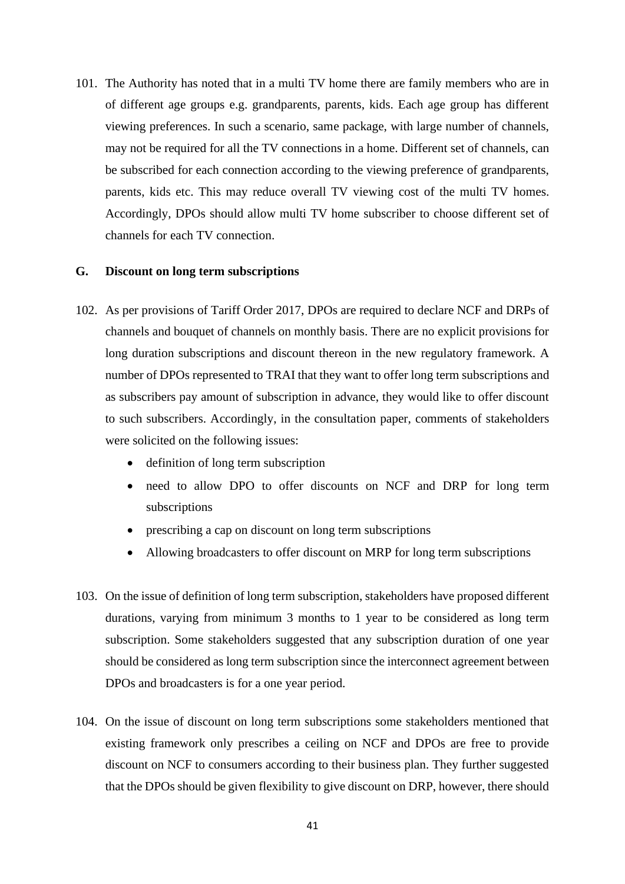101. The Authority has noted that in a multi TV home there are family members who are in of different age groups e.g. grandparents, parents, kids. Each age group has different viewing preferences. In such a scenario, same package, with large number of channels, may not be required for all the TV connections in a home. Different set of channels, can be subscribed for each connection according to the viewing preference of grandparents, parents, kids etc. This may reduce overall TV viewing cost of the multi TV homes. Accordingly, DPOs should allow multi TV home subscriber to choose different set of channels for each TV connection.

# **G. Discount on long term subscriptions**

- 102. As per provisions of Tariff Order 2017, DPOs are required to declare NCF and DRPs of channels and bouquet of channels on monthly basis. There are no explicit provisions for long duration subscriptions and discount thereon in the new regulatory framework. A number of DPOs represented to TRAI that they want to offer long term subscriptions and as subscribers pay amount of subscription in advance, they would like to offer discount to such subscribers. Accordingly, in the consultation paper, comments of stakeholders were solicited on the following issues:
	- definition of long term subscription
	- need to allow DPO to offer discounts on NCF and DRP for long term subscriptions
	- prescribing a cap on discount on long term subscriptions
	- Allowing broadcasters to offer discount on MRP for long term subscriptions
- 103. On the issue of definition of long term subscription, stakeholders have proposed different durations, varying from minimum 3 months to 1 year to be considered as long term subscription. Some stakeholders suggested that any subscription duration of one year should be considered as long term subscription since the interconnect agreement between DPOs and broadcasters is for a one year period.
- 104. On the issue of discount on long term subscriptions some stakeholders mentioned that existing framework only prescribes a ceiling on NCF and DPOs are free to provide discount on NCF to consumers according to their business plan. They further suggested that the DPOs should be given flexibility to give discount on DRP, however, there should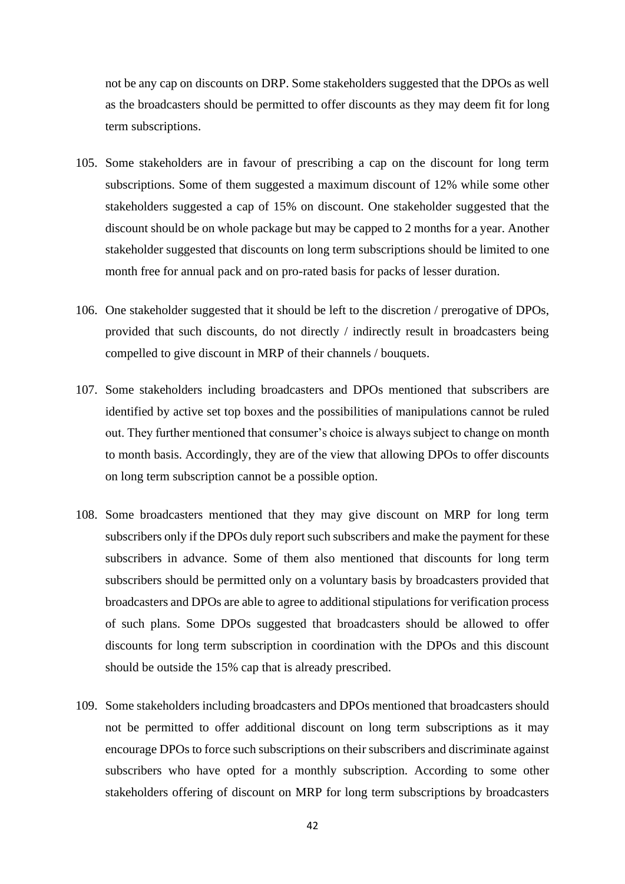not be any cap on discounts on DRP. Some stakeholders suggested that the DPOs as well as the broadcasters should be permitted to offer discounts as they may deem fit for long term subscriptions.

- 105. Some stakeholders are in favour of prescribing a cap on the discount for long term subscriptions. Some of them suggested a maximum discount of 12% while some other stakeholders suggested a cap of 15% on discount. One stakeholder suggested that the discount should be on whole package but may be capped to 2 months for a year. Another stakeholder suggested that discounts on long term subscriptions should be limited to one month free for annual pack and on pro-rated basis for packs of lesser duration.
- 106. One stakeholder suggested that it should be left to the discretion / prerogative of DPOs, provided that such discounts, do not directly / indirectly result in broadcasters being compelled to give discount in MRP of their channels / bouquets.
- 107. Some stakeholders including broadcasters and DPOs mentioned that subscribers are identified by active set top boxes and the possibilities of manipulations cannot be ruled out. They further mentioned that consumer's choice is always subject to change on month to month basis. Accordingly, they are of the view that allowing DPOs to offer discounts on long term subscription cannot be a possible option.
- 108. Some broadcasters mentioned that they may give discount on MRP for long term subscribers only if the DPOs duly report such subscribers and make the payment for these subscribers in advance. Some of them also mentioned that discounts for long term subscribers should be permitted only on a voluntary basis by broadcasters provided that broadcasters and DPOs are able to agree to additional stipulations for verification process of such plans. Some DPOs suggested that broadcasters should be allowed to offer discounts for long term subscription in coordination with the DPOs and this discount should be outside the 15% cap that is already prescribed.
- 109. Some stakeholders including broadcasters and DPOs mentioned that broadcasters should not be permitted to offer additional discount on long term subscriptions as it may encourage DPOs to force such subscriptions on their subscribers and discriminate against subscribers who have opted for a monthly subscription. According to some other stakeholders offering of discount on MRP for long term subscriptions by broadcasters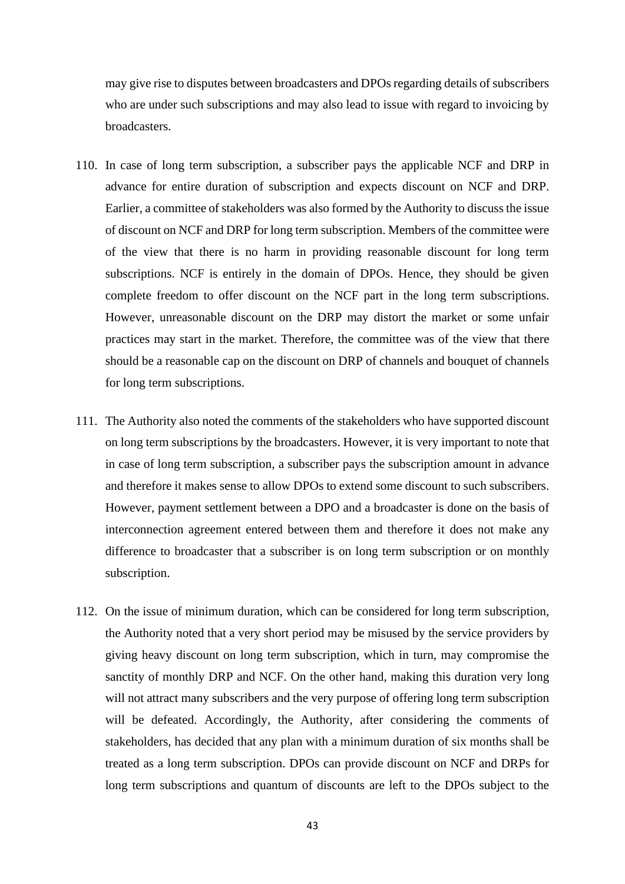may give rise to disputes between broadcasters and DPOs regarding details of subscribers who are under such subscriptions and may also lead to issue with regard to invoicing by broadcasters.

- 110. In case of long term subscription, a subscriber pays the applicable NCF and DRP in advance for entire duration of subscription and expects discount on NCF and DRP. Earlier, a committee of stakeholders was also formed by the Authority to discuss the issue of discount on NCF and DRP for long term subscription. Members of the committee were of the view that there is no harm in providing reasonable discount for long term subscriptions. NCF is entirely in the domain of DPOs. Hence, they should be given complete freedom to offer discount on the NCF part in the long term subscriptions. However, unreasonable discount on the DRP may distort the market or some unfair practices may start in the market. Therefore, the committee was of the view that there should be a reasonable cap on the discount on DRP of channels and bouquet of channels for long term subscriptions.
- 111. The Authority also noted the comments of the stakeholders who have supported discount on long term subscriptions by the broadcasters. However, it is very important to note that in case of long term subscription, a subscriber pays the subscription amount in advance and therefore it makes sense to allow DPOs to extend some discount to such subscribers. However, payment settlement between a DPO and a broadcaster is done on the basis of interconnection agreement entered between them and therefore it does not make any difference to broadcaster that a subscriber is on long term subscription or on monthly subscription.
- 112. On the issue of minimum duration, which can be considered for long term subscription, the Authority noted that a very short period may be misused by the service providers by giving heavy discount on long term subscription, which in turn, may compromise the sanctity of monthly DRP and NCF. On the other hand, making this duration very long will not attract many subscribers and the very purpose of offering long term subscription will be defeated. Accordingly, the Authority, after considering the comments of stakeholders, has decided that any plan with a minimum duration of six months shall be treated as a long term subscription. DPOs can provide discount on NCF and DRPs for long term subscriptions and quantum of discounts are left to the DPOs subject to the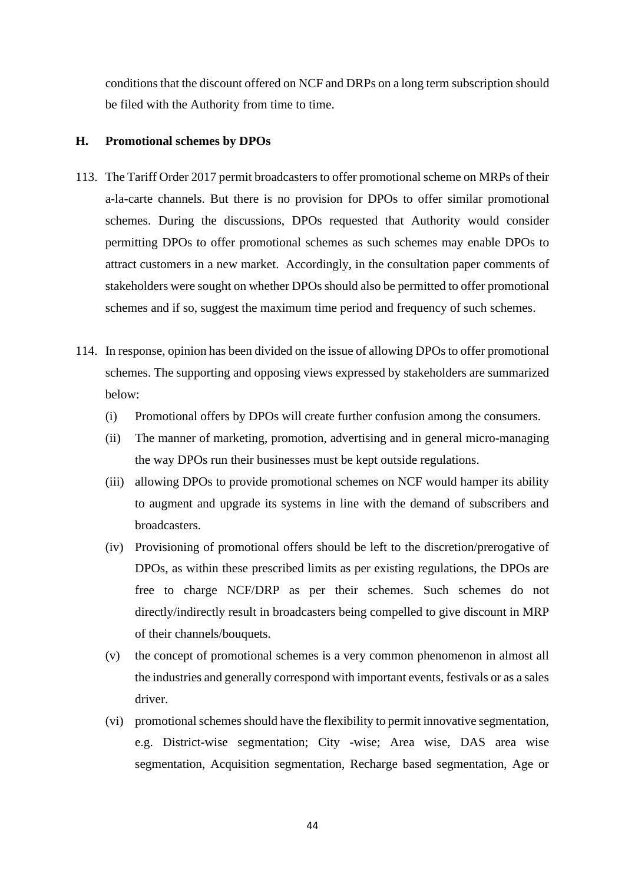conditions that the discount offered on NCF and DRPs on a long term subscription should be filed with the Authority from time to time.

#### **H. Promotional schemes by DPOs**

- 113. The Tariff Order 2017 permit broadcasters to offer promotional scheme on MRPs of their a-la-carte channels. But there is no provision for DPOs to offer similar promotional schemes. During the discussions, DPOs requested that Authority would consider permitting DPOs to offer promotional schemes as such schemes may enable DPOs to attract customers in a new market. Accordingly, in the consultation paper comments of stakeholders were sought on whether DPOs should also be permitted to offer promotional schemes and if so, suggest the maximum time period and frequency of such schemes.
- 114. In response, opinion has been divided on the issue of allowing DPOs to offer promotional schemes. The supporting and opposing views expressed by stakeholders are summarized below:
	- (i) Promotional offers by DPOs will create further confusion among the consumers.
	- (ii) The manner of marketing, promotion, advertising and in general micro-managing the way DPOs run their businesses must be kept outside regulations.
	- (iii) allowing DPOs to provide promotional schemes on NCF would hamper its ability to augment and upgrade its systems in line with the demand of subscribers and broadcasters.
	- (iv) Provisioning of promotional offers should be left to the discretion/prerogative of DPOs, as within these prescribed limits as per existing regulations, the DPOs are free to charge NCF/DRP as per their schemes. Such schemes do not directly/indirectly result in broadcasters being compelled to give discount in MRP of their channels/bouquets.
	- (v) the concept of promotional schemes is a very common phenomenon in almost all the industries and generally correspond with important events, festivals or as a sales driver.
	- (vi) promotional schemes should have the flexibility to permit innovative segmentation, e.g. District-wise segmentation; City -wise; Area wise, DAS area wise segmentation, Acquisition segmentation, Recharge based segmentation, Age or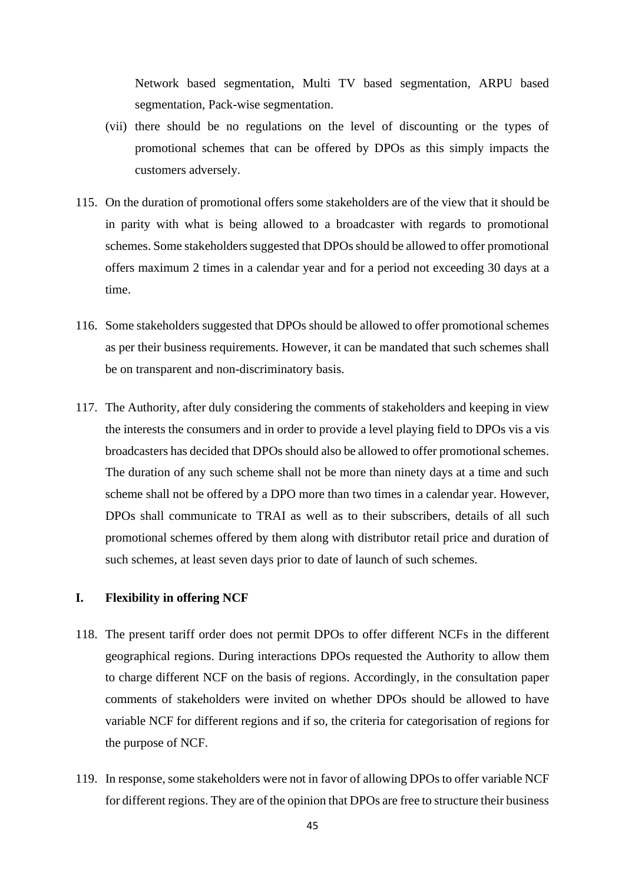Network based segmentation, Multi TV based segmentation, ARPU based segmentation, Pack-wise segmentation.

- (vii) there should be no regulations on the level of discounting or the types of promotional schemes that can be offered by DPOs as this simply impacts the customers adversely.
- 115. On the duration of promotional offers some stakeholders are of the view that it should be in parity with what is being allowed to a broadcaster with regards to promotional schemes. Some stakeholders suggested that DPOs should be allowed to offer promotional offers maximum 2 times in a calendar year and for a period not exceeding 30 days at a time.
- 116. Some stakeholders suggested that DPOs should be allowed to offer promotional schemes as per their business requirements. However, it can be mandated that such schemes shall be on transparent and non-discriminatory basis.
- 117. The Authority, after duly considering the comments of stakeholders and keeping in view the interests the consumers and in order to provide a level playing field to DPOs vis a vis broadcasters has decided that DPOs should also be allowed to offer promotional schemes. The duration of any such scheme shall not be more than ninety days at a time and such scheme shall not be offered by a DPO more than two times in a calendar year. However, DPOs shall communicate to TRAI as well as to their subscribers, details of all such promotional schemes offered by them along with distributor retail price and duration of such schemes, at least seven days prior to date of launch of such schemes.

# **I. Flexibility in offering NCF**

- 118. The present tariff order does not permit DPOs to offer different NCFs in the different geographical regions. During interactions DPOs requested the Authority to allow them to charge different NCF on the basis of regions. Accordingly, in the consultation paper comments of stakeholders were invited on whether DPOs should be allowed to have variable NCF for different regions and if so, the criteria for categorisation of regions for the purpose of NCF.
- 119. In response, some stakeholders were not in favor of allowing DPOs to offer variable NCF for different regions. They are of the opinion that DPOs are free to structure their business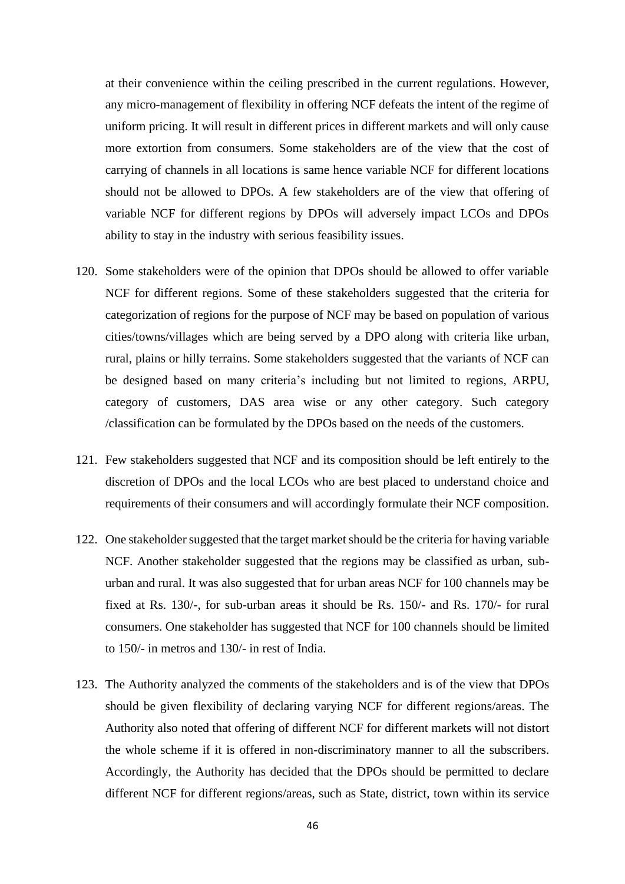at their convenience within the ceiling prescribed in the current regulations. However, any micro-management of flexibility in offering NCF defeats the intent of the regime of uniform pricing. It will result in different prices in different markets and will only cause more extortion from consumers. Some stakeholders are of the view that the cost of carrying of channels in all locations is same hence variable NCF for different locations should not be allowed to DPOs. A few stakeholders are of the view that offering of variable NCF for different regions by DPOs will adversely impact LCOs and DPOs ability to stay in the industry with serious feasibility issues.

- 120. Some stakeholders were of the opinion that DPOs should be allowed to offer variable NCF for different regions. Some of these stakeholders suggested that the criteria for categorization of regions for the purpose of NCF may be based on population of various cities/towns/villages which are being served by a DPO along with criteria like urban, rural, plains or hilly terrains. Some stakeholders suggested that the variants of NCF can be designed based on many criteria's including but not limited to regions, ARPU, category of customers, DAS area wise or any other category. Such category /classification can be formulated by the DPOs based on the needs of the customers.
- 121. Few stakeholders suggested that NCF and its composition should be left entirely to the discretion of DPOs and the local LCOs who are best placed to understand choice and requirements of their consumers and will accordingly formulate their NCF composition.
- 122. One stakeholder suggested that the target market should be the criteria for having variable NCF. Another stakeholder suggested that the regions may be classified as urban, suburban and rural. It was also suggested that for urban areas NCF for 100 channels may be fixed at Rs. 130/-, for sub-urban areas it should be Rs. 150/- and Rs. 170/- for rural consumers. One stakeholder has suggested that NCF for 100 channels should be limited to 150/- in metros and 130/- in rest of India.
- 123. The Authority analyzed the comments of the stakeholders and is of the view that DPOs should be given flexibility of declaring varying NCF for different regions/areas. The Authority also noted that offering of different NCF for different markets will not distort the whole scheme if it is offered in non-discriminatory manner to all the subscribers. Accordingly, the Authority has decided that the DPOs should be permitted to declare different NCF for different regions/areas, such as State, district, town within its service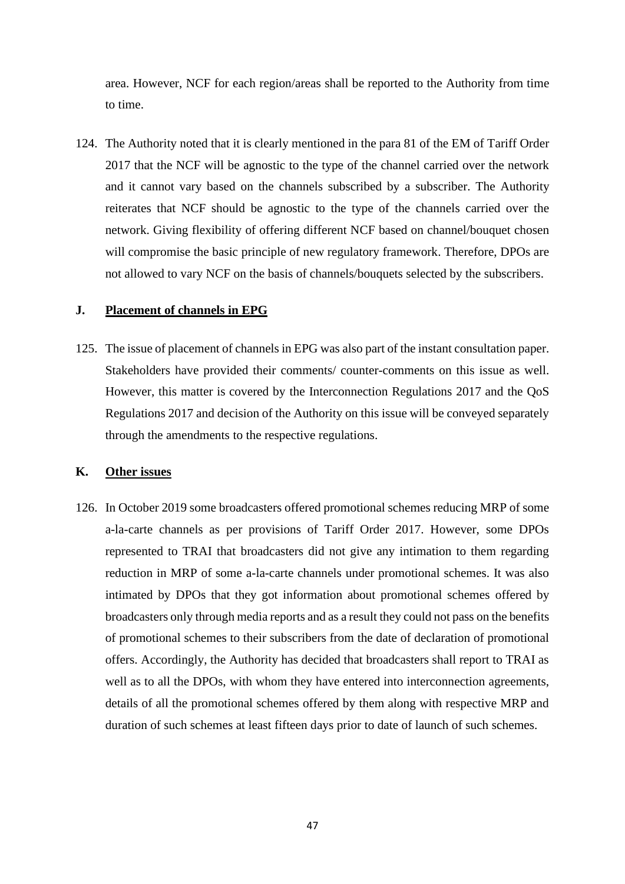area. However, NCF for each region/areas shall be reported to the Authority from time to time.

124. The Authority noted that it is clearly mentioned in the para 81 of the EM of Tariff Order 2017 that the NCF will be agnostic to the type of the channel carried over the network and it cannot vary based on the channels subscribed by a subscriber. The Authority reiterates that NCF should be agnostic to the type of the channels carried over the network. Giving flexibility of offering different NCF based on channel/bouquet chosen will compromise the basic principle of new regulatory framework. Therefore, DPOs are not allowed to vary NCF on the basis of channels/bouquets selected by the subscribers.

# **J. Placement of channels in EPG**

125. The issue of placement of channels in EPG was also part of the instant consultation paper. Stakeholders have provided their comments/ counter-comments on this issue as well. However, this matter is covered by the Interconnection Regulations 2017 and the QoS Regulations 2017 and decision of the Authority on this issue will be conveyed separately through the amendments to the respective regulations.

#### **K. Other issues**

126. In October 2019 some broadcasters offered promotional schemes reducing MRP of some a-la-carte channels as per provisions of Tariff Order 2017. However, some DPOs represented to TRAI that broadcasters did not give any intimation to them regarding reduction in MRP of some a-la-carte channels under promotional schemes. It was also intimated by DPOs that they got information about promotional schemes offered by broadcasters only through media reports and as a result they could not pass on the benefits of promotional schemes to their subscribers from the date of declaration of promotional offers. Accordingly, the Authority has decided that broadcasters shall report to TRAI as well as to all the DPOs, with whom they have entered into interconnection agreements, details of all the promotional schemes offered by them along with respective MRP and duration of such schemes at least fifteen days prior to date of launch of such schemes.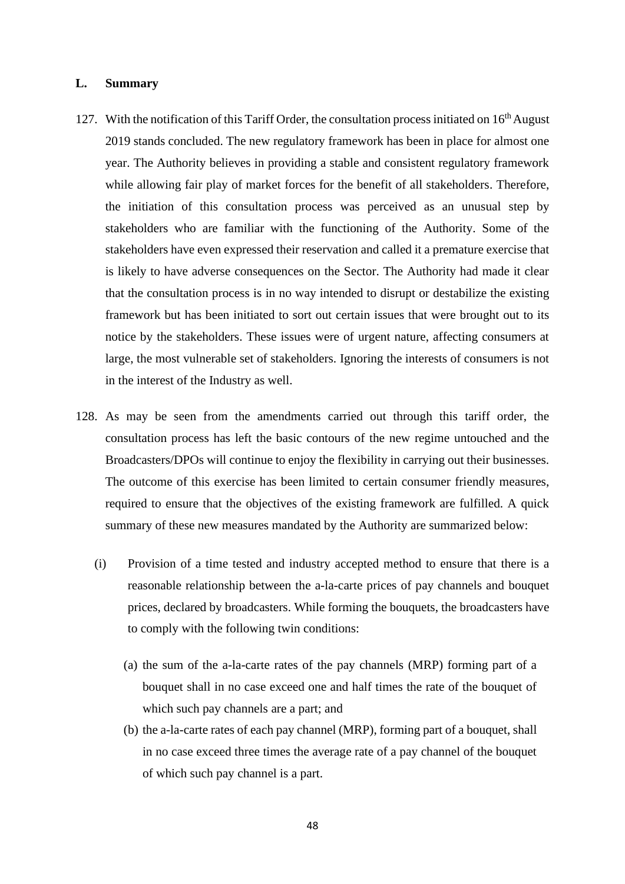## **L. Summary**

- 127. With the notification of this Tariff Order, the consultation process initiated on  $16<sup>th</sup>$  August 2019 stands concluded. The new regulatory framework has been in place for almost one year. The Authority believes in providing a stable and consistent regulatory framework while allowing fair play of market forces for the benefit of all stakeholders. Therefore, the initiation of this consultation process was perceived as an unusual step by stakeholders who are familiar with the functioning of the Authority. Some of the stakeholders have even expressed their reservation and called it a premature exercise that is likely to have adverse consequences on the Sector. The Authority had made it clear that the consultation process is in no way intended to disrupt or destabilize the existing framework but has been initiated to sort out certain issues that were brought out to its notice by the stakeholders. These issues were of urgent nature, affecting consumers at large, the most vulnerable set of stakeholders. Ignoring the interests of consumers is not in the interest of the Industry as well.
- 128. As may be seen from the amendments carried out through this tariff order, the consultation process has left the basic contours of the new regime untouched and the Broadcasters/DPOs will continue to enjoy the flexibility in carrying out their businesses. The outcome of this exercise has been limited to certain consumer friendly measures, required to ensure that the objectives of the existing framework are fulfilled. A quick summary of these new measures mandated by the Authority are summarized below:
	- (i) Provision of a time tested and industry accepted method to ensure that there is a reasonable relationship between the a-la-carte prices of pay channels and bouquet prices, declared by broadcasters. While forming the bouquets, the broadcasters have to comply with the following twin conditions:
		- (a) the sum of the a-la-carte rates of the pay channels (MRP) forming part of a bouquet shall in no case exceed one and half times the rate of the bouquet of which such pay channels are a part; and
		- (b) the a-la-carte rates of each pay channel (MRP), forming part of a bouquet, shall in no case exceed three times the average rate of a pay channel of the bouquet of which such pay channel is a part.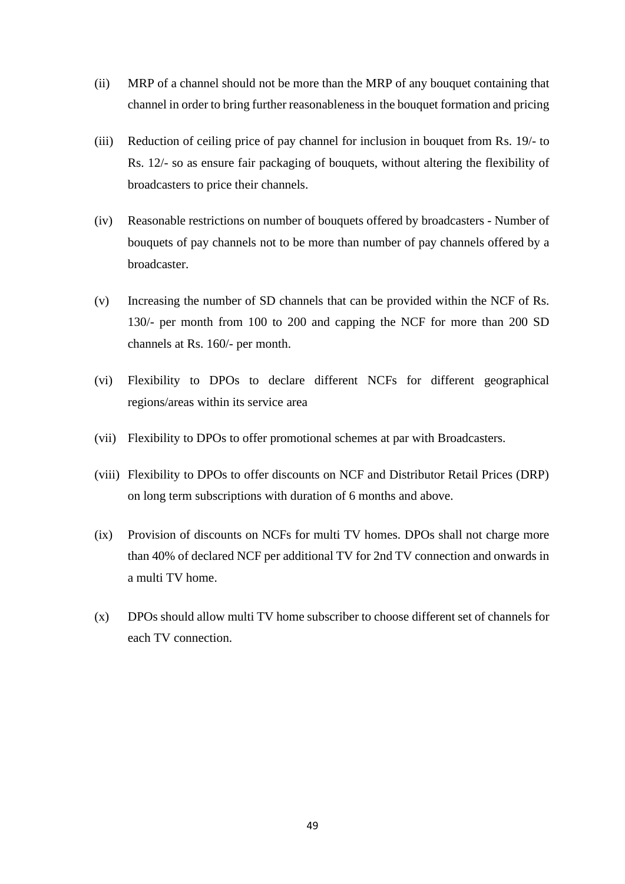- (ii) MRP of a channel should not be more than the MRP of any bouquet containing that channel in order to bring further reasonableness in the bouquet formation and pricing
- (iii) Reduction of ceiling price of pay channel for inclusion in bouquet from Rs. 19/- to Rs. 12/- so as ensure fair packaging of bouquets, without altering the flexibility of broadcasters to price their channels.
- (iv) Reasonable restrictions on number of bouquets offered by broadcasters Number of bouquets of pay channels not to be more than number of pay channels offered by a broadcaster.
- (v) Increasing the number of SD channels that can be provided within the NCF of Rs. 130/- per month from 100 to 200 and capping the NCF for more than 200 SD channels at Rs. 160/- per month.
- (vi) Flexibility to DPOs to declare different NCFs for different geographical regions/areas within its service area
- (vii) Flexibility to DPOs to offer promotional schemes at par with Broadcasters.
- (viii) Flexibility to DPOs to offer discounts on NCF and Distributor Retail Prices (DRP) on long term subscriptions with duration of 6 months and above.
- (ix) Provision of discounts on NCFs for multi TV homes. DPOs shall not charge more than 40% of declared NCF per additional TV for 2nd TV connection and onwards in a multi TV home.
- (x) DPOs should allow multi TV home subscriber to choose different set of channels for each TV connection.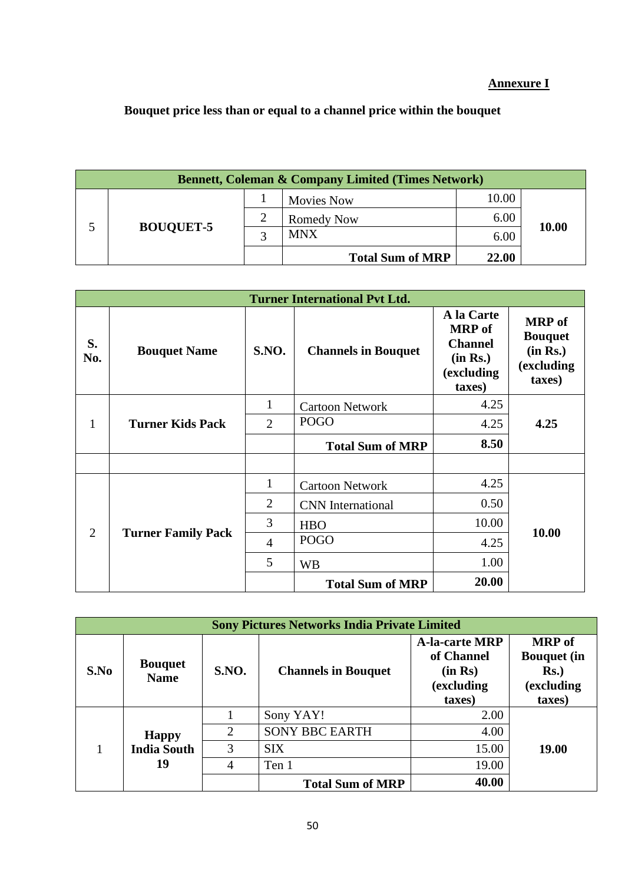# **Annexure I**

# **Bouquet price less than or equal to a channel price within the bouquet**

| <b>Bennett, Coleman &amp; Company Limited (Times Network)</b> |               |                         |       |       |  |  |
|---------------------------------------------------------------|---------------|-------------------------|-------|-------|--|--|
|                                                               |               | <b>Movies Now</b>       | 10.00 |       |  |  |
|                                                               | $\mathcal{L}$ | <b>Romedy Now</b>       | 6.00  | 10.00 |  |  |
| <b>BOUQUET-5</b>                                              | 2             | <b>MNX</b>              | 6.00  |       |  |  |
|                                                               |               | <b>Total Sum of MRP</b> | 22.00 |       |  |  |

| <b>Turner International Pvt Ltd.</b> |                           |                        |                            |                                                                                    |                                                                     |  |
|--------------------------------------|---------------------------|------------------------|----------------------------|------------------------------------------------------------------------------------|---------------------------------------------------------------------|--|
| S.<br>No.                            | <b>Bouquet Name</b>       | <b>S.NO.</b>           | <b>Channels in Bouquet</b> | A la Carte<br><b>MRP</b> of<br><b>Channel</b><br>(in Rs.)<br>(excluding)<br>taxes) | <b>MRP</b> of<br><b>Bouquet</b><br>(in Rs.)<br>(excluding<br>taxes) |  |
|                                      | 1                         | <b>Cartoon Network</b> | 4.25                       |                                                                                    |                                                                     |  |
| 1                                    | <b>Turner Kids Pack</b>   | $\overline{2}$         | <b>POGO</b>                | 4.25                                                                               | 4.25                                                                |  |
|                                      |                           |                        | <b>Total Sum of MRP</b>    | 8.50                                                                               |                                                                     |  |
|                                      |                           |                        |                            |                                                                                    |                                                                     |  |
|                                      |                           | 1                      | <b>Cartoon Network</b>     | 4.25                                                                               |                                                                     |  |
| $\overline{2}$                       | <b>Turner Family Pack</b> | 2                      | <b>CNN</b> International   | 0.50                                                                               |                                                                     |  |
|                                      |                           | 3                      | <b>HBO</b>                 | 10.00                                                                              | 10.00                                                               |  |
|                                      |                           | 4                      | <b>POGO</b>                | 4.25                                                                               |                                                                     |  |
|                                      |                           | 5                      | <b>WB</b>                  | 1.00                                                                               |                                                                     |  |
|                                      |                           |                        | <b>Total Sum of MRP</b>    | 20.00                                                                              |                                                                     |  |

| <b>Sony Pictures Networks India Private Limited</b> |                                          |              |                            |                                                                        |                                                                        |
|-----------------------------------------------------|------------------------------------------|--------------|----------------------------|------------------------------------------------------------------------|------------------------------------------------------------------------|
| S.No                                                | <b>Bouquet</b><br><b>Name</b>            | <b>S.NO.</b> | <b>Channels in Bouquet</b> | <b>A-la-carte MRP</b><br>of Channel<br>(in Rs)<br>(excluding<br>taxes) | <b>MRP</b> of<br><b>Bouquet</b> (in<br>$Rs.$ )<br>(excluding<br>taxes) |
|                                                     | <b>Happy</b><br><b>India South</b><br>19 |              | Sony YAY!                  | 2.00                                                                   |                                                                        |
|                                                     |                                          | 2            | <b>SONY BBC EARTH</b>      | 4.00                                                                   |                                                                        |
|                                                     |                                          | 3            | <b>SIX</b>                 | 15.00                                                                  | 19.00                                                                  |
|                                                     |                                          | 4            | Ten 1                      | 19.00                                                                  |                                                                        |
|                                                     |                                          |              | <b>Total Sum of MRP</b>    | 40.00                                                                  |                                                                        |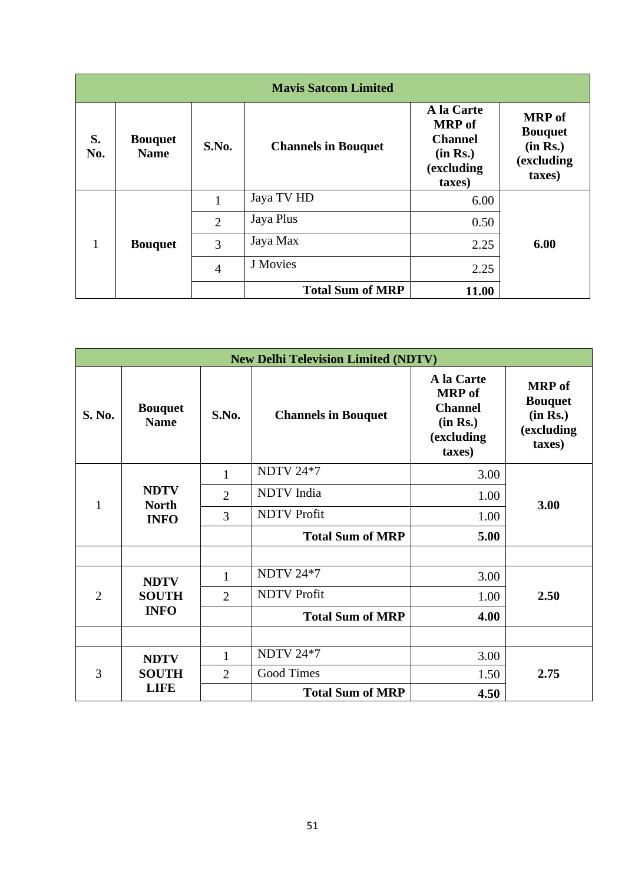|           | <b>Mavis Satcom Limited</b>   |                |                            |                                                                                   |                                                                     |  |  |
|-----------|-------------------------------|----------------|----------------------------|-----------------------------------------------------------------------------------|---------------------------------------------------------------------|--|--|
| S.<br>No. | <b>Bouquet</b><br><b>Name</b> | S.No.          | <b>Channels in Bouquet</b> | A la Carte<br><b>MRP</b> of<br><b>Channel</b><br>(in Rs.)<br>(excluding<br>taxes) | <b>MRP</b> of<br><b>Bouquet</b><br>(in Rs.)<br>(excluding<br>taxes) |  |  |
| 1         | <b>Bouquet</b>                | 1              | Jaya TV HD                 | 6.00                                                                              |                                                                     |  |  |
|           |                               | $\overline{2}$ | Jaya Plus                  | 0.50                                                                              |                                                                     |  |  |
|           |                               | 3              | Jaya Max                   | 2.25                                                                              | 6.00                                                                |  |  |
|           |                               | $\overline{4}$ | J Movies                   | 2.25                                                                              |                                                                     |  |  |
|           |                               |                | <b>Total Sum of MRP</b>    | 11.00                                                                             |                                                                     |  |  |

| <b>New Delhi Television Limited (NDTV)</b> |                                            |                |                            |                                                                                   |                                                                     |  |
|--------------------------------------------|--------------------------------------------|----------------|----------------------------|-----------------------------------------------------------------------------------|---------------------------------------------------------------------|--|
| S. No.                                     | <b>Bouquet</b><br><b>Name</b>              | S.No.          | <b>Channels in Bouquet</b> | A la Carte<br><b>MRP</b> of<br><b>Channel</b><br>(in Rs.)<br>(excluding<br>taxes) | <b>MRP</b> of<br><b>Bouquet</b><br>(in Rs.)<br>(excluding<br>taxes) |  |
| 1                                          |                                            | 1              | <b>NDTV 24*7</b>           | 3.00                                                                              |                                                                     |  |
|                                            | <b>NDTV</b><br><b>North</b><br><b>INFO</b> | $\overline{2}$ | NDTV India                 | 1.00                                                                              | 3.00                                                                |  |
|                                            |                                            | 3              | <b>NDTV</b> Profit         | 1.00                                                                              |                                                                     |  |
|                                            |                                            |                | <b>Total Sum of MRP</b>    | 5.00                                                                              |                                                                     |  |
|                                            |                                            |                |                            |                                                                                   |                                                                     |  |
|                                            | <b>NDTV</b>                                | 1              | <b>NDTV 24*7</b>           | 3.00                                                                              |                                                                     |  |
| $\overline{2}$                             | <b>SOUTH</b><br><b>INFO</b>                | 2              | <b>NDTV</b> Profit         | 1.00                                                                              | 2.50                                                                |  |
|                                            |                                            |                | <b>Total Sum of MRP</b>    | 4.00                                                                              |                                                                     |  |
|                                            |                                            |                |                            |                                                                                   |                                                                     |  |
| 3                                          | <b>NDTV</b><br><b>SOUTH</b><br><b>LIFE</b> | $\mathbf{1}$   | <b>NDTV 24*7</b>           | 3.00                                                                              | 2.75                                                                |  |
|                                            |                                            | $\overline{2}$ | <b>Good Times</b>          | 1.50                                                                              |                                                                     |  |
|                                            |                                            |                | <b>Total Sum of MRP</b>    | 4.50                                                                              |                                                                     |  |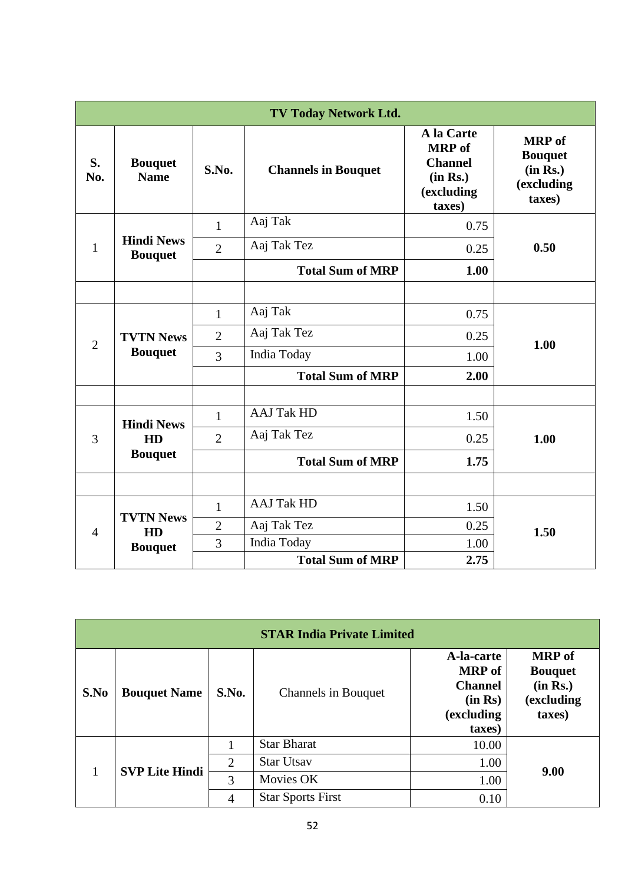|                | <b>TV Today Network Ltd.</b>              |                |                            |                                                                                   |                                                                     |  |  |  |
|----------------|-------------------------------------------|----------------|----------------------------|-----------------------------------------------------------------------------------|---------------------------------------------------------------------|--|--|--|
| S.<br>No.      | <b>Bouquet</b><br><b>Name</b>             | S.No.          | <b>Channels in Bouquet</b> | A la Carte<br><b>MRP</b> of<br><b>Channel</b><br>(in Rs.)<br>(excluding<br>taxes) | <b>MRP</b> of<br><b>Bouquet</b><br>(in Rs.)<br>(excluding<br>taxes) |  |  |  |
|                |                                           | $\mathbf{1}$   | Aaj Tak                    | 0.75                                                                              |                                                                     |  |  |  |
| $\mathbf{1}$   | <b>Hindi News</b><br><b>Bouquet</b>       | $\overline{2}$ | Aaj Tak Tez                | 0.25                                                                              | 0.50                                                                |  |  |  |
|                |                                           |                | <b>Total Sum of MRP</b>    | 1.00                                                                              |                                                                     |  |  |  |
|                |                                           |                |                            |                                                                                   |                                                                     |  |  |  |
| $\overline{2}$ | <b>TVTN News</b><br><b>Bouquet</b>        | 1              | Aaj Tak                    | 0.75                                                                              |                                                                     |  |  |  |
|                |                                           | $\overline{2}$ | Aaj Tak Tez                | 0.25                                                                              | 1.00                                                                |  |  |  |
|                |                                           | 3              | India Today                | 1.00                                                                              |                                                                     |  |  |  |
|                |                                           |                | <b>Total Sum of MRP</b>    | 2.00                                                                              |                                                                     |  |  |  |
|                |                                           |                |                            |                                                                                   |                                                                     |  |  |  |
| 3              | <b>Hindi News</b><br>HD<br><b>Bouquet</b> | $\mathbf{1}$   | <b>AAJ Tak HD</b>          | 1.50                                                                              |                                                                     |  |  |  |
|                |                                           | $\overline{2}$ | Aaj Tak Tez                | 0.25                                                                              | 1.00                                                                |  |  |  |
|                |                                           |                | <b>Total Sum of MRP</b>    | 1.75                                                                              |                                                                     |  |  |  |
|                |                                           |                |                            |                                                                                   |                                                                     |  |  |  |
| $\overline{4}$ |                                           | $\mathbf{1}$   | <b>AAJ Tak HD</b>          | 1.50                                                                              |                                                                     |  |  |  |
|                | <b>TVTN News</b><br>HD                    | $\mathfrak{2}$ | Aaj Tak Tez                | 0.25                                                                              | 1.50                                                                |  |  |  |
|                | <b>Bouquet</b>                            | 3              | India Today                | 1.00                                                                              |                                                                     |  |  |  |
|                |                                           |                | <b>Total Sum of MRP</b>    | 2.75                                                                              |                                                                     |  |  |  |

|      | <b>STAR India Private Limited</b> |       |                            |                                                                                  |                                                                     |  |  |
|------|-----------------------------------|-------|----------------------------|----------------------------------------------------------------------------------|---------------------------------------------------------------------|--|--|
| S.No | <b>Bouquet Name</b>               | S.No. | <b>Channels in Bouquet</b> | A-la-carte<br><b>MRP</b> of<br><b>Channel</b><br>(in Rs)<br>(excluding<br>taxes) | <b>MRP</b> of<br><b>Bouquet</b><br>(in Rs.)<br>(excluding<br>taxes) |  |  |
|      | <b>SVP Lite Hindi</b>             |       | <b>Star Bharat</b>         | 10.00                                                                            |                                                                     |  |  |
|      |                                   | 2     | <b>Star Utsav</b>          | 1.00                                                                             | 9.00                                                                |  |  |
|      |                                   | 3     | Movies OK                  | 1.00                                                                             |                                                                     |  |  |
|      |                                   | 4     | <b>Star Sports First</b>   | 0.10                                                                             |                                                                     |  |  |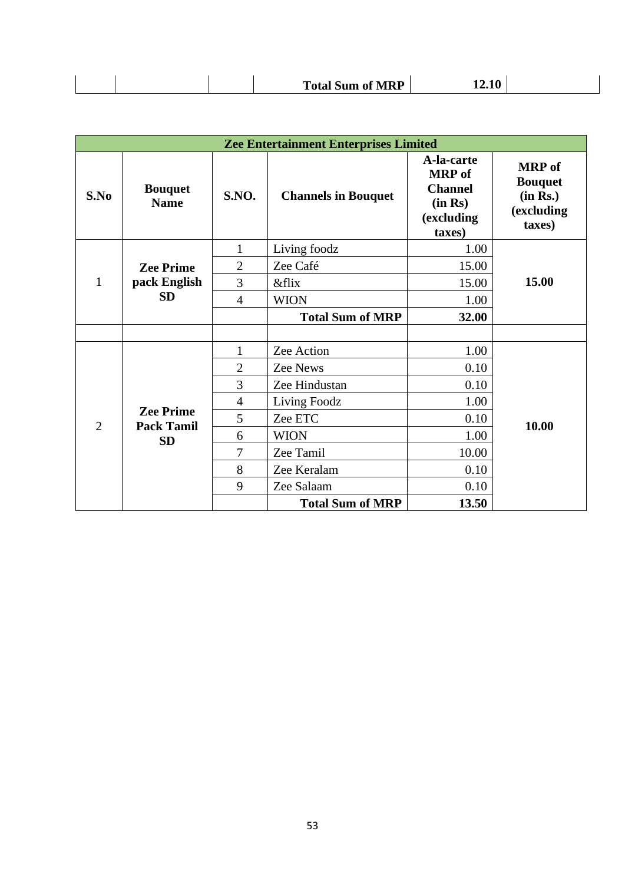|--|

|                |                                                    |                | <b>Zee Entertainment Enterprises Limited</b> |                                                                                  |                                                                     |
|----------------|----------------------------------------------------|----------------|----------------------------------------------|----------------------------------------------------------------------------------|---------------------------------------------------------------------|
| S.No           | <b>Bouquet</b><br><b>Name</b>                      | <b>S.NO.</b>   | <b>Channels in Bouquet</b>                   | A-la-carte<br><b>MRP</b> of<br><b>Channel</b><br>(in Rs)<br>(excluding<br>taxes) | <b>MRP</b> of<br><b>Bouquet</b><br>(in Rs.)<br>(excluding<br>taxes) |
|                |                                                    | $\mathbf{1}$   | Living foodz                                 | 1.00                                                                             |                                                                     |
|                | <b>Zee Prime</b>                                   | $\overline{2}$ | Zee Café                                     | 15.00                                                                            |                                                                     |
| 1              | pack English<br><b>SD</b>                          | 3              | <i>&amp;flix</i>                             | 15.00                                                                            | 15.00                                                               |
|                |                                                    | $\overline{4}$ | <b>WION</b>                                  | 1.00                                                                             |                                                                     |
|                |                                                    |                | <b>Total Sum of MRP</b>                      | 32.00                                                                            |                                                                     |
|                |                                                    |                |                                              |                                                                                  |                                                                     |
|                | <b>Zee Prime</b><br><b>Pack Tamil</b><br><b>SD</b> | 1              | Zee Action                                   | 1.00                                                                             |                                                                     |
|                |                                                    | $\overline{2}$ | <b>Zee News</b>                              | 0.10                                                                             |                                                                     |
|                |                                                    | 3              | Zee Hindustan                                | 0.10                                                                             |                                                                     |
| $\overline{2}$ |                                                    | $\overline{4}$ | Living Foodz                                 | 1.00                                                                             |                                                                     |
|                |                                                    | 5              | Zee ETC                                      | 0.10                                                                             | 10.00                                                               |
|                |                                                    | 6              | <b>WION</b>                                  | 1.00                                                                             |                                                                     |
|                |                                                    | 7              | Zee Tamil                                    | 10.00                                                                            |                                                                     |
|                |                                                    | 8              | Zee Keralam                                  | 0.10                                                                             |                                                                     |
|                |                                                    | 9              | Zee Salaam                                   | 0.10                                                                             |                                                                     |
|                |                                                    |                | <b>Total Sum of MRP</b>                      | 13.50                                                                            |                                                                     |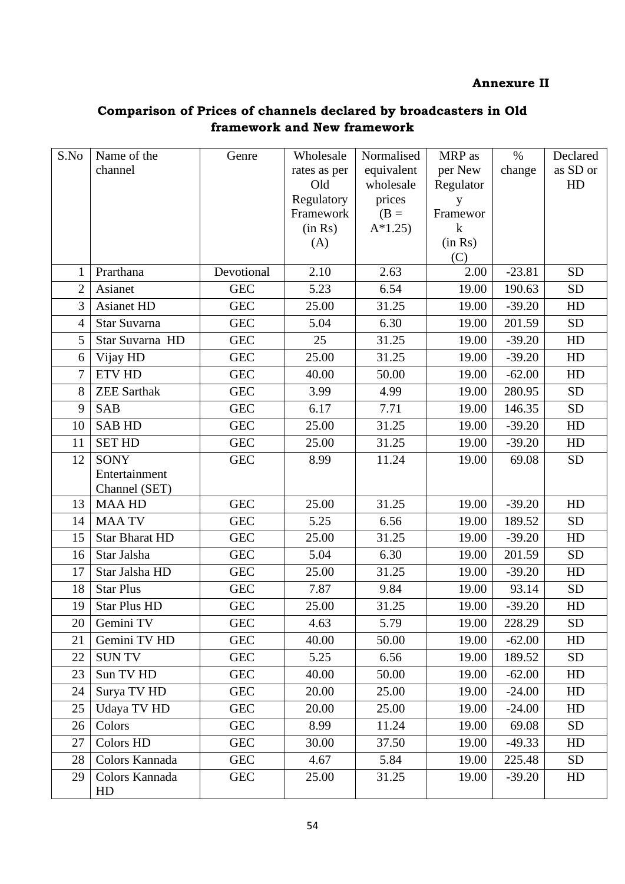# **Annexure II**

# **Comparison of Prices of channels declared by broadcasters in Old framework and New framework**

| S.No           | Name of the                    | Genre      | Wholesale      | Normalised | MRP as              | $\%$     | Declared  |
|----------------|--------------------------------|------------|----------------|------------|---------------------|----------|-----------|
|                | channel                        |            | rates as per   | equivalent | per New             | change   | as SD or  |
|                |                                |            | Old            | wholesale  | Regulator           |          | HD        |
|                |                                |            | Regulatory     | prices     | y                   |          |           |
|                |                                |            | Framework      | $(B =$     | Framewor<br>$\bf k$ |          |           |
|                |                                |            | (in Rs)<br>(A) | $A*1.25$   | (in Rs)             |          |           |
|                |                                |            |                |            | (C)                 |          |           |
| $\mathbf 1$    | Prarthana                      | Devotional | 2.10           | 2.63       | 2.00                | $-23.81$ | <b>SD</b> |
| $\overline{2}$ | Asianet                        | <b>GEC</b> | 5.23           | 6.54       | 19.00               | 190.63   | <b>SD</b> |
| $\overline{3}$ | <b>Asianet HD</b>              | <b>GEC</b> | 25.00          | 31.25      | 19.00               | $-39.20$ | HD        |
| $\overline{4}$ | Star Suvarna                   | <b>GEC</b> | 5.04           | 6.30       | 19.00               | 201.59   | <b>SD</b> |
| 5              | Star Suvarna HD                | <b>GEC</b> | 25             | 31.25      | 19.00               | $-39.20$ | HD        |
| 6              | Vijay HD                       | <b>GEC</b> | 25.00          | 31.25      | 19.00               | $-39.20$ | HD        |
| $\overline{7}$ | <b>ETV HD</b>                  | <b>GEC</b> | 40.00          | 50.00      | 19.00               | $-62.00$ | HD        |
| 8              | <b>ZEE Sarthak</b>             | <b>GEC</b> | 3.99           | 4.99       | 19.00               | 280.95   | <b>SD</b> |
| 9              | <b>SAB</b>                     | <b>GEC</b> | 6.17           | 7.71       | 19.00               | 146.35   | <b>SD</b> |
| 10             | <b>SAB HD</b>                  | <b>GEC</b> | 25.00          | 31.25      | 19.00               | $-39.20$ | HD        |
| 11             | <b>SET HD</b>                  | <b>GEC</b> | 25.00          | 31.25      | 19.00               | $-39.20$ | HD        |
| 12             | <b>SONY</b>                    | <b>GEC</b> | 8.99           | 11.24      | 19.00               | 69.08    | <b>SD</b> |
|                | Entertainment<br>Channel (SET) |            |                |            |                     |          |           |
| 13             | <b>MAAHD</b>                   | <b>GEC</b> | 25.00          | 31.25      | 19.00               | $-39.20$ | HD        |
| 14             | <b>MAA TV</b>                  | <b>GEC</b> | 5.25           | 6.56       | 19.00               | 189.52   | <b>SD</b> |
| 15             | <b>Star Bharat HD</b>          | <b>GEC</b> | 25.00          | 31.25      | 19.00               | $-39.20$ | HD        |
| 16             | Star Jalsha                    | <b>GEC</b> | 5.04           | 6.30       | 19.00               | 201.59   | <b>SD</b> |
| 17             | Star Jalsha HD                 | <b>GEC</b> | 25.00          | 31.25      | 19.00               | $-39.20$ | HD        |
| 18             | <b>Star Plus</b>               | <b>GEC</b> | 7.87           | 9.84       | 19.00               | 93.14    | <b>SD</b> |
| 19             | <b>Star Plus HD</b>            | <b>GEC</b> | 25.00          | 31.25      | 19.00               | $-39.20$ | HD        |
| 20             | Gemini TV                      | <b>GEC</b> | 4.63           | 5.79       | 19.00               | 228.29   | <b>SD</b> |
| 21             | Gemini TV HD                   | <b>GEC</b> | 40.00          | 50.00      | 19.00               | $-62.00$ | HD        |
| 22             | <b>SUNTV</b>                   | <b>GEC</b> | 5.25           | 6.56       | 19.00               | 189.52   | <b>SD</b> |
| 23             | Sun TV HD                      | <b>GEC</b> | 40.00          | 50.00      | 19.00               | $-62.00$ | HD        |
| 24             | Surya TV HD                    | <b>GEC</b> | 20.00          | 25.00      | 19.00               | $-24.00$ | HD        |
| 25             | Udaya TV HD                    | <b>GEC</b> | 20.00          | 25.00      | 19.00               | $-24.00$ | HD        |
| 26             | Colors                         | <b>GEC</b> | 8.99           | 11.24      | 19.00               | 69.08    | <b>SD</b> |
| 27             | Colors HD                      | <b>GEC</b> | 30.00          | 37.50      | 19.00               | $-49.33$ | HD        |
| 28             | Colors Kannada                 | <b>GEC</b> | 4.67           | 5.84       | 19.00               | 225.48   | <b>SD</b> |
| 29             | Colors Kannada<br>HD           | <b>GEC</b> | 25.00          | 31.25      | 19.00               | $-39.20$ | HD        |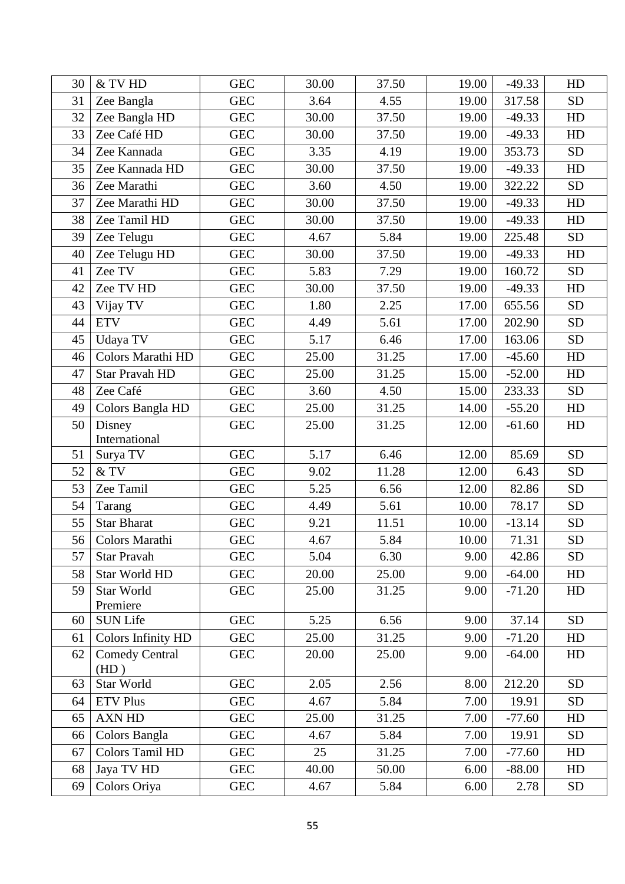| 30 | & TV HD                   | <b>GEC</b> | 30.00 | 37.50 | 19.00 | $-49.33$ | HD         |
|----|---------------------------|------------|-------|-------|-------|----------|------------|
| 31 | Zee Bangla                | <b>GEC</b> | 3.64  | 4.55  | 19.00 | 317.58   | <b>SD</b>  |
| 32 | Zee Bangla HD             | <b>GEC</b> | 30.00 | 37.50 | 19.00 | $-49.33$ | HD         |
| 33 | Zee Café HD               | <b>GEC</b> | 30.00 | 37.50 | 19.00 | $-49.33$ | HD         |
| 34 | Zee Kannada               | <b>GEC</b> | 3.35  | 4.19  | 19.00 | 353.73   | <b>SD</b>  |
| 35 | Zee Kannada HD            | <b>GEC</b> | 30.00 | 37.50 | 19.00 | $-49.33$ | HD         |
| 36 | Zee Marathi               | <b>GEC</b> | 3.60  | 4.50  | 19.00 | 322.22   | <b>SD</b>  |
| 37 | Zee Marathi HD            | <b>GEC</b> | 30.00 | 37.50 | 19.00 | $-49.33$ | HD         |
| 38 | Zee Tamil HD              | <b>GEC</b> | 30.00 | 37.50 | 19.00 | $-49.33$ | HD         |
| 39 | Zee Telugu                | <b>GEC</b> | 4.67  | 5.84  | 19.00 | 225.48   | ${\rm SD}$ |
| 40 | Zee Telugu HD             | <b>GEC</b> | 30.00 | 37.50 | 19.00 | $-49.33$ | HD         |
| 41 | Zee TV                    | <b>GEC</b> | 5.83  | 7.29  | 19.00 | 160.72   | <b>SD</b>  |
| 42 | Zee TV HD                 | <b>GEC</b> | 30.00 | 37.50 | 19.00 | $-49.33$ | HD         |
| 43 | Vijay TV                  | <b>GEC</b> | 1.80  | 2.25  | 17.00 | 655.56   | <b>SD</b>  |
| 44 | <b>ETV</b>                | <b>GEC</b> | 4.49  | 5.61  | 17.00 | 202.90   | <b>SD</b>  |
| 45 | Udaya TV                  | <b>GEC</b> | 5.17  | 6.46  | 17.00 | 163.06   | <b>SD</b>  |
| 46 | Colors Marathi HD         | <b>GEC</b> | 25.00 | 31.25 | 17.00 | $-45.60$ | HD         |
| 47 | Star Pravah HD            | <b>GEC</b> | 25.00 | 31.25 | 15.00 | $-52.00$ | HD         |
| 48 | Zee Café                  | <b>GEC</b> | 3.60  | 4.50  | 15.00 | 233.33   | <b>SD</b>  |
| 49 | Colors Bangla HD          | <b>GEC</b> | 25.00 | 31.25 | 14.00 | $-55.20$ | HD         |
| 50 | Disney                    | <b>GEC</b> | 25.00 | 31.25 | 12.00 | $-61.60$ | HD         |
|    | International             |            |       |       |       |          |            |
| 51 | Surya TV                  | <b>GEC</b> | 5.17  | 6.46  | 12.00 | 85.69    | <b>SD</b>  |
| 52 | $\&$ TV                   | <b>GEC</b> | 9.02  | 11.28 | 12.00 | 6.43     | <b>SD</b>  |
| 53 | Zee Tamil                 | <b>GEC</b> | 5.25  | 6.56  | 12.00 | 82.86    | <b>SD</b>  |
| 54 | Tarang                    | <b>GEC</b> | 4.49  | 5.61  | 10.00 | 78.17    | <b>SD</b>  |
| 55 | <b>Star Bharat</b>        | <b>GEC</b> | 9.21  | 11.51 | 10.00 | $-13.14$ | <b>SD</b>  |
| 56 | Colors Marathi            | <b>GEC</b> | 4.67  | 5.84  | 10.00 | 71.31    | <b>SD</b>  |
| 57 | <b>Star Pravah</b>        | <b>GEC</b> | 5.04  | 6.30  | 9.00  | 42.86    | <b>SD</b>  |
| 58 | Star World HD             | <b>GEC</b> | 20.00 | 25.00 | 9.00  | $-64.00$ | HD         |
| 59 | Star World                | <b>GEC</b> | 25.00 | 31.25 | 9.00  | $-71.20$ | HD         |
| 60 | Premiere<br>SUN Life      | <b>GEC</b> | 5.25  | 6.56  | 9.00  | 37.14    | <b>SD</b>  |
| 61 | <b>Colors Infinity HD</b> | <b>GEC</b> | 25.00 | 31.25 | 9.00  | $-71.20$ | HD         |
| 62 | <b>Comedy Central</b>     | <b>GEC</b> | 20.00 | 25.00 | 9.00  | $-64.00$ |            |
|    | (HD)                      |            |       |       |       |          | HD         |
| 63 | Star World                | <b>GEC</b> | 2.05  | 2.56  | 8.00  | 212.20   | <b>SD</b>  |
| 64 | <b>ETV Plus</b>           | <b>GEC</b> | 4.67  | 5.84  | 7.00  | 19.91    | <b>SD</b>  |
| 65 | <b>AXN HD</b>             | <b>GEC</b> | 25.00 | 31.25 | 7.00  | $-77.60$ | HD         |
| 66 | Colors Bangla             | <b>GEC</b> | 4.67  | 5.84  | 7.00  | 19.91    | <b>SD</b>  |
| 67 | Colors Tamil HD           | <b>GEC</b> | 25    | 31.25 | 7.00  | $-77.60$ | HD         |
| 68 | Jaya TV HD                | <b>GEC</b> | 40.00 | 50.00 | 6.00  | $-88.00$ | HD         |
| 69 | Colors Oriya              | <b>GEC</b> | 4.67  | 5.84  | 6.00  | 2.78     | <b>SD</b>  |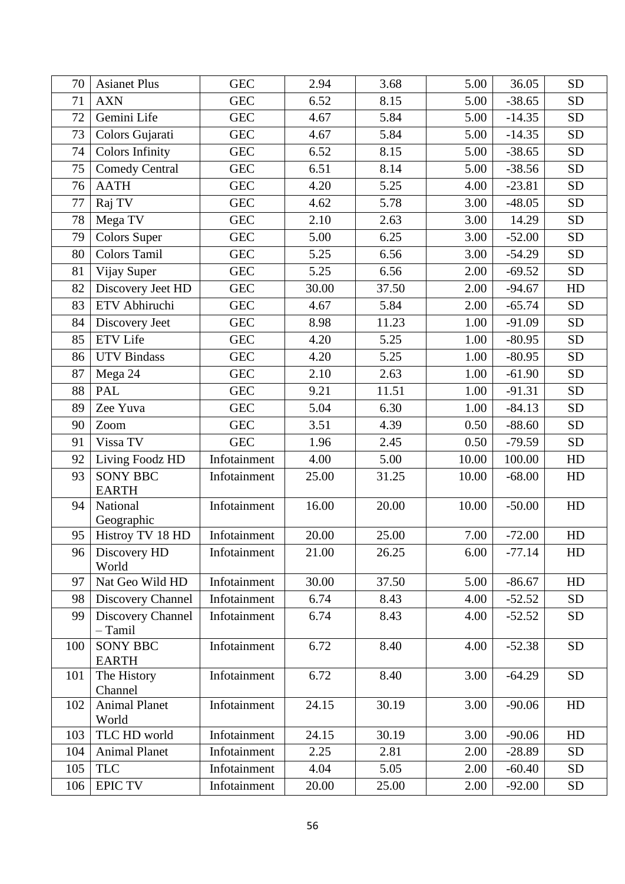| 70  | <b>Asianet Plus</b>             | <b>GEC</b>   | 2.94  | 3.68  | 5.00  | 36.05    | <b>SD</b> |
|-----|---------------------------------|--------------|-------|-------|-------|----------|-----------|
| 71  | <b>AXN</b>                      | <b>GEC</b>   | 6.52  | 8.15  | 5.00  | $-38.65$ | <b>SD</b> |
| 72  | Gemini Life                     | <b>GEC</b>   | 4.67  | 5.84  | 5.00  | $-14.35$ | <b>SD</b> |
| 73  | Colors Gujarati                 | <b>GEC</b>   | 4.67  | 5.84  | 5.00  | $-14.35$ | <b>SD</b> |
| 74  | Colors Infinity                 | <b>GEC</b>   | 6.52  | 8.15  | 5.00  | $-38.65$ | <b>SD</b> |
| 75  | <b>Comedy Central</b>           | <b>GEC</b>   | 6.51  | 8.14  | 5.00  | $-38.56$ | <b>SD</b> |
| 76  | $\mathbf{AATH}$                 | <b>GEC</b>   | 4.20  | 5.25  | 4.00  | $-23.81$ | SD        |
| 77  | Raj TV                          | <b>GEC</b>   | 4.62  | 5.78  | 3.00  | $-48.05$ | <b>SD</b> |
| 78  | Mega TV                         | <b>GEC</b>   | 2.10  | 2.63  | 3.00  | 14.29    | <b>SD</b> |
| 79  | <b>Colors Super</b>             | <b>GEC</b>   | 5.00  | 6.25  | 3.00  | $-52.00$ | <b>SD</b> |
| 80  | Colors Tamil                    | <b>GEC</b>   | 5.25  | 6.56  | 3.00  | $-54.29$ | <b>SD</b> |
| 81  | Vijay Super                     | <b>GEC</b>   | 5.25  | 6.56  | 2.00  | $-69.52$ | <b>SD</b> |
| 82  | Discovery Jeet HD               | <b>GEC</b>   | 30.00 | 37.50 | 2.00  | $-94.67$ | HD        |
| 83  | ETV Abhiruchi                   | <b>GEC</b>   | 4.67  | 5.84  | 2.00  | $-65.74$ | <b>SD</b> |
| 84  | Discovery Jeet                  | <b>GEC</b>   | 8.98  | 11.23 | 1.00  | $-91.09$ | <b>SD</b> |
| 85  | <b>ETV</b> Life                 | <b>GEC</b>   | 4.20  | 5.25  | 1.00  | $-80.95$ | <b>SD</b> |
| 86  | <b>UTV</b> Bindass              | <b>GEC</b>   | 4.20  | 5.25  | 1.00  | $-80.95$ | <b>SD</b> |
| 87  | Mega 24                         | ${\rm GEC}$  | 2.10  | 2.63  | 1.00  | $-61.90$ | <b>SD</b> |
| 88  | <b>PAL</b>                      | <b>GEC</b>   | 9.21  | 11.51 | 1.00  | $-91.31$ | <b>SD</b> |
| 89  | Zee Yuva                        | ${\rm GEC}$  | 5.04  | 6.30  | 1.00  | $-84.13$ | <b>SD</b> |
| 90  | Zoom                            | ${\rm GEC}$  | 3.51  | 4.39  | 0.50  | $-88.60$ | <b>SD</b> |
| 91  | Vissa TV                        | <b>GEC</b>   | 1.96  | 2.45  | 0.50  | $-79.59$ | <b>SD</b> |
| 92  | Living Foodz HD                 | Infotainment | 4.00  | 5.00  | 10.00 | 100.00   | HD        |
| 93  | <b>SONY BBC</b><br><b>EARTH</b> | Infotainment | 25.00 | 31.25 | 10.00 | $-68.00$ | HD        |
| 94  | National<br>Geographic          | Infotainment | 16.00 | 20.00 | 10.00 | $-50.00$ | HD        |
| 95  | Histroy TV 18 HD                | Infotainment | 20.00 | 25.00 | 7.00  | $-72.00$ | HD        |
| 96  | Discovery HD<br>World           | Infotainment | 21.00 | 26.25 | 6.00  | $-77.14$ | HD        |
| 97  | Nat Geo Wild HD                 | Infotainment | 30.00 | 37.50 | 5.00  | $-86.67$ | HD        |
| 98  | Discovery Channel               | Infotainment | 6.74  | 8.43  | 4.00  | $-52.52$ | <b>SD</b> |
| 99  | Discovery Channel<br>$-$ Tamil  | Infotainment | 6.74  | 8.43  | 4.00  | $-52.52$ | <b>SD</b> |
| 100 | <b>SONY BBC</b><br><b>EARTH</b> | Infotainment | 6.72  | 8.40  | 4.00  | $-52.38$ | <b>SD</b> |
| 101 | The History<br>Channel          | Infotainment | 6.72  | 8.40  | 3.00  | $-64.29$ | <b>SD</b> |
| 102 | <b>Animal Planet</b><br>World   | Infotainment | 24.15 | 30.19 | 3.00  | $-90.06$ | HD        |
| 103 | TLC HD world                    | Infotainment | 24.15 | 30.19 | 3.00  | $-90.06$ | HD        |
| 104 | <b>Animal Planet</b>            | Infotainment | 2.25  | 2.81  | 2.00  | $-28.89$ | <b>SD</b> |
| 105 | <b>TLC</b>                      | Infotainment | 4.04  | 5.05  | 2.00  | $-60.40$ | <b>SD</b> |
| 106 | <b>EPIC TV</b>                  | Infotainment | 20.00 | 25.00 | 2.00  | $-92.00$ | <b>SD</b> |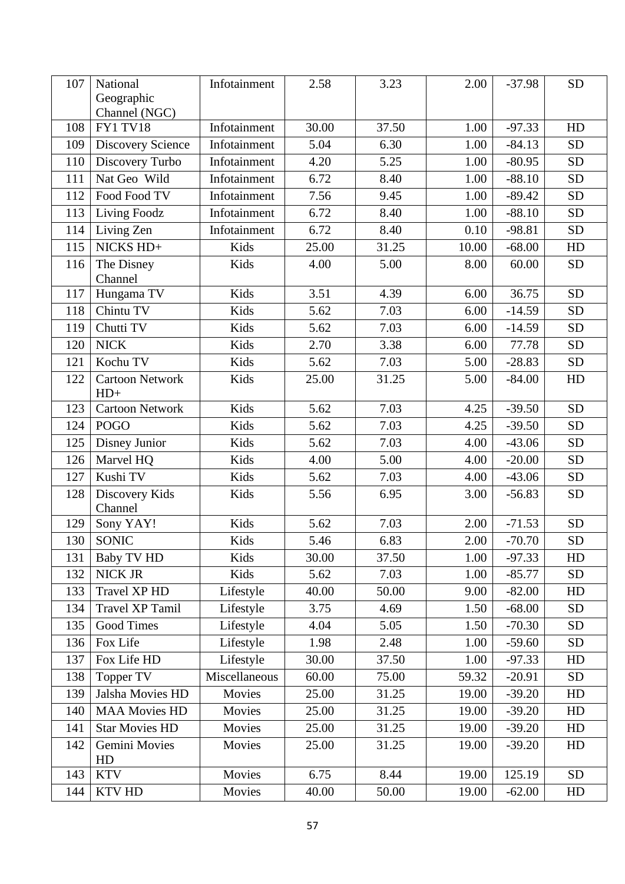| 107 | National<br>Geographic          | Infotainment  | 2.58  | 3.23  | 2.00  | $-37.98$ | <b>SD</b> |
|-----|---------------------------------|---------------|-------|-------|-------|----------|-----------|
|     | Channel (NGC)                   |               |       |       |       |          |           |
| 108 | <b>FY1 TV18</b>                 | Infotainment  | 30.00 | 37.50 | 1.00  | $-97.33$ | HD        |
| 109 | <b>Discovery Science</b>        | Infotainment  | 5.04  | 6.30  | 1.00  | $-84.13$ | <b>SD</b> |
| 110 | Discovery Turbo                 | Infotainment  | 4.20  | 5.25  | 1.00  | $-80.95$ | <b>SD</b> |
| 111 | Nat Geo Wild                    | Infotainment  | 6.72  | 8.40  | 1.00  | $-88.10$ | <b>SD</b> |
| 112 | Food Food TV                    | Infotainment  | 7.56  | 9.45  | 1.00  | $-89.42$ | <b>SD</b> |
| 113 | Living Foodz                    | Infotainment  | 6.72  | 8.40  | 1.00  | $-88.10$ | <b>SD</b> |
| 114 | Living Zen                      | Infotainment  | 6.72  | 8.40  | 0.10  | $-98.81$ | <b>SD</b> |
| 115 | NICKS HD+                       | Kids          | 25.00 | 31.25 | 10.00 | $-68.00$ | HD        |
| 116 | The Disney<br>Channel           | Kids          | 4.00  | 5.00  | 8.00  | 60.00    | <b>SD</b> |
| 117 | Hungama TV                      | Kids          | 3.51  | 4.39  | 6.00  | 36.75    | <b>SD</b> |
| 118 | Chintu TV                       | Kids          | 5.62  | 7.03  | 6.00  | $-14.59$ | <b>SD</b> |
| 119 | Chutti TV                       | Kids          | 5.62  | 7.03  | 6.00  | $-14.59$ | <b>SD</b> |
| 120 | <b>NICK</b>                     | Kids          | 2.70  | 3.38  | 6.00  | 77.78    | <b>SD</b> |
| 121 | Kochu TV                        | Kids          | 5.62  | 7.03  | 5.00  | $-28.83$ | <b>SD</b> |
| 122 | <b>Cartoon Network</b><br>$HD+$ | Kids          | 25.00 | 31.25 | 5.00  | $-84.00$ | HD        |
| 123 | <b>Cartoon Network</b>          | Kids          | 5.62  | 7.03  | 4.25  | $-39.50$ | <b>SD</b> |
| 124 | <b>POGO</b>                     | Kids          | 5.62  | 7.03  | 4.25  | $-39.50$ | <b>SD</b> |
| 125 | Disney Junior                   | Kids          | 5.62  | 7.03  | 4.00  | $-43.06$ | <b>SD</b> |
| 126 | Marvel HQ                       | Kids          | 4.00  | 5.00  | 4.00  | $-20.00$ | <b>SD</b> |
| 127 | Kushi TV                        | Kids          | 5.62  | 7.03  | 4.00  | $-43.06$ | <b>SD</b> |
| 128 | Discovery Kids<br>Channel       | Kids          | 5.56  | 6.95  | 3.00  | $-56.83$ | <b>SD</b> |
| 129 | Sony YAY!                       | Kids          | 5.62  | 7.03  | 2.00  | $-71.53$ | <b>SD</b> |
| 130 | SONIC                           | Kids          | 5.46  | 6.83  | 2.00  | $-70.70$ | <b>SD</b> |
| 131 | <b>Baby TV HD</b>               | Kids          | 30.00 | 37.50 | 1.00  | $-97.33$ | HD        |
| 132 | NICK JR                         | Kids          | 5.62  | 7.03  | 1.00  | $-85.77$ | <b>SD</b> |
| 133 | <b>Travel XP HD</b>             | Lifestyle     | 40.00 | 50.00 | 9.00  | $-82.00$ | HD        |
| 134 | <b>Travel XP Tamil</b>          | Lifestyle     | 3.75  | 4.69  | 1.50  | $-68.00$ | <b>SD</b> |
| 135 | Good Times                      | Lifestyle     | 4.04  | 5.05  | 1.50  | $-70.30$ | <b>SD</b> |
| 136 | Fox Life                        | Lifestyle     | 1.98  | 2.48  | 1.00  | $-59.60$ | <b>SD</b> |
| 137 | Fox Life HD                     | Lifestyle     | 30.00 | 37.50 | 1.00  | $-97.33$ | HD        |
| 138 | Topper TV                       | Miscellaneous | 60.00 | 75.00 | 59.32 | $-20.91$ | <b>SD</b> |
| 139 | Jalsha Movies HD                | Movies        | 25.00 | 31.25 | 19.00 | $-39.20$ | HD        |
| 140 | <b>MAA Movies HD</b>            | Movies        | 25.00 | 31.25 | 19.00 | $-39.20$ | HD        |
| 141 | <b>Star Movies HD</b>           | Movies        | 25.00 | 31.25 | 19.00 | $-39.20$ | HD        |
| 142 | Gemini Movies<br>HD             | Movies        | 25.00 | 31.25 | 19.00 | $-39.20$ | HD        |
| 143 | <b>KTV</b>                      | Movies        | 6.75  | 8.44  | 19.00 | 125.19   | <b>SD</b> |
| 144 | KTV HD                          | Movies        | 40.00 | 50.00 | 19.00 | $-62.00$ | HD        |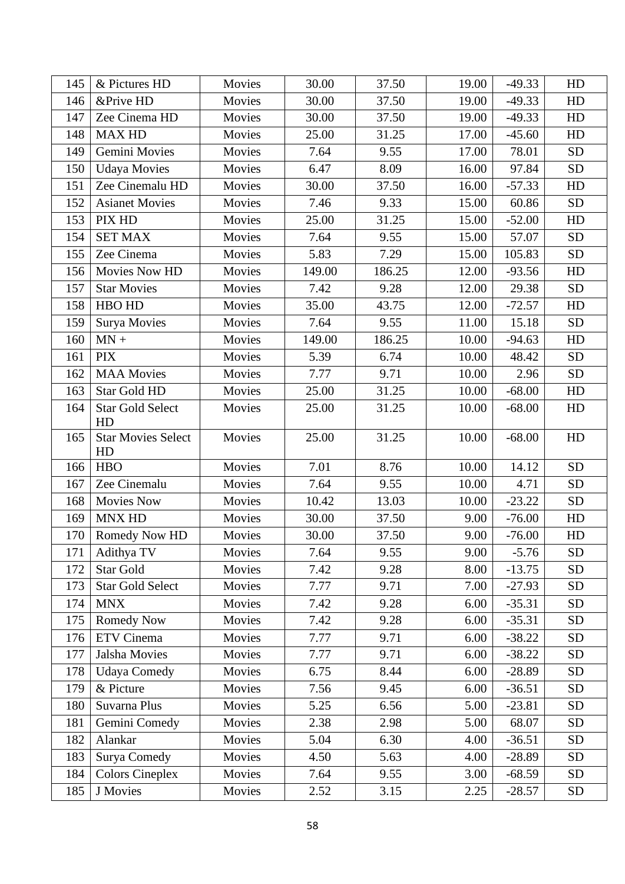| 145 | & Pictures HD                   | Movies | 30.00  | 37.50  | 19.00 | $-49.33$ | HD         |
|-----|---------------------------------|--------|--------|--------|-------|----------|------------|
| 146 | &Prive HD                       | Movies | 30.00  | 37.50  | 19.00 | $-49.33$ | HD         |
| 147 | Zee Cinema HD                   | Movies | 30.00  | 37.50  | 19.00 | $-49.33$ | HD         |
| 148 | <b>MAX HD</b>                   | Movies | 25.00  | 31.25  | 17.00 | $-45.60$ | HD         |
| 149 | Gemini Movies                   | Movies | 7.64   | 9.55   | 17.00 | 78.01    | <b>SD</b>  |
| 150 | <b>Udaya Movies</b>             | Movies | 6.47   | 8.09   | 16.00 | 97.84    | <b>SD</b>  |
| 151 | Zee Cinemalu HD                 | Movies | 30.00  | 37.50  | 16.00 | $-57.33$ | HD         |
| 152 | <b>Asianet Movies</b>           | Movies | 7.46   | 9.33   | 15.00 | 60.86    | <b>SD</b>  |
| 153 | PIX HD                          | Movies | 25.00  | 31.25  | 15.00 | $-52.00$ | HD         |
| 154 | <b>SET MAX</b>                  | Movies | 7.64   | 9.55   | 15.00 | 57.07    | ${\rm SD}$ |
| 155 | Zee Cinema                      | Movies | 5.83   | 7.29   | 15.00 | 105.83   | <b>SD</b>  |
| 156 | Movies Now HD                   | Movies | 149.00 | 186.25 | 12.00 | $-93.56$ | HD         |
| 157 | <b>Star Movies</b>              | Movies | 7.42   | 9.28   | 12.00 | 29.38    | <b>SD</b>  |
| 158 | HBO HD                          | Movies | 35.00  | 43.75  | 12.00 | $-72.57$ | HD         |
| 159 | <b>Surya Movies</b>             | Movies | 7.64   | 9.55   | 11.00 | 15.18    | <b>SD</b>  |
| 160 | $MN +$                          | Movies | 149.00 | 186.25 | 10.00 | $-94.63$ | HD         |
| 161 | <b>PIX</b>                      | Movies | 5.39   | 6.74   | 10.00 | 48.42    | <b>SD</b>  |
| 162 | <b>MAA Movies</b>               | Movies | 7.77   | 9.71   | 10.00 | 2.96     | <b>SD</b>  |
| 163 | <b>Star Gold HD</b>             | Movies | 25.00  | 31.25  | 10.00 | $-68.00$ | HD         |
| 164 | <b>Star Gold Select</b><br>HD   | Movies | 25.00  | 31.25  | 10.00 | $-68.00$ | HD         |
| 165 | <b>Star Movies Select</b><br>HD | Movies | 25.00  | 31.25  | 10.00 | $-68.00$ | HD         |
| 166 | <b>HBO</b>                      | Movies | 7.01   | 8.76   | 10.00 | 14.12    | <b>SD</b>  |
| 167 | Zee Cinemalu                    | Movies | 7.64   | 9.55   | 10.00 | 4.71     | <b>SD</b>  |
| 168 | <b>Movies Now</b>               | Movies | 10.42  | 13.03  | 10.00 | $-23.22$ | <b>SD</b>  |
| 169 | <b>MNX HD</b>                   | Movies | 30.00  | 37.50  | 9.00  | $-76.00$ | HD         |
| 170 | Romedy Now HD                   | Movies | 30.00  | 37.50  | 9.00  | $-76.00$ | HD         |
| 171 | Adithya TV                      | Movies | 7.64   | 9.55   | 9.00  | $-5.76$  | <b>SD</b>  |
| 172 | Star Gold                       | Movies | 7.42   | 9.28   | 8.00  | $-13.75$ | <b>SD</b>  |
| 173 | <b>Star Gold Select</b>         | Movies | 7.77   | 9.71   | 7.00  | $-27.93$ | <b>SD</b>  |
| 174 | <b>MNX</b>                      | Movies | 7.42   | 9.28   | 6.00  | $-35.31$ | <b>SD</b>  |
| 175 | <b>Romedy Now</b>               | Movies | 7.42   | 9.28   | 6.00  | $-35.31$ | <b>SD</b>  |
| 176 | ETV Cinema                      | Movies | 7.77   | 9.71   | 6.00  | $-38.22$ | <b>SD</b>  |
| 177 | Jalsha Movies                   | Movies | 7.77   | 9.71   | 6.00  | $-38.22$ | <b>SD</b>  |
| 178 | <b>Udaya Comedy</b>             | Movies | 6.75   | 8.44   | 6.00  | $-28.89$ | <b>SD</b>  |
| 179 | & Picture                       | Movies | 7.56   | 9.45   | 6.00  | $-36.51$ | <b>SD</b>  |
| 180 | Suvarna Plus                    | Movies | 5.25   | 6.56   | 5.00  | $-23.81$ | <b>SD</b>  |
| 181 | Gemini Comedy                   | Movies | 2.38   | 2.98   | 5.00  | 68.07    | <b>SD</b>  |
| 182 | Alankar                         | Movies | 5.04   | 6.30   | 4.00  | $-36.51$ | <b>SD</b>  |
| 183 | Surya Comedy                    | Movies | 4.50   | 5.63   | 4.00  | $-28.89$ | <b>SD</b>  |
| 184 | <b>Colors Cineplex</b>          | Movies | 7.64   | 9.55   | 3.00  | $-68.59$ | <b>SD</b>  |
| 185 | J Movies                        | Movies | 2.52   | 3.15   | 2.25  | $-28.57$ | SD         |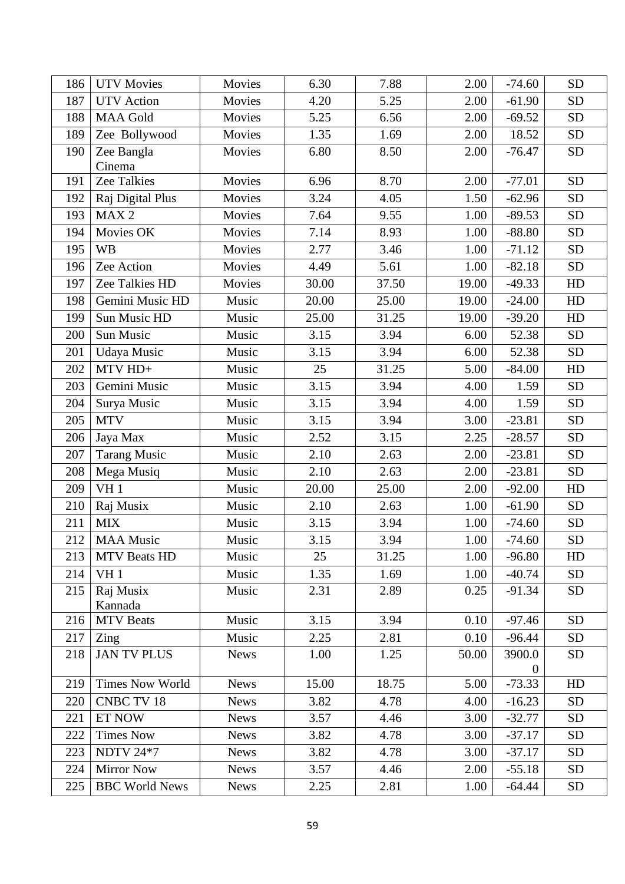| 186 | <b>UTV Movies</b>      | Movies      | 6.30  | 7.88  | 2.00  | $-74.60$           | <b>SD</b> |
|-----|------------------------|-------------|-------|-------|-------|--------------------|-----------|
| 187 | <b>UTV</b> Action      | Movies      | 4.20  | 5.25  | 2.00  | $-61.90$           | <b>SD</b> |
| 188 | <b>MAA Gold</b>        | Movies      | 5.25  | 6.56  | 2.00  | $-69.52$           | <b>SD</b> |
| 189 | Zee Bollywood          | Movies      | 1.35  | 1.69  | 2.00  | 18.52              | <b>SD</b> |
| 190 | Zee Bangla<br>Cinema   | Movies      | 6.80  | 8.50  | 2.00  | $-76.47$           | <b>SD</b> |
| 191 | Zee Talkies            | Movies      | 6.96  | 8.70  | 2.00  | $-77.01$           | <b>SD</b> |
| 192 | Raj Digital Plus       | Movies      | 3.24  | 4.05  | 1.50  | $-62.96$           | <b>SD</b> |
| 193 | MAX <sub>2</sub>       | Movies      | 7.64  | 9.55  | 1.00  | $-89.53$           | <b>SD</b> |
| 194 | Movies OK              | Movies      | 7.14  | 8.93  | 1.00  | $-88.80$           | <b>SD</b> |
| 195 | <b>WB</b>              | Movies      | 2.77  | 3.46  | 1.00  | $-71.12$           | SD        |
| 196 | Zee Action             | Movies      | 4.49  | 5.61  | 1.00  | $-82.18$           | <b>SD</b> |
| 197 | Zee Talkies HD         | Movies      | 30.00 | 37.50 | 19.00 | $-49.33$           | HD        |
| 198 | Gemini Music HD        | Music       | 20.00 | 25.00 | 19.00 | $-24.00$           | HD        |
| 199 | Sun Music HD           | Music       | 25.00 | 31.25 | 19.00 | $-39.20$           | HD        |
| 200 | Sun Music              | Music       | 3.15  | 3.94  | 6.00  | 52.38              | <b>SD</b> |
| 201 | Udaya Music            | Music       | 3.15  | 3.94  | 6.00  | 52.38              | <b>SD</b> |
| 202 | $MTV HD+$              | Music       | 25    | 31.25 | 5.00  | $-84.00$           | HD        |
| 203 | Gemini Music           | Music       | 3.15  | 3.94  | 4.00  | 1.59               | <b>SD</b> |
| 204 | Surya Music            | Music       | 3.15  | 3.94  | 4.00  | 1.59               | <b>SD</b> |
| 205 | <b>MTV</b>             | Music       | 3.15  | 3.94  | 3.00  | $-23.81$           | <b>SD</b> |
| 206 | Jaya Max               | Music       | 2.52  | 3.15  | 2.25  | $-28.57$           | <b>SD</b> |
| 207 | <b>Tarang Music</b>    | Music       | 2.10  | 2.63  | 2.00  | $-23.81$           | <b>SD</b> |
| 208 | Mega Musiq             | Music       | 2.10  | 2.63  | 2.00  | $-23.81$           | <b>SD</b> |
| 209 | VH <sub>1</sub>        | Music       | 20.00 | 25.00 | 2.00  | $-92.00$           | HD        |
| 210 | Raj Musix              | Music       | 2.10  | 2.63  | 1.00  | $-61.90$           | <b>SD</b> |
| 211 | <b>MIX</b>             | Music       | 3.15  | 3.94  | 1.00  | $-74.60$           | <b>SD</b> |
| 212 | <b>MAA Music</b>       | Music       | 3.15  | 3.94  | 1.00  | $-74.60$           | <b>SD</b> |
| 213 | <b>MTV Beats HD</b>    | Music       | 25    | 31.25 | 1.00  | $-96.80$           | HD        |
| 214 | VH <sub>1</sub>        | Music       | 1.35  | 1.69  | 1.00  | $-40.74$           | <b>SD</b> |
| 215 | Raj Musix<br>Kannada   | Music       | 2.31  | 2.89  | 0.25  | $-91.34$           | <b>SD</b> |
| 216 | <b>MTV</b> Beats       | Music       | 3.15  | 3.94  | 0.10  | $-97.46$           | <b>SD</b> |
| 217 | Zing                   | Music       | 2.25  | 2.81  | 0.10  | $-96.44$           | <b>SD</b> |
| 218 | <b>JAN TV PLUS</b>     | <b>News</b> | 1.00  | 1.25  | 50.00 | 3900.0<br>$\theta$ | <b>SD</b> |
| 219 | <b>Times Now World</b> | <b>News</b> | 15.00 | 18.75 | 5.00  | $-73.33$           | HD        |
| 220 | <b>CNBC TV 18</b>      | <b>News</b> | 3.82  | 4.78  | 4.00  | $-16.23$           | <b>SD</b> |
| 221 | ET NOW                 | <b>News</b> | 3.57  | 4.46  | 3.00  | $-32.77$           | <b>SD</b> |
| 222 | <b>Times Now</b>       | <b>News</b> | 3.82  | 4.78  | 3.00  | $-37.17$           | <b>SD</b> |
| 223 | <b>NDTV 24*7</b>       | <b>News</b> | 3.82  | 4.78  | 3.00  | $-37.17$           | <b>SD</b> |
| 224 | <b>Mirror Now</b>      | <b>News</b> | 3.57  | 4.46  | 2.00  | $-55.18$           | <b>SD</b> |
| 225 | <b>BBC World News</b>  | <b>News</b> | 2.25  | 2.81  | 1.00  | $-64.44$           | <b>SD</b> |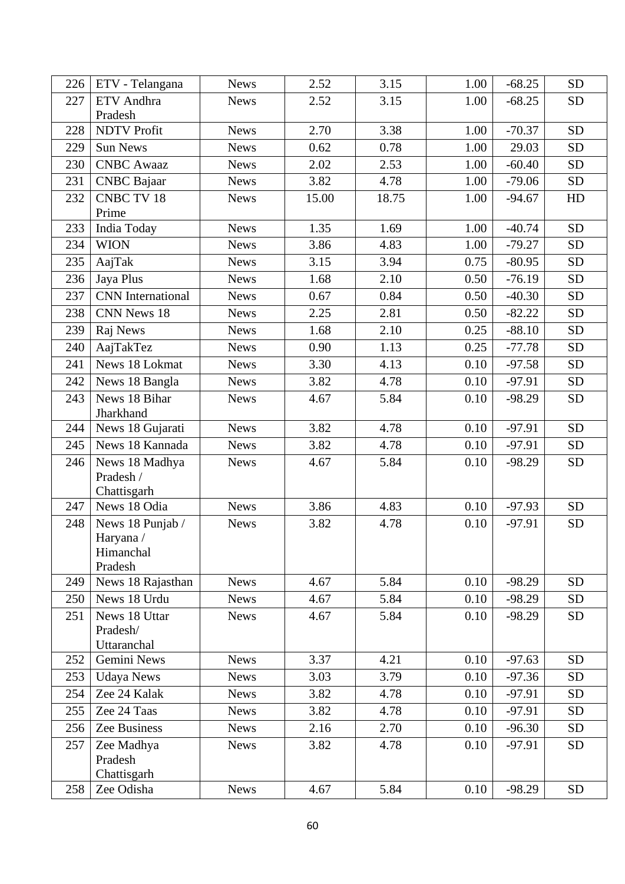| 226 | ETV - Telangana            | <b>News</b> | 2.52  | 3.15  | 1.00 | $-68.25$ | <b>SD</b> |
|-----|----------------------------|-------------|-------|-------|------|----------|-----------|
| 227 | <b>ETV</b> Andhra          | <b>News</b> | 2.52  | 3.15  | 1.00 | $-68.25$ | <b>SD</b> |
|     | Pradesh                    |             |       |       |      |          |           |
| 228 | <b>NDTV Profit</b>         | <b>News</b> | 2.70  | 3.38  | 1.00 | $-70.37$ | <b>SD</b> |
| 229 | <b>Sun News</b>            | <b>News</b> | 0.62  | 0.78  | 1.00 | 29.03    | <b>SD</b> |
| 230 | <b>CNBC</b> Awaaz          | <b>News</b> | 2.02  | 2.53  | 1.00 | $-60.40$ | <b>SD</b> |
| 231 | <b>CNBC</b> Bajaar         | <b>News</b> | 3.82  | 4.78  | 1.00 | $-79.06$ | <b>SD</b> |
| 232 | <b>CNBC TV 18</b>          | <b>News</b> | 15.00 | 18.75 | 1.00 | $-94.67$ | HD        |
|     | Prime                      |             |       |       |      |          |           |
| 233 | India Today                | <b>News</b> | 1.35  | 1.69  | 1.00 | $-40.74$ | <b>SD</b> |
| 234 | <b>WION</b>                | <b>News</b> | 3.86  | 4.83  | 1.00 | $-79.27$ | <b>SD</b> |
| 235 | AajTak                     | <b>News</b> | 3.15  | 3.94  | 0.75 | $-80.95$ | <b>SD</b> |
| 236 | Jaya Plus                  | <b>News</b> | 1.68  | 2.10  | 0.50 | $-76.19$ | <b>SD</b> |
| 237 | <b>CNN</b> International   | <b>News</b> | 0.67  | 0.84  | 0.50 | $-40.30$ | <b>SD</b> |
| 238 | CNN News 18                | <b>News</b> | 2.25  | 2.81  | 0.50 | $-82.22$ | <b>SD</b> |
| 239 | Raj News                   | <b>News</b> | 1.68  | 2.10  | 0.25 | $-88.10$ | <b>SD</b> |
| 240 | AajTakTez                  | <b>News</b> | 0.90  | 1.13  | 0.25 | $-77.78$ | <b>SD</b> |
| 241 | News 18 Lokmat             | <b>News</b> | 3.30  | 4.13  | 0.10 | $-97.58$ | <b>SD</b> |
| 242 | News 18 Bangla             | <b>News</b> | 3.82  | 4.78  | 0.10 | $-97.91$ | <b>SD</b> |
| 243 | News 18 Bihar<br>Jharkhand | <b>News</b> | 4.67  | 5.84  | 0.10 | $-98.29$ | <b>SD</b> |
| 244 | News 18 Gujarati           | <b>News</b> | 3.82  | 4.78  | 0.10 | $-97.91$ | <b>SD</b> |
| 245 | News 18 Kannada            | <b>News</b> | 3.82  | 4.78  | 0.10 | $-97.91$ | <b>SD</b> |
| 246 | News 18 Madhya             | <b>News</b> | 4.67  | 5.84  | 0.10 | $-98.29$ | <b>SD</b> |
|     | Pradesh /                  |             |       |       |      |          |           |
|     | Chattisgarh                |             |       |       |      |          |           |
| 247 | News 18 Odia               | <b>News</b> | 3.86  | 4.83  | 0.10 | $-97.93$ | <b>SD</b> |
| 248 | News 18 Punjab /           | <b>News</b> | 3.82  | 4.78  | 0.10 | $-97.91$ | <b>SD</b> |
|     | Haryana /<br>Himanchal     |             |       |       |      |          |           |
|     | Pradesh                    |             |       |       |      |          |           |
| 249 | News 18 Rajasthan          | <b>News</b> | 4.67  | 5.84  | 0.10 | $-98.29$ | <b>SD</b> |
| 250 | News 18 Urdu               | <b>News</b> | 4.67  | 5.84  | 0.10 | $-98.29$ | <b>SD</b> |
| 251 | News 18 Uttar              | <b>News</b> | 4.67  | 5.84  | 0.10 | $-98.29$ | <b>SD</b> |
|     | Pradesh/                   |             |       |       |      |          |           |
|     | Uttaranchal                |             |       |       |      |          |           |
| 252 | Gemini News                | <b>News</b> | 3.37  | 4.21  | 0.10 | $-97.63$ | <b>SD</b> |
| 253 | <b>Udaya News</b>          | <b>News</b> | 3.03  | 3.79  | 0.10 | $-97.36$ | <b>SD</b> |
| 254 | Zee 24 Kalak               | <b>News</b> | 3.82  | 4.78  | 0.10 | $-97.91$ | <b>SD</b> |
| 255 | Zee 24 Taas                | <b>News</b> | 3.82  | 4.78  | 0.10 | $-97.91$ | <b>SD</b> |
| 256 | Zee Business               | <b>News</b> | 2.16  | 2.70  | 0.10 | $-96.30$ | <b>SD</b> |
| 257 | Zee Madhya                 | <b>News</b> | 3.82  | 4.78  | 0.10 | $-97.91$ | <b>SD</b> |
|     | Pradesh                    |             |       |       |      |          |           |
|     | Chattisgarh                |             |       |       |      |          |           |
| 258 | Zee Odisha                 | <b>News</b> | 4.67  | 5.84  | 0.10 | $-98.29$ | <b>SD</b> |